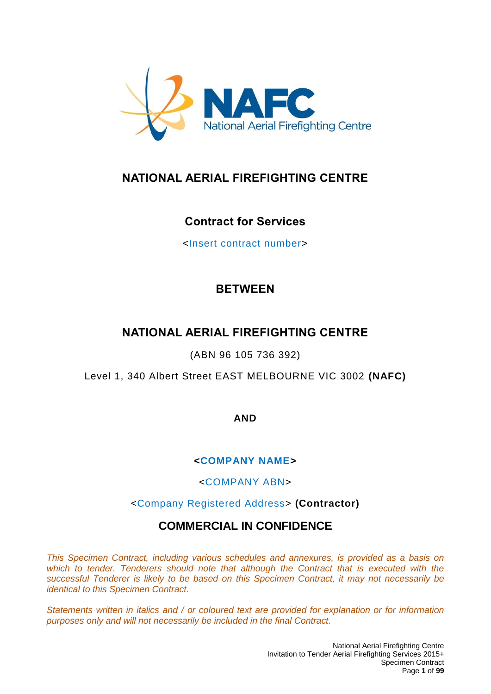

# **NATIONAL AERIAL FIREFIGHTING CENTRE**

## **Contract for Services**

<Insert contract number>

# **BETWEEN**

# **NATIONAL AERIAL FIREFIGHTING CENTRE**

(ABN 96 105 736 392)

Level 1, 340 Albert Street EAST MELBOURNE VIC 3002 **(NAFC)**

**AND**

## **<COMPANY NAME>**

<COMPANY ABN>

## <Company Registered Address> **(Contractor)**

## **COMMERCIAL IN CONFIDENCE**

*This Specimen Contract, including various schedules and annexures, is provided as a basis on*  which to tender. Tenderers should note that although the Contract that is executed with the *successful Tenderer is likely to be based on this Specimen Contract, it may not necessarily be identical to this Specimen Contract.* 

*Statements written in italics and / or coloured text are provided for explanation or for information purposes only and will not necessarily be included in the final Contract.*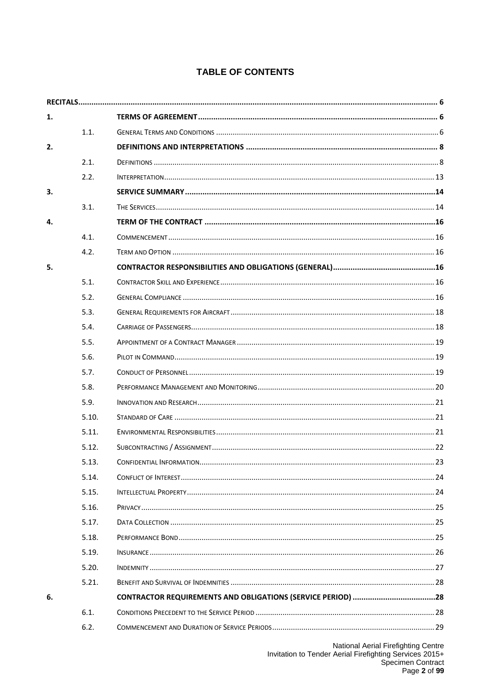## **TABLE OF CONTENTS**

| 1. |       |  |
|----|-------|--|
|    | 1.1.  |  |
| 2. |       |  |
|    | 2.1.  |  |
|    | 2.2.  |  |
| 3. |       |  |
|    | 3.1.  |  |
| 4. |       |  |
|    | 4.1.  |  |
|    | 4.2.  |  |
| 5. |       |  |
|    | 5.1.  |  |
|    | 5.2.  |  |
|    | 5.3.  |  |
|    | 5.4.  |  |
|    | 5.5.  |  |
|    | 5.6.  |  |
|    | 5.7.  |  |
|    | 5.8.  |  |
|    | 5.9.  |  |
|    | 5.10. |  |
|    | 5.11. |  |
|    | 5.12. |  |
|    | 5.13. |  |
|    | 5.14. |  |
|    | 5.15. |  |
|    | 5.16. |  |
|    | 5.17. |  |
|    | 5.18. |  |
|    | 5.19. |  |
|    | 5.20. |  |
|    | 5.21. |  |
| 6. |       |  |
|    | 6.1.  |  |
|    | 6.2.  |  |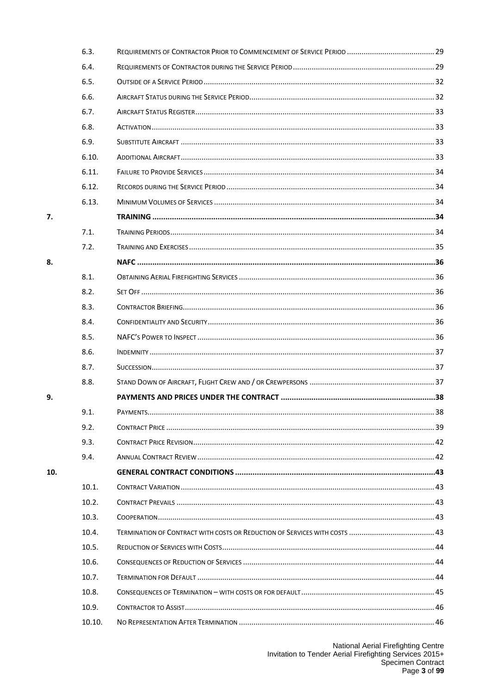| 6.3.   |  |
|--------|--|
| 6.4.   |  |
| 6.5.   |  |
| 6.6.   |  |
| 6.7.   |  |
| 6.8.   |  |
| 6.9.   |  |
| 6.10.  |  |
| 6.11.  |  |
| 6.12.  |  |
| 6.13.  |  |
|        |  |
| 7.1.   |  |
| 7.2.   |  |
|        |  |
| 8.1.   |  |
| 8.2.   |  |
| 8.3.   |  |
| 8.4.   |  |
| 8.5.   |  |
| 8.6.   |  |
| 8.7.   |  |
| 8.8.   |  |
|        |  |
| 9.1.   |  |
| 9.2.   |  |
| 9.3.   |  |
| 9.4.   |  |
|        |  |
| 10.1.  |  |
| 10.2.  |  |
| 10.3.  |  |
| 10.4.  |  |
| 10.5.  |  |
| 10.6.  |  |
| 10.7.  |  |
| 10.8.  |  |
| 10.9.  |  |
| 10.10. |  |
|        |  |

 $\overline{7}$ .

8.

9.

10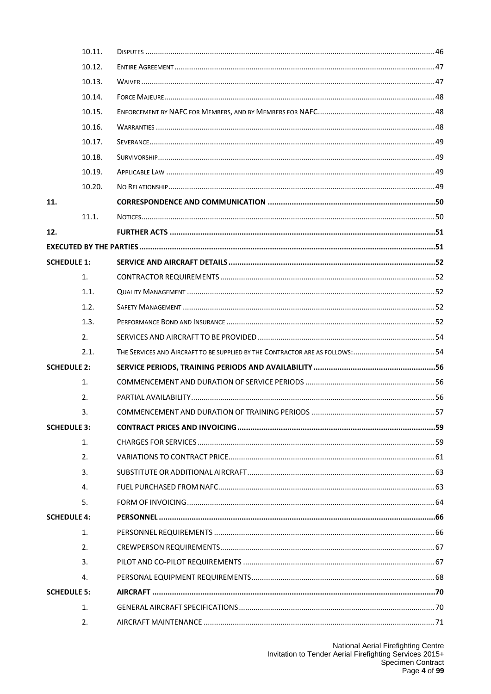|     | 10.11.             |                                                                                |  |
|-----|--------------------|--------------------------------------------------------------------------------|--|
|     | 10.12.             |                                                                                |  |
|     | 10.13.             |                                                                                |  |
|     | 10.14.             |                                                                                |  |
|     | 10.15.             |                                                                                |  |
|     | 10.16.             |                                                                                |  |
|     | 10.17.             |                                                                                |  |
|     | 10.18.             |                                                                                |  |
|     | 10.19.             |                                                                                |  |
|     | 10.20.             |                                                                                |  |
| 11. |                    |                                                                                |  |
|     | 11.1.              |                                                                                |  |
| 12. |                    |                                                                                |  |
|     |                    |                                                                                |  |
|     | <b>SCHEDULE 1:</b> |                                                                                |  |
|     | 1.                 |                                                                                |  |
|     | 1.1.               |                                                                                |  |
|     | 1.2.               |                                                                                |  |
|     | 1.3.               |                                                                                |  |
|     | 2.                 |                                                                                |  |
|     | 2.1.               | THE SERVICES AND AIRCRAFT TO BE SUPPLIED BY THE CONTRACTOR ARE AS FOLLOWS:  54 |  |
|     | <b>SCHEDULE 2:</b> |                                                                                |  |
|     | 1.                 |                                                                                |  |
|     | 2.                 |                                                                                |  |
|     | 3.                 |                                                                                |  |
|     | <b>SCHEDULE 3:</b> |                                                                                |  |
|     | 1.                 |                                                                                |  |
|     | 2.                 |                                                                                |  |
|     | 3.                 |                                                                                |  |
|     | 4.                 |                                                                                |  |
|     | 5.                 |                                                                                |  |
|     | <b>SCHEDULE 4:</b> |                                                                                |  |
|     | 1.                 |                                                                                |  |
|     | 2.                 |                                                                                |  |
|     | 3.                 |                                                                                |  |
|     | 4.                 |                                                                                |  |
|     | <b>SCHEDULE 5:</b> |                                                                                |  |
|     | 1.                 |                                                                                |  |
|     | $\mathfrak{D}$ .   |                                                                                |  |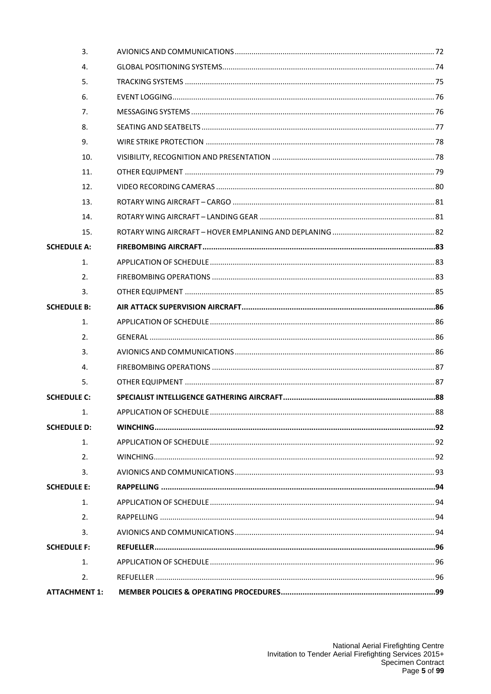| 3.                   |  |
|----------------------|--|
| 4.                   |  |
| 5.                   |  |
| 6.                   |  |
| 7.                   |  |
| 8.                   |  |
| 9.                   |  |
| 10.                  |  |
| 11.                  |  |
| 12.                  |  |
| 13.                  |  |
| 14.                  |  |
| 15.                  |  |
| <b>SCHEDULE A:</b>   |  |
| 1.                   |  |
| 2.                   |  |
| 3.                   |  |
| <b>SCHEDULE B:</b>   |  |
| 1.                   |  |
| 2.                   |  |
| 3.                   |  |
| 4.                   |  |
| 5.                   |  |
| <b>SCHEDULE C:</b>   |  |
| 1.                   |  |
| <b>SCHEDULE D:</b>   |  |
| 1.                   |  |
| 2.                   |  |
| 3.                   |  |
| <b>SCHEDULE E:</b>   |  |
| 1.                   |  |
| 2.                   |  |
| 3.                   |  |
| <b>SCHEDULE F:</b>   |  |
| 1.                   |  |
| 2.                   |  |
| <b>ATTACHMENT 1:</b> |  |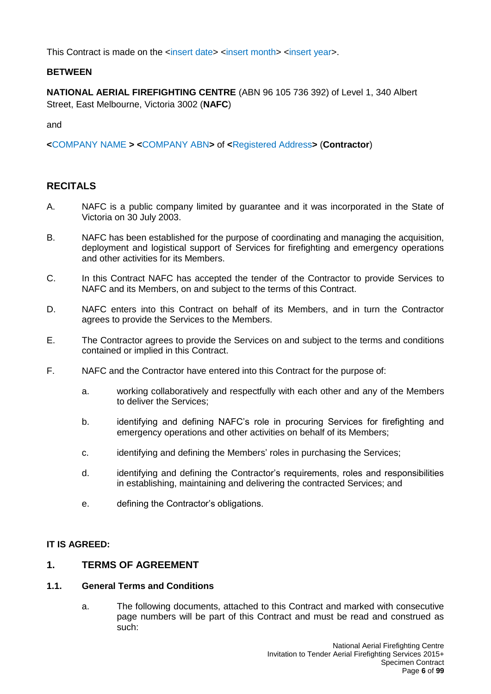This Contract is made on the <insert date> <insert month> <insert year>.

### **BETWEEN**

**NATIONAL AERIAL FIREFIGHTING CENTRE** (ABN 96 105 736 392) of Level 1, 340 Albert Street, East Melbourne, Victoria 3002 (**NAFC**)

and

**<**COMPANY NAME **> <**COMPANY ABN**>** of **<**Registered Address**>** (**Contractor**)

## <span id="page-5-0"></span>**RECITALS**

- A. NAFC is a public company limited by guarantee and it was incorporated in the State of Victoria on 30 July 2003.
- B. NAFC has been established for the purpose of coordinating and managing the acquisition, deployment and logistical support of Services for firefighting and emergency operations and other activities for its Members.
- C. In this Contract NAFC has accepted the tender of the Contractor to provide Services to NAFC and its Members, on and subject to the terms of this Contract.
- D. NAFC enters into this Contract on behalf of its Members, and in turn the Contractor agrees to provide the Services to the Members.
- E. The Contractor agrees to provide the Services on and subject to the terms and conditions contained or implied in this Contract.
- F. NAFC and the Contractor have entered into this Contract for the purpose of:
	- a. working collaboratively and respectfully with each other and any of the Members to deliver the Services;
	- b. identifying and defining NAFC's role in procuring Services for firefighting and emergency operations and other activities on behalf of its Members;
	- c. identifying and defining the Members' roles in purchasing the Services;
	- d. identifying and defining the Contractor's requirements, roles and responsibilities in establishing, maintaining and delivering the contracted Services; and
	- e. defining the Contractor's obligations.

#### **IT IS AGREED:**

### <span id="page-5-1"></span>**1. TERMS OF AGREEMENT**

#### <span id="page-5-2"></span>**1.1. General Terms and Conditions**

a. The following documents, attached to this Contract and marked with consecutive page numbers will be part of this Contract and must be read and construed as such: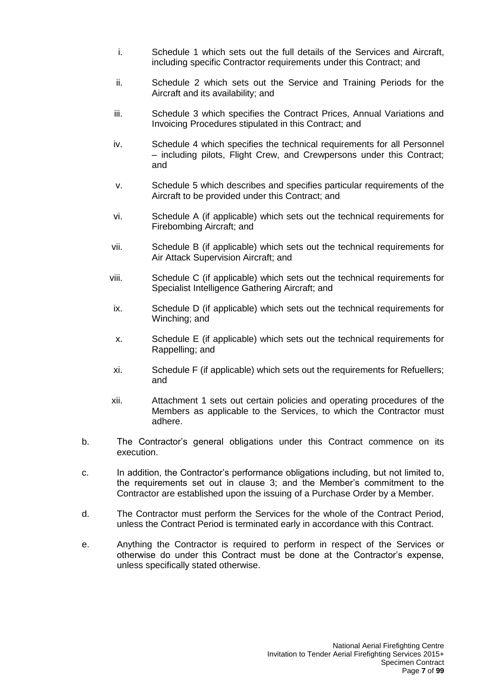- i. Schedule 1 which sets out the full details of the Services and Aircraft, including specific Contractor requirements under this Contract; and
- ii. Schedule 2 which sets out the Service and Training Periods for the Aircraft and its availability; and
- iii. Schedule 3 which specifies the Contract Prices, Annual Variations and Invoicing Procedures stipulated in this Contract; and
- iv. Schedule 4 which specifies the technical requirements for all Personnel – including pilots, Flight Crew, and Crewpersons under this Contract; and
- v. Schedule 5 which describes and specifies particular requirements of the Aircraft to be provided under this Contract; and
- vi. Schedule A (if applicable) which sets out the technical requirements for Firebombing Aircraft; and
- vii. Schedule B (if applicable) which sets out the technical requirements for Air Attack Supervision Aircraft; and
- viii. Schedule C (if applicable) which sets out the technical requirements for Specialist Intelligence Gathering Aircraft; and
- ix. Schedule D (if applicable) which sets out the technical requirements for Winching; and
- x. Schedule E (if applicable) which sets out the technical requirements for Rappelling; and
- xi. Schedule F (if applicable) which sets out the requirements for Refuellers; and
- xii. Attachment 1 sets out certain policies and operating procedures of the Members as applicable to the Services, to which the Contractor must adhere.
- b. The Contractor's general obligations under this Contract commence on its execution.
- c. In addition, the Contractor's performance obligations including, but not limited to, the requirements set out in clause 3; and the Member's commitment to the Contractor are established upon the issuing of a Purchase Order by a Member.
- d. The Contractor must perform the Services for the whole of the Contract Period, unless the Contract Period is terminated early in accordance with this Contract.
- e. Anything the Contractor is required to perform in respect of the Services or otherwise do under this Contract must be done at the Contractor's expense, unless specifically stated otherwise.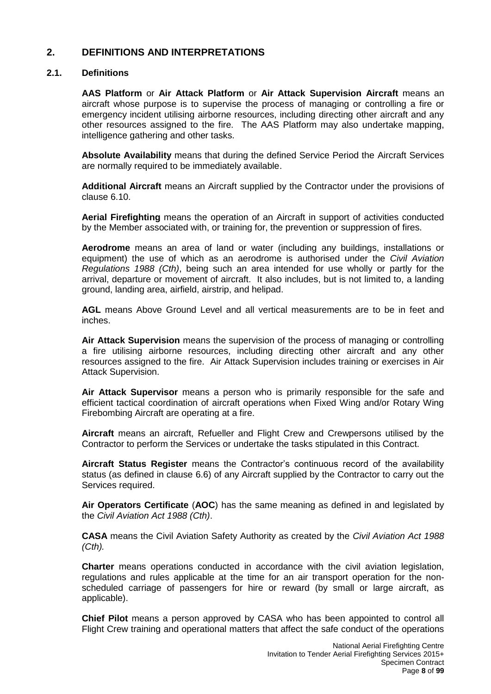## <span id="page-7-0"></span>**2. DEFINITIONS AND INTERPRETATIONS**

#### <span id="page-7-1"></span>**2.1. Definitions**

**AAS Platform** or **Air Attack Platform** or **Air Attack Supervision Aircraft** means an aircraft whose purpose is to supervise the process of managing or controlling a fire or emergency incident utilising airborne resources, including directing other aircraft and any other resources assigned to the fire. The AAS Platform may also undertake mapping, intelligence gathering and other tasks.

**Absolute Availability** means that during the defined Service Period the Aircraft Services are normally required to be immediately available.

**Additional Aircraft** means an Aircraft supplied by the Contractor under the provisions of clause 6.10.

**Aerial Firefighting** means the operation of an Aircraft in support of activities conducted by the Member associated with, or training for, the prevention or suppression of fires.

**Aerodrome** means an area of land or water (including any buildings, installations or equipment) the use of which as an aerodrome is authorised under the *Civil Aviation Regulations 1988 (Cth)*, being such an area intended for use wholly or partly for the arrival, departure or movement of aircraft. It also includes, but is not limited to, a landing ground, landing area, airfield, airstrip, and helipad.

**AGL** means Above Ground Level and all vertical measurements are to be in feet and inches.

**Air Attack Supervision** means the supervision of the process of managing or controlling a fire utilising airborne resources, including directing other aircraft and any other resources assigned to the fire. Air Attack Supervision includes training or exercises in Air Attack Supervision.

**Air Attack Supervisor** means a person who is primarily responsible for the safe and efficient tactical coordination of aircraft operations when Fixed Wing and/or Rotary Wing Firebombing Aircraft are operating at a fire.

**Aircraft** means an aircraft, Refueller and Flight Crew and Crewpersons utilised by the Contractor to perform the Services or undertake the tasks stipulated in this Contract.

**Aircraft Status Register** means the Contractor's continuous record of the availability status (as defined in clause 6.6) of any Aircraft supplied by the Contractor to carry out the Services required.

**Air Operators Certificate** (**AOC**) has the same meaning as defined in and legislated by the *Civil Aviation Act 1988 (Cth)*.

**CASA** means the Civil Aviation Safety Authority as created by the *Civil Aviation Act 1988 (Cth).*

**Charter** means operations conducted in accordance with the civil aviation legislation, regulations and rules applicable at the time for an air transport operation for the nonscheduled carriage of passengers for hire or reward (by small or large aircraft, as applicable).

**Chief Pilot** means a person approved by CASA who has been appointed to control all Flight Crew training and operational matters that affect the safe conduct of the operations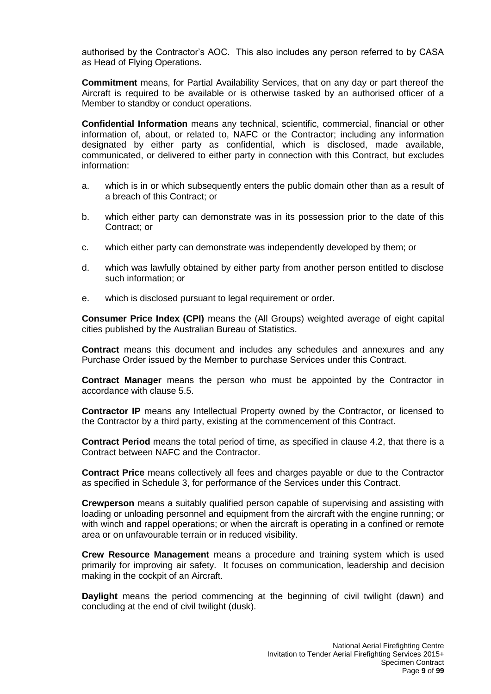authorised by the Contractor's AOC. This also includes any person referred to by CASA as Head of Flying Operations.

**Commitment** means, for Partial Availability Services, that on any day or part thereof the Aircraft is required to be available or is otherwise tasked by an authorised officer of a Member to standby or conduct operations.

**Confidential Information** means any technical, scientific, commercial, financial or other information of, about, or related to, NAFC or the Contractor; including any information designated by either party as confidential, which is disclosed, made available, communicated, or delivered to either party in connection with this Contract, but excludes information:

- a. which is in or which subsequently enters the public domain other than as a result of a breach of this Contract; or
- b. which either party can demonstrate was in its possession prior to the date of this Contract; or
- c. which either party can demonstrate was independently developed by them; or
- d. which was lawfully obtained by either party from another person entitled to disclose such information; or
- e. which is disclosed pursuant to legal requirement or order.

**Consumer Price Index (CPI)** means the (All Groups) weighted average of eight capital cities published by the Australian Bureau of Statistics.

**Contract** means this document and includes any schedules and annexures and any Purchase Order issued by the Member to purchase Services under this Contract.

**Contract Manager** means the person who must be appointed by the Contractor in accordance with clause 5.5.

**Contractor IP** means any Intellectual Property owned by the Contractor, or licensed to the Contractor by a third party, existing at the commencement of this Contract.

**Contract Period** means the total period of time, as specified in clause 4.2, that there is a Contract between NAFC and the Contractor.

**Contract Price** means collectively all fees and charges payable or due to the Contractor as specified in Schedule 3, for performance of the Services under this Contract.

**Crewperson** means a suitably qualified person capable of supervising and assisting with loading or unloading personnel and equipment from the aircraft with the engine running; or with winch and rappel operations; or when the aircraft is operating in a confined or remote area or on unfavourable terrain or in reduced visibility.

**Crew Resource Management** means a procedure and training system which is used primarily for improving air safety. It focuses on communication, leadership and decision making in the cockpit of an Aircraft.

**Daylight** means the period commencing at the beginning of civil twilight (dawn) and concluding at the end of civil twilight (dusk).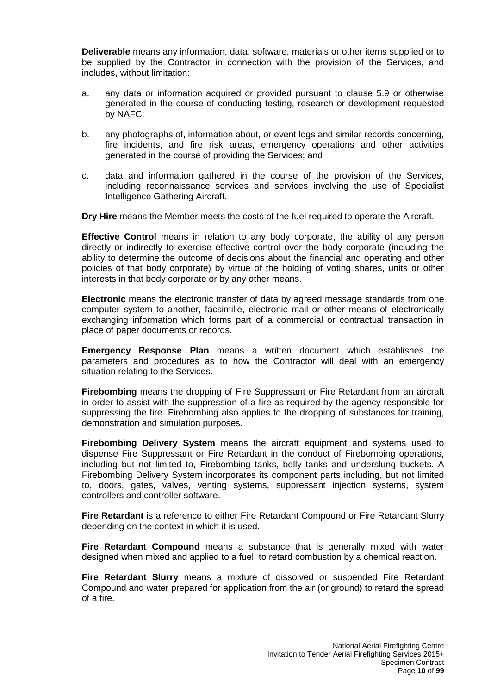**Deliverable** means any information, data, software, materials or other items supplied or to be supplied by the Contractor in connection with the provision of the Services, and includes, without limitation:

- a. any data or information acquired or provided pursuant to clause 5.9 or otherwise generated in the course of conducting testing, research or development requested by NAFC;
- b. any photographs of, information about, or event logs and similar records concerning, fire incidents, and fire risk areas, emergency operations and other activities generated in the course of providing the Services; and
- c. data and information gathered in the course of the provision of the Services, including reconnaissance services and services involving the use of Specialist Intelligence Gathering Aircraft.

**Dry Hire** means the Member meets the costs of the fuel required to operate the Aircraft.

**Effective Control** means in relation to any body corporate, the ability of any person directly or indirectly to exercise effective control over the body corporate (including the ability to determine the outcome of decisions about the financial and operating and other policies of that body corporate) by virtue of the holding of voting shares, units or other interests in that body corporate or by any other means.

**Electronic** means the electronic transfer of data by agreed message standards from one computer system to another, facsimilie, electronic mail or other means of electronically exchanging information which forms part of a commercial or contractual transaction in place of paper documents or records.

**Emergency Response Plan** means a written document which establishes the parameters and procedures as to how the Contractor will deal with an emergency situation relating to the Services.

**Firebombing** means the dropping of Fire Suppressant or Fire Retardant from an aircraft in order to assist with the suppression of a fire as required by the agency responsible for suppressing the fire. Firebombing also applies to the dropping of substances for training, demonstration and simulation purposes.

**Firebombing Delivery System** means the aircraft equipment and systems used to dispense Fire Suppressant or Fire Retardant in the conduct of Firebombing operations, including but not limited to, Firebombing tanks, belly tanks and underslung buckets. A Firebombing Delivery System incorporates its component parts including, but not limited to, doors, gates, valves, venting systems, suppressant injection systems, system controllers and controller software.

**Fire Retardant** is a reference to either Fire Retardant Compound or Fire Retardant Slurry depending on the context in which it is used.

**Fire Retardant Compound** means a substance that is generally mixed with water designed when mixed and applied to a fuel, to retard combustion by a chemical reaction.

**Fire Retardant Slurry** means a mixture of dissolved or suspended Fire Retardant Compound and water prepared for application from the air (or ground) to retard the spread of a fire.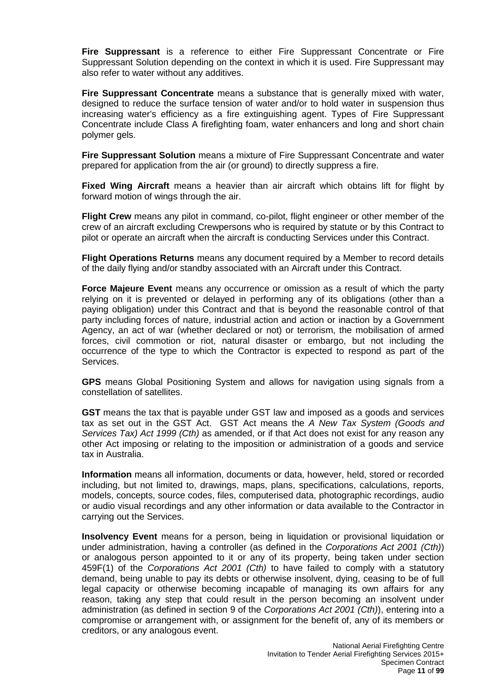**Fire Suppressant** is a reference to either Fire Suppressant Concentrate or Fire Suppressant Solution depending on the context in which it is used. Fire Suppressant may also refer to water without any additives.

**Fire Suppressant Concentrate** means a substance that is generally mixed with water, designed to reduce the surface tension of water and/or to hold water in suspension thus increasing water's efficiency as a fire extinguishing agent. Types of Fire Suppressant Concentrate include Class A firefighting foam, water enhancers and long and short chain polymer gels.

**Fire Suppressant Solution** means a mixture of Fire Suppressant Concentrate and water prepared for application from the air (or ground) to directly suppress a fire.

**Fixed Wing Aircraft** means a heavier than air aircraft which obtains lift for flight by forward motion of wings through the air.

**Flight Crew** means any pilot in command, co-pilot, flight engineer or other member of the crew of an aircraft excluding Crewpersons who is required by statute or by this Contract to pilot or operate an aircraft when the aircraft is conducting Services under this Contract.

**Flight Operations Returns** means any document required by a Member to record details of the daily flying and/or standby associated with an Aircraft under this Contract.

**Force Majeure Event** means any occurrence or omission as a result of which the party relying on it is prevented or delayed in performing any of its obligations (other than a paying obligation) under this Contract and that is beyond the reasonable control of that party including forces of nature, industrial action and action or inaction by a Government Agency, an act of war (whether declared or not) or terrorism, the mobilisation of armed forces, civil commotion or riot, natural disaster or embargo, but not including the occurrence of the type to which the Contractor is expected to respond as part of the Services.

**GPS** means Global Positioning System and allows for navigation using signals from a constellation of satellites.

**GST** means the tax that is payable under GST law and imposed as a goods and services tax as set out in the GST Act. GST Act means the *A New Tax System (Goods and Services Tax) Act 1999 (Cth)* as amended, or if that Act does not exist for any reason any other Act imposing or relating to the imposition or administration of a goods and service tax in Australia.

**Information** means all information, documents or data, however, held, stored or recorded including, but not limited to, drawings, maps, plans, specifications, calculations, reports, models, concepts, source codes, files, computerised data, photographic recordings, audio or audio visual recordings and any other information or data available to the Contractor in carrying out the Services.

**Insolvency Event** means for a person, being in liquidation or provisional liquidation or under administration, having a controller (as defined in the *Corporations Act 2001 (Cth)*) or analogous person appointed to it or any of its property, being taken under section 459F(1) of the *Corporations Act 2001 (Cth)* to have failed to comply with a statutory demand, being unable to pay its debts or otherwise insolvent, dying, ceasing to be of full legal capacity or otherwise becoming incapable of managing its own affairs for any reason, taking any step that could result in the person becoming an insolvent under administration (as defined in section 9 of the *Corporations Act 2001 (Cth)*), entering into a compromise or arrangement with, or assignment for the benefit of, any of its members or creditors, or any analogous event.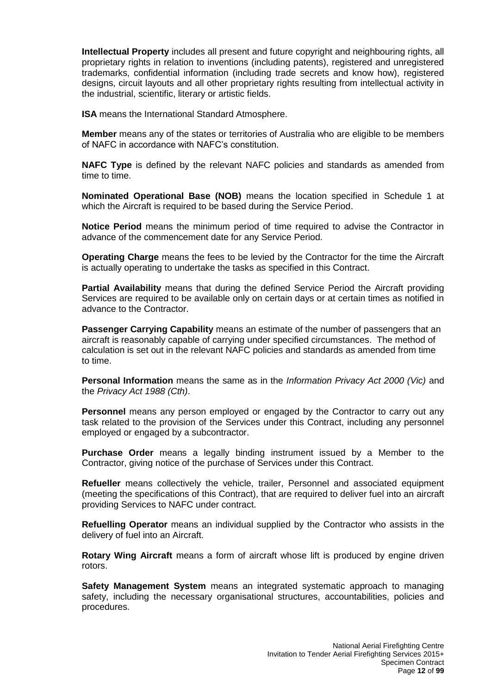**Intellectual Property** includes all present and future copyright and neighbouring rights, all proprietary rights in relation to inventions (including patents), registered and unregistered trademarks, confidential information (including trade secrets and know how), registered designs, circuit layouts and all other proprietary rights resulting from intellectual activity in the industrial, scientific, literary or artistic fields.

**ISA** means the International Standard Atmosphere.

**Member** means any of the states or territories of Australia who are eligible to be members of NAFC in accordance with NAFC's constitution.

**NAFC Type** is defined by the relevant NAFC policies and standards as amended from time to time.

**Nominated Operational Base (NOB)** means the location specified in Schedule 1 at which the Aircraft is required to be based during the Service Period.

**Notice Period** means the minimum period of time required to advise the Contractor in advance of the commencement date for any Service Period.

**Operating Charge** means the fees to be levied by the Contractor for the time the Aircraft is actually operating to undertake the tasks as specified in this Contract.

**Partial Availability** means that during the defined Service Period the Aircraft providing Services are required to be available only on certain days or at certain times as notified in advance to the Contractor.

**Passenger Carrying Capability** means an estimate of the number of passengers that an aircraft is reasonably capable of carrying under specified circumstances. The method of calculation is set out in the relevant NAFC policies and standards as amended from time to time.

**Personal Information** means the same as in the *Information Privacy Act 2000 (Vic)* and the *Privacy Act 1988 (Cth)*.

**Personnel** means any person employed or engaged by the Contractor to carry out any task related to the provision of the Services under this Contract, including any personnel employed or engaged by a subcontractor.

**Purchase Order** means a legally binding instrument issued by a Member to the Contractor, giving notice of the purchase of Services under this Contract.

**Refueller** means collectively the vehicle, trailer, Personnel and associated equipment (meeting the specifications of this Contract), that are required to deliver fuel into an aircraft providing Services to NAFC under contract.

**Refuelling Operator** means an individual supplied by the Contractor who assists in the delivery of fuel into an Aircraft.

**Rotary Wing Aircraft** means a form of aircraft whose lift is produced by engine driven rotors.

**Safety Management System** means an integrated systematic approach to managing safety, including the necessary organisational structures, accountabilities, policies and procedures.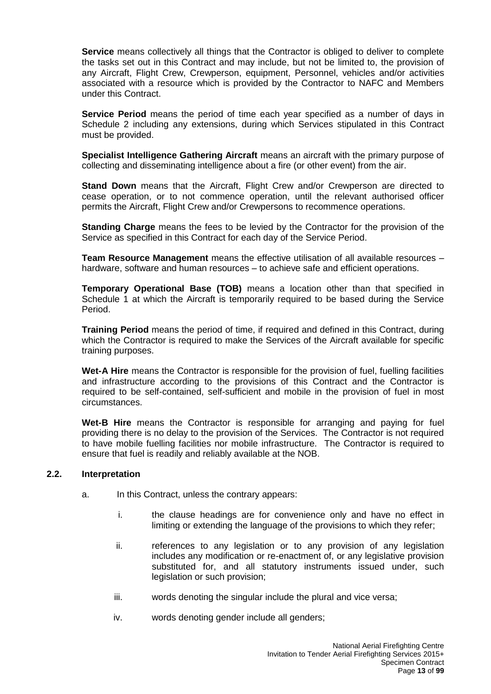**Service** means collectively all things that the Contractor is obliged to deliver to complete the tasks set out in this Contract and may include, but not be limited to, the provision of any Aircraft, Flight Crew, Crewperson, equipment, Personnel, vehicles and/or activities associated with a resource which is provided by the Contractor to NAFC and Members under this Contract.

**Service Period** means the period of time each year specified as a number of days in Schedule 2 including any extensions, during which Services stipulated in this Contract must be provided.

**Specialist Intelligence Gathering Aircraft** means an aircraft with the primary purpose of collecting and disseminating intelligence about a fire (or other event) from the air.

**Stand Down** means that the Aircraft, Flight Crew and/or Crewperson are directed to cease operation, or to not commence operation, until the relevant authorised officer permits the Aircraft, Flight Crew and/or Crewpersons to recommence operations.

**Standing Charge** means the fees to be levied by the Contractor for the provision of the Service as specified in this Contract for each day of the Service Period.

**Team Resource Management** means the effective utilisation of all available resources – hardware, software and human resources – to achieve safe and efficient operations.

**Temporary Operational Base (TOB)** means a location other than that specified in Schedule 1 at which the Aircraft is temporarily required to be based during the Service Period.

**Training Period** means the period of time, if required and defined in this Contract, during which the Contractor is required to make the Services of the Aircraft available for specific training purposes.

**Wet-A Hire** means the Contractor is responsible for the provision of fuel, fuelling facilities and infrastructure according to the provisions of this Contract and the Contractor is required to be self-contained, self-sufficient and mobile in the provision of fuel in most circumstances.

**Wet-B Hire** means the Contractor is responsible for arranging and paying for fuel providing there is no delay to the provision of the Services. The Contractor is not required to have mobile fuelling facilities nor mobile infrastructure. The Contractor is required to ensure that fuel is readily and reliably available at the NOB.

#### <span id="page-12-0"></span>**2.2. Interpretation**

- a. In this Contract, unless the contrary appears:
	- i. the clause headings are for convenience only and have no effect in limiting or extending the language of the provisions to which they refer;
	- ii. references to any legislation or to any provision of any legislation includes any modification or re-enactment of, or any legislative provision substituted for, and all statutory instruments issued under, such legislation or such provision;
	- iii. words denoting the singular include the plural and vice versa;
	- iv. words denoting gender include all genders;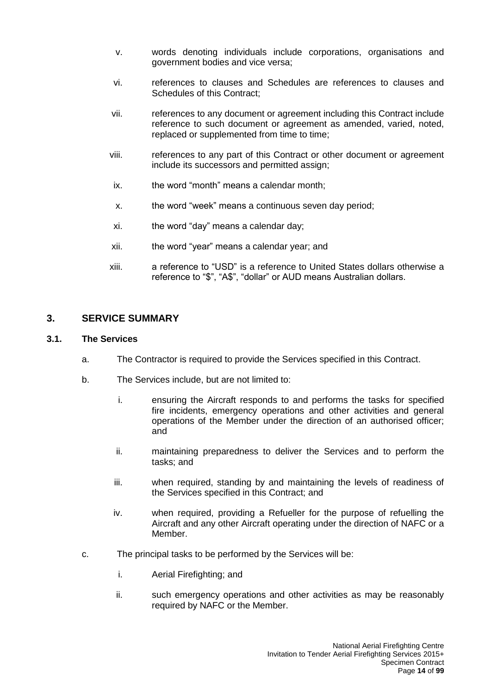- v. words denoting individuals include corporations, organisations and government bodies and vice versa;
- vi. references to clauses and Schedules are references to clauses and Schedules of this Contract;
- vii. references to any document or agreement including this Contract include reference to such document or agreement as amended, varied, noted, replaced or supplemented from time to time;
- viii. references to any part of this Contract or other document or agreement include its successors and permitted assign;
- ix. the word "month" means a calendar month;
- x. the word "week" means a continuous seven day period;
- xi. the word "day" means a calendar day;
- xii. the word "year" means a calendar year; and
- xiii. a reference to "USD" is a reference to United States dollars otherwise a reference to "\$", "A\$", "dollar" or AUD means Australian dollars.

#### <span id="page-13-0"></span>**3. SERVICE SUMMARY**

#### <span id="page-13-1"></span>**3.1. The Services**

- a. The Contractor is required to provide the Services specified in this Contract.
- b. The Services include, but are not limited to:
	- i. ensuring the Aircraft responds to and performs the tasks for specified fire incidents, emergency operations and other activities and general operations of the Member under the direction of an authorised officer; and
	- ii. maintaining preparedness to deliver the Services and to perform the tasks; and
	- iii. when required, standing by and maintaining the levels of readiness of the Services specified in this Contract; and
	- iv. when required, providing a Refueller for the purpose of refuelling the Aircraft and any other Aircraft operating under the direction of NAFC or a Member.
- c. The principal tasks to be performed by the Services will be:
	- i. Aerial Firefighting; and
	- ii. such emergency operations and other activities as may be reasonably required by NAFC or the Member.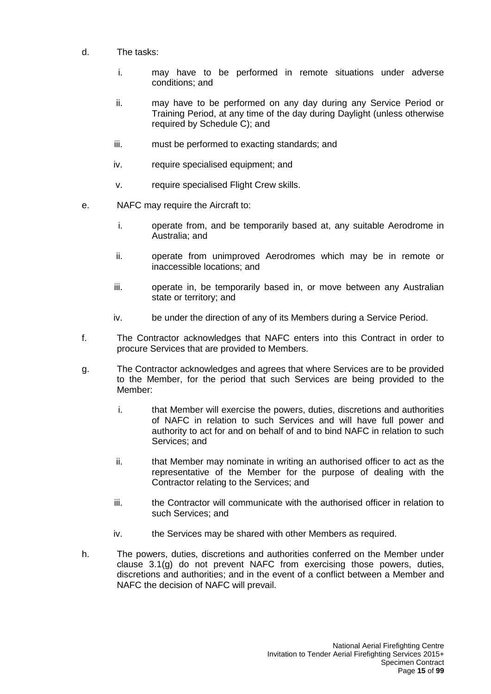- d. The tasks:
	- i. may have to be performed in remote situations under adverse conditions; and
	- ii. may have to be performed on any day during any Service Period or Training Period, at any time of the day during Daylight (unless otherwise required by Schedule C); and
	- iii. must be performed to exacting standards; and
	- iv. require specialised equipment; and
	- v. require specialised Flight Crew skills.
- e. NAFC may require the Aircraft to:
	- i. operate from, and be temporarily based at, any suitable Aerodrome in Australia; and
	- ii. operate from unimproved Aerodromes which may be in remote or inaccessible locations; and
	- iii. operate in, be temporarily based in, or move between any Australian state or territory; and
	- iv. be under the direction of any of its Members during a Service Period.
- f. The Contractor acknowledges that NAFC enters into this Contract in order to procure Services that are provided to Members.
- g. The Contractor acknowledges and agrees that where Services are to be provided to the Member, for the period that such Services are being provided to the Member:
	- i. that Member will exercise the powers, duties, discretions and authorities of NAFC in relation to such Services and will have full power and authority to act for and on behalf of and to bind NAFC in relation to such Services; and
	- ii. that Member may nominate in writing an authorised officer to act as the representative of the Member for the purpose of dealing with the Contractor relating to the Services; and
	- iii. the Contractor will communicate with the authorised officer in relation to such Services; and
	- iv. the Services may be shared with other Members as required.
- h. The powers, duties, discretions and authorities conferred on the Member under clause 3.1(g) do not prevent NAFC from exercising those powers, duties, discretions and authorities; and in the event of a conflict between a Member and NAFC the decision of NAFC will prevail.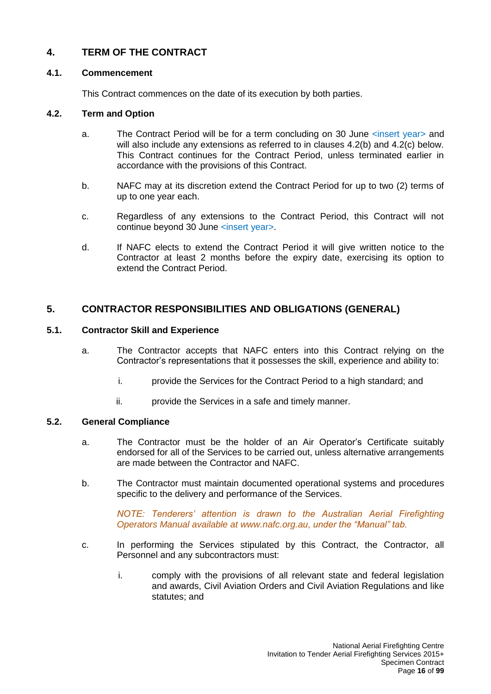## <span id="page-15-0"></span>**4. TERM OF THE CONTRACT**

#### <span id="page-15-1"></span>**4.1. Commencement**

This Contract commences on the date of its execution by both parties.

### <span id="page-15-2"></span>**4.2. Term and Option**

- a. The Contract Period will be for a term concluding on 30 June <insert year> and will also include any extensions as referred to in clauses 4.2(b) and 4.2(c) below. This Contract continues for the Contract Period, unless terminated earlier in accordance with the provisions of this Contract.
- b. NAFC may at its discretion extend the Contract Period for up to two (2) terms of up to one year each.
- c. Regardless of any extensions to the Contract Period, this Contract will not continue beyond 30 June <insert year>.
- d. If NAFC elects to extend the Contract Period it will give written notice to the Contractor at least 2 months before the expiry date, exercising its option to extend the Contract Period.

## <span id="page-15-3"></span>**5. CONTRACTOR RESPONSIBILITIES AND OBLIGATIONS (GENERAL)**

#### <span id="page-15-4"></span>**5.1. Contractor Skill and Experience**

- a. The Contractor accepts that NAFC enters into this Contract relying on the Contractor's representations that it possesses the skill, experience and ability to:
	- i. provide the Services for the Contract Period to a high standard; and
	- ii. provide the Services in a safe and timely manner.

#### <span id="page-15-5"></span>**5.2. General Compliance**

- a. The Contractor must be the holder of an Air Operator's Certificate suitably endorsed for all of the Services to be carried out, unless alternative arrangements are made between the Contractor and NAFC.
- b. The Contractor must maintain documented operational systems and procedures specific to the delivery and performance of the Services.

*NOTE: Tenderers' attention is drawn to the Australian Aerial Firefighting Operators Manual available at [www.nafc.org.au,](http://www.nafc.org.au/) under the "Manual" tab.*

- c. In performing the Services stipulated by this Contract, the Contractor, all Personnel and any subcontractors must:
	- i. comply with the provisions of all relevant state and federal legislation and awards, Civil Aviation Orders and Civil Aviation Regulations and like statutes; and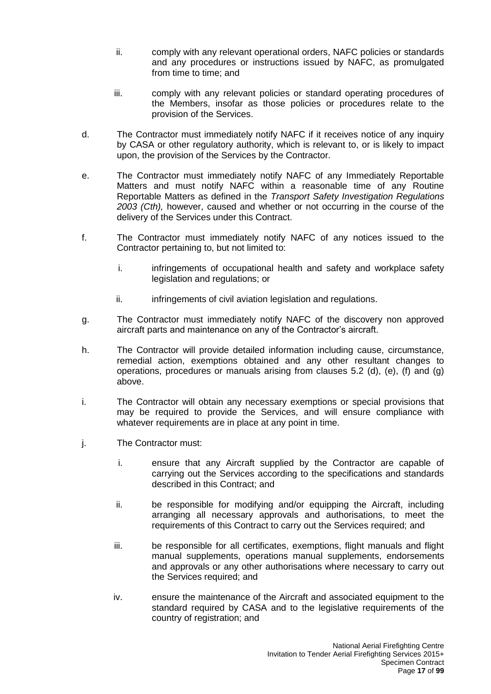- ii. comply with any relevant operational orders, NAFC policies or standards and any procedures or instructions issued by NAFC, as promulgated from time to time; and
- iii. comply with any relevant policies or standard operating procedures of the Members, insofar as those policies or procedures relate to the provision of the Services.
- d. The Contractor must immediately notify NAFC if it receives notice of any inquiry by CASA or other regulatory authority, which is relevant to, or is likely to impact upon, the provision of the Services by the Contractor.
- e. The Contractor must immediately notify NAFC of any Immediately Reportable Matters and must notify NAFC within a reasonable time of any Routine Reportable Matters as defined in the *Transport Safety Investigation Regulations 2003 (Cth),* however, caused and whether or not occurring in the course of the delivery of the Services under this Contract.
- f. The Contractor must immediately notify NAFC of any notices issued to the Contractor pertaining to, but not limited to:
	- i. infringements of occupational health and safety and workplace safety legislation and regulations; or
	- ii. infringements of civil aviation legislation and regulations.
- g. The Contractor must immediately notify NAFC of the discovery non approved aircraft parts and maintenance on any of the Contractor's aircraft.
- h. The Contractor will provide detailed information including cause, circumstance, remedial action, exemptions obtained and any other resultant changes to operations, procedures or manuals arising from clauses 5.2 (d), (e), (f) and (g) above.
- i. The Contractor will obtain any necessary exemptions or special provisions that may be required to provide the Services, and will ensure compliance with whatever requirements are in place at any point in time.
- j. The Contractor must:
	- i. ensure that any Aircraft supplied by the Contractor are capable of carrying out the Services according to the specifications and standards described in this Contract; and
	- ii. be responsible for modifying and/or equipping the Aircraft, including arranging all necessary approvals and authorisations, to meet the requirements of this Contract to carry out the Services required; and
	- iii. be responsible for all certificates, exemptions, flight manuals and flight manual supplements, operations manual supplements, endorsements and approvals or any other authorisations where necessary to carry out the Services required; and
	- iv. ensure the maintenance of the Aircraft and associated equipment to the standard required by CASA and to the legislative requirements of the country of registration; and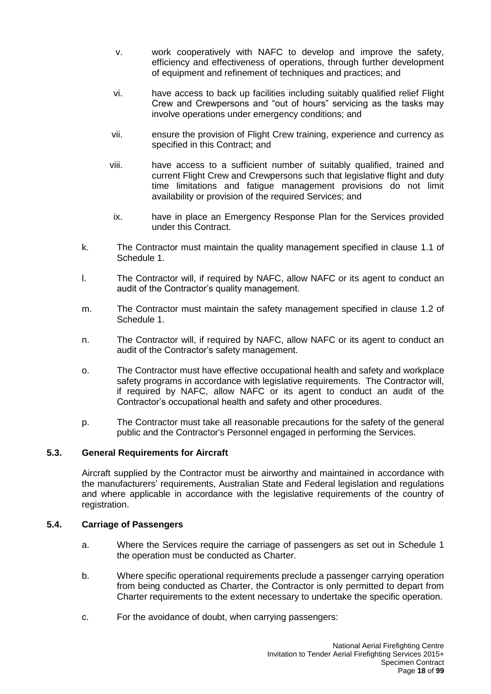- v. work cooperatively with NAFC to develop and improve the safety, efficiency and effectiveness of operations, through further development of equipment and refinement of techniques and practices; and
- vi. have access to back up facilities including suitably qualified relief Flight Crew and Crewpersons and "out of hours" servicing as the tasks may involve operations under emergency conditions; and
- vii. ensure the provision of Flight Crew training, experience and currency as specified in this Contract; and
- viii. have access to a sufficient number of suitably qualified, trained and current Flight Crew and Crewpersons such that legislative flight and duty time limitations and fatigue management provisions do not limit availability or provision of the required Services; and
- ix. have in place an Emergency Response Plan for the Services provided under this Contract.
- k. The Contractor must maintain the quality management specified in clause 1.1 of Schedule 1.
- l. The Contractor will, if required by NAFC, allow NAFC or its agent to conduct an audit of the Contractor's quality management.
- m. The Contractor must maintain the safety management specified in clause 1.2 of Schedule 1.
- n. The Contractor will, if required by NAFC, allow NAFC or its agent to conduct an audit of the Contractor's safety management.
- o. The Contractor must have effective occupational health and safety and workplace safety programs in accordance with legislative requirements. The Contractor will, if required by NAFC, allow NAFC or its agent to conduct an audit of the Contractor's occupational health and safety and other procedures.
- p. The Contractor must take all reasonable precautions for the safety of the general public and the Contractor's Personnel engaged in performing the Services.

## <span id="page-17-0"></span>**5.3. General Requirements for Aircraft**

Aircraft supplied by the Contractor must be airworthy and maintained in accordance with the manufacturers' requirements, Australian State and Federal legislation and regulations and where applicable in accordance with the legislative requirements of the country of registration.

#### <span id="page-17-1"></span>**5.4. Carriage of Passengers**

- a. Where the Services require the carriage of passengers as set out in Schedule 1 the operation must be conducted as Charter.
- b. Where specific operational requirements preclude a passenger carrying operation from being conducted as Charter, the Contractor is only permitted to depart from Charter requirements to the extent necessary to undertake the specific operation.
- c. For the avoidance of doubt, when carrying passengers: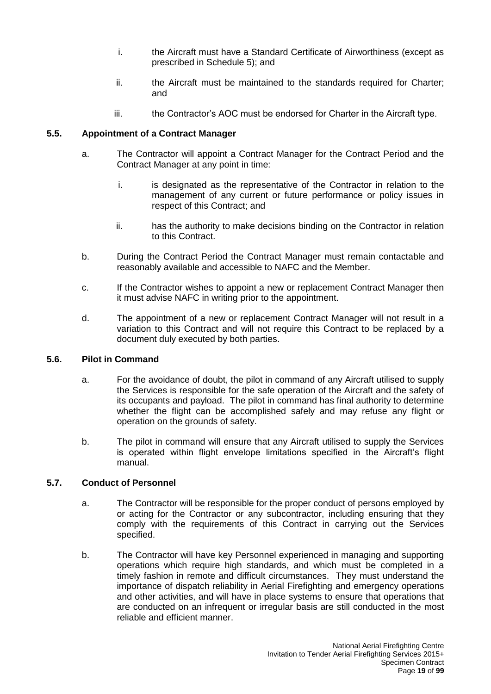- i. the Aircraft must have a Standard Certificate of Airworthiness (except as prescribed in Schedule 5); and
- ii. the Aircraft must be maintained to the standards required for Charter; and
- iii. the Contractor's AOC must be endorsed for Charter in the Aircraft type.

### <span id="page-18-0"></span>**5.5. Appointment of a Contract Manager**

- a. The Contractor will appoint a Contract Manager for the Contract Period and the Contract Manager at any point in time:
	- i. is designated as the representative of the Contractor in relation to the management of any current or future performance or policy issues in respect of this Contract; and
	- ii. has the authority to make decisions binding on the Contractor in relation to this Contract.
- b. During the Contract Period the Contract Manager must remain contactable and reasonably available and accessible to NAFC and the Member.
- c. If the Contractor wishes to appoint a new or replacement Contract Manager then it must advise NAFC in writing prior to the appointment.
- d. The appointment of a new or replacement Contract Manager will not result in a variation to this Contract and will not require this Contract to be replaced by a document duly executed by both parties.

#### <span id="page-18-1"></span>**5.6. Pilot in Command**

- a. For the avoidance of doubt, the pilot in command of any Aircraft utilised to supply the Services is responsible for the safe operation of the Aircraft and the safety of its occupants and payload. The pilot in command has final authority to determine whether the flight can be accomplished safely and may refuse any flight or operation on the grounds of safety.
- b. The pilot in command will ensure that any Aircraft utilised to supply the Services is operated within flight envelope limitations specified in the Aircraft's flight manual.

#### <span id="page-18-2"></span>**5.7. Conduct of Personnel**

- a. The Contractor will be responsible for the proper conduct of persons employed by or acting for the Contractor or any subcontractor, including ensuring that they comply with the requirements of this Contract in carrying out the Services specified.
- b. The Contractor will have key Personnel experienced in managing and supporting operations which require high standards, and which must be completed in a timely fashion in remote and difficult circumstances. They must understand the importance of dispatch reliability in Aerial Firefighting and emergency operations and other activities, and will have in place systems to ensure that operations that are conducted on an infrequent or irregular basis are still conducted in the most reliable and efficient manner.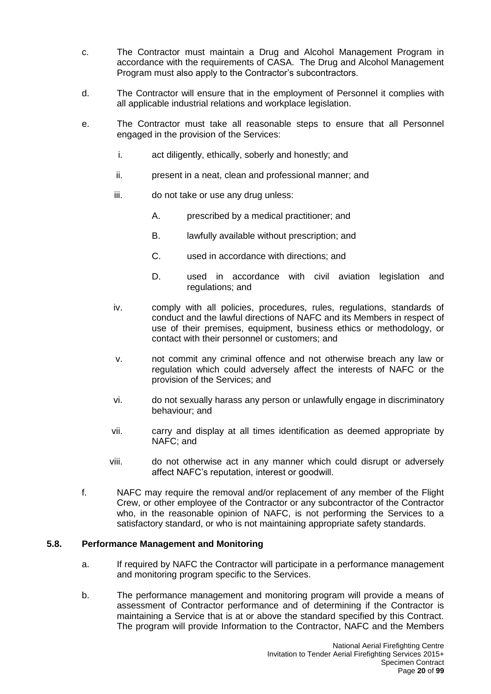- c. The Contractor must maintain a Drug and Alcohol Management Program in accordance with the requirements of CASA. The Drug and Alcohol Management Program must also apply to the Contractor's subcontractors.
- d. The Contractor will ensure that in the employment of Personnel it complies with all applicable industrial relations and workplace legislation.
- e. The Contractor must take all reasonable steps to ensure that all Personnel engaged in the provision of the Services:
	- i. act diligently, ethically, soberly and honestly; and
	- ii. present in a neat, clean and professional manner; and
	- iii. do not take or use any drug unless:
		- A. prescribed by a medical practitioner; and
		- B. lawfully available without prescription; and
		- C. used in accordance with directions; and
		- D. used in accordance with civil aviation legislation and regulations; and
	- iv. comply with all policies, procedures, rules, regulations, standards of conduct and the lawful directions of NAFC and its Members in respect of use of their premises, equipment, business ethics or methodology, or contact with their personnel or customers; and
	- v. not commit any criminal offence and not otherwise breach any law or regulation which could adversely affect the interests of NAFC or the provision of the Services; and
	- vi. do not sexually harass any person or unlawfully engage in discriminatory behaviour; and
	- vii. carry and display at all times identification as deemed appropriate by NAFC; and
	- viii. do not otherwise act in any manner which could disrupt or adversely affect NAFC's reputation, interest or goodwill.
- f. NAFC may require the removal and/or replacement of any member of the Flight Crew, or other employee of the Contractor or any subcontractor of the Contractor who, in the reasonable opinion of NAFC, is not performing the Services to a satisfactory standard, or who is not maintaining appropriate safety standards.

#### <span id="page-19-0"></span>**5.8. Performance Management and Monitoring**

- a. If required by NAFC the Contractor will participate in a performance management and monitoring program specific to the Services.
- b. The performance management and monitoring program will provide a means of assessment of Contractor performance and of determining if the Contractor is maintaining a Service that is at or above the standard specified by this Contract. The program will provide Information to the Contractor, NAFC and the Members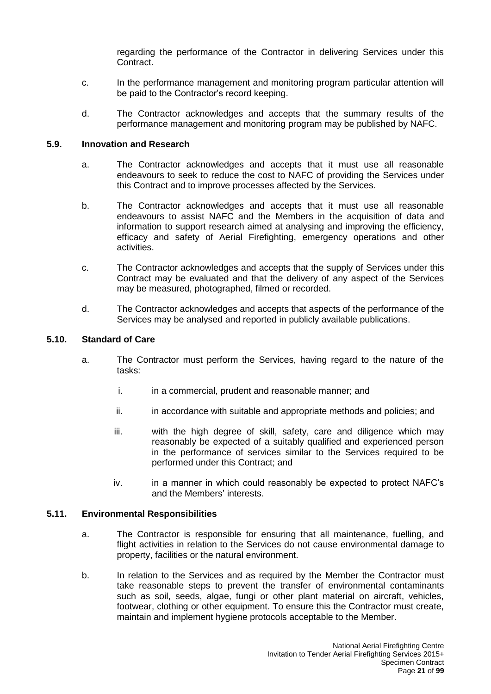regarding the performance of the Contractor in delivering Services under this Contract.

- c. In the performance management and monitoring program particular attention will be paid to the Contractor's record keeping.
- d. The Contractor acknowledges and accepts that the summary results of the performance management and monitoring program may be published by NAFC.

#### <span id="page-20-0"></span>**5.9. Innovation and Research**

- a. The Contractor acknowledges and accepts that it must use all reasonable endeavours to seek to reduce the cost to NAFC of providing the Services under this Contract and to improve processes affected by the Services.
- b. The Contractor acknowledges and accepts that it must use all reasonable endeavours to assist NAFC and the Members in the acquisition of data and information to support research aimed at analysing and improving the efficiency, efficacy and safety of Aerial Firefighting, emergency operations and other activities.
- c. The Contractor acknowledges and accepts that the supply of Services under this Contract may be evaluated and that the delivery of any aspect of the Services may be measured, photographed, filmed or recorded.
- d. The Contractor acknowledges and accepts that aspects of the performance of the Services may be analysed and reported in publicly available publications.

#### <span id="page-20-1"></span>**5.10. Standard of Care**

- a. The Contractor must perform the Services, having regard to the nature of the tasks:
	- i. in a commercial, prudent and reasonable manner; and
	- ii. in accordance with suitable and appropriate methods and policies; and
	- iii. with the high degree of skill, safety, care and diligence which may reasonably be expected of a suitably qualified and experienced person in the performance of services similar to the Services required to be performed under this Contract; and
	- iv. in a manner in which could reasonably be expected to protect NAFC's and the Members' interests.

#### <span id="page-20-2"></span>**5.11. Environmental Responsibilities**

- a. The Contractor is responsible for ensuring that all maintenance, fuelling, and flight activities in relation to the Services do not cause environmental damage to property, facilities or the natural environment.
- b. In relation to the Services and as required by the Member the Contractor must take reasonable steps to prevent the transfer of environmental contaminants such as soil, seeds, algae, fungi or other plant material on aircraft, vehicles, footwear, clothing or other equipment. To ensure this the Contractor must create, maintain and implement hygiene protocols acceptable to the Member.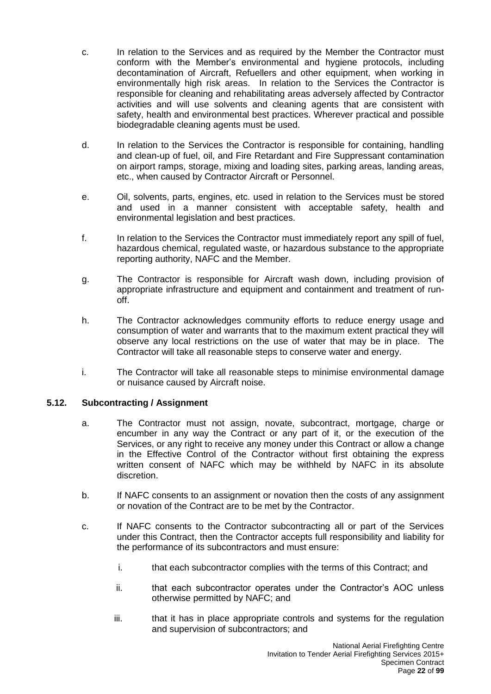- c. In relation to the Services and as required by the Member the Contractor must conform with the Member's environmental and hygiene protocols, including decontamination of Aircraft, Refuellers and other equipment, when working in environmentally high risk areas. In relation to the Services the Contractor is responsible for cleaning and rehabilitating areas adversely affected by Contractor activities and will use solvents and cleaning agents that are consistent with safety, health and environmental best practices. Wherever practical and possible biodegradable cleaning agents must be used.
- d. In relation to the Services the Contractor is responsible for containing, handling and clean-up of fuel, oil, and Fire Retardant and Fire Suppressant contamination on airport ramps, storage, mixing and loading sites, parking areas, landing areas, etc., when caused by Contractor Aircraft or Personnel.
- e. Oil, solvents, parts, engines, etc. used in relation to the Services must be stored and used in a manner consistent with acceptable safety, health and environmental legislation and best practices.
- f. In relation to the Services the Contractor must immediately report any spill of fuel, hazardous chemical, regulated waste, or hazardous substance to the appropriate reporting authority, NAFC and the Member.
- g. The Contractor is responsible for Aircraft wash down, including provision of appropriate infrastructure and equipment and containment and treatment of runoff.
- h. The Contractor acknowledges community efforts to reduce energy usage and consumption of water and warrants that to the maximum extent practical they will observe any local restrictions on the use of water that may be in place. The Contractor will take all reasonable steps to conserve water and energy.
- i. The Contractor will take all reasonable steps to minimise environmental damage or nuisance caused by Aircraft noise.

#### <span id="page-21-0"></span>**5.12. Subcontracting / Assignment**

- a. The Contractor must not assign, novate, subcontract, mortgage, charge or encumber in any way the Contract or any part of it, or the execution of the Services, or any right to receive any money under this Contract or allow a change in the Effective Control of the Contractor without first obtaining the express written consent of NAFC which may be withheld by NAFC in its absolute discretion.
- b. If NAFC consents to an assignment or novation then the costs of any assignment or novation of the Contract are to be met by the Contractor.
- c. If NAFC consents to the Contractor subcontracting all or part of the Services under this Contract, then the Contractor accepts full responsibility and liability for the performance of its subcontractors and must ensure:
	- i. that each subcontractor complies with the terms of this Contract; and
	- ii. that each subcontractor operates under the Contractor's AOC unless otherwise permitted by NAFC; and
	- iii. that it has in place appropriate controls and systems for the regulation and supervision of subcontractors; and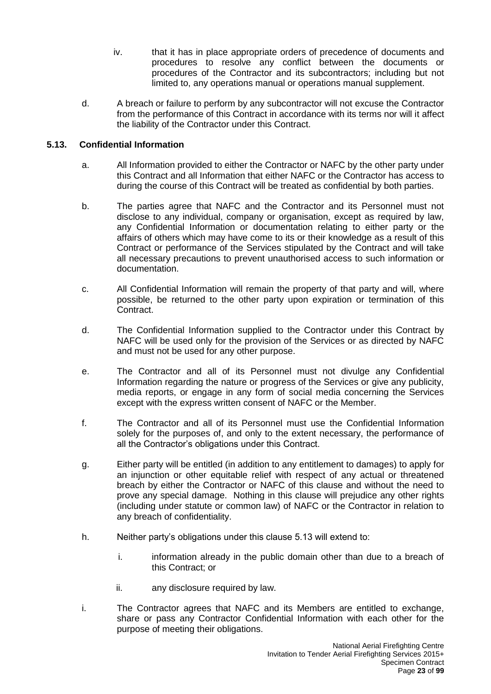- iv. that it has in place appropriate orders of precedence of documents and procedures to resolve any conflict between the documents or procedures of the Contractor and its subcontractors; including but not limited to, any operations manual or operations manual supplement.
- d. A breach or failure to perform by any subcontractor will not excuse the Contractor from the performance of this Contract in accordance with its terms nor will it affect the liability of the Contractor under this Contract.

### <span id="page-22-0"></span>**5.13. Confidential Information**

- a. All Information provided to either the Contractor or NAFC by the other party under this Contract and all Information that either NAFC or the Contractor has access to during the course of this Contract will be treated as confidential by both parties.
- b. The parties agree that NAFC and the Contractor and its Personnel must not disclose to any individual, company or organisation, except as required by law, any Confidential Information or documentation relating to either party or the affairs of others which may have come to its or their knowledge as a result of this Contract or performance of the Services stipulated by the Contract and will take all necessary precautions to prevent unauthorised access to such information or documentation.
- c. All Confidential Information will remain the property of that party and will, where possible, be returned to the other party upon expiration or termination of this Contract.
- d. The Confidential Information supplied to the Contractor under this Contract by NAFC will be used only for the provision of the Services or as directed by NAFC and must not be used for any other purpose.
- e. The Contractor and all of its Personnel must not divulge any Confidential Information regarding the nature or progress of the Services or give any publicity, media reports, or engage in any form of social media concerning the Services except with the express written consent of NAFC or the Member.
- f. The Contractor and all of its Personnel must use the Confidential Information solely for the purposes of, and only to the extent necessary, the performance of all the Contractor's obligations under this Contract.
- g. Either party will be entitled (in addition to any entitlement to damages) to apply for an injunction or other equitable relief with respect of any actual or threatened breach by either the Contractor or NAFC of this clause and without the need to prove any special damage. Nothing in this clause will prejudice any other rights (including under statute or common law) of NAFC or the Contractor in relation to any breach of confidentiality.
- h. Neither party's obligations under this clause 5.13 will extend to:
	- i. information already in the public domain other than due to a breach of this Contract; or
	- ii. any disclosure required by law.
- i. The Contractor agrees that NAFC and its Members are entitled to exchange, share or pass any Contractor Confidential Information with each other for the purpose of meeting their obligations.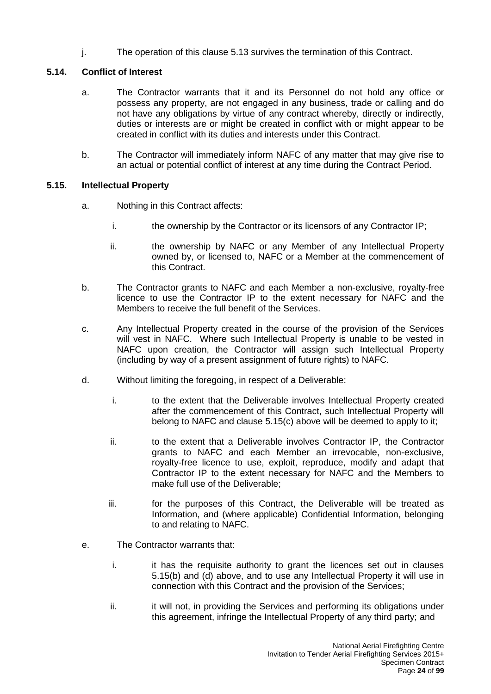j. The operation of this clause 5.13 survives the termination of this Contract.

### <span id="page-23-0"></span>**5.14. Conflict of Interest**

- a. The Contractor warrants that it and its Personnel do not hold any office or possess any property, are not engaged in any business, trade or calling and do not have any obligations by virtue of any contract whereby, directly or indirectly, duties or interests are or might be created in conflict with or might appear to be created in conflict with its duties and interests under this Contract.
- b. The Contractor will immediately inform NAFC of any matter that may give rise to an actual or potential conflict of interest at any time during the Contract Period.

### <span id="page-23-1"></span>**5.15. Intellectual Property**

- a. Nothing in this Contract affects:
	- i. the ownership by the Contractor or its licensors of any Contractor IP;
	- ii. the ownership by NAFC or any Member of any Intellectual Property owned by, or licensed to, NAFC or a Member at the commencement of this Contract.
- b. The Contractor grants to NAFC and each Member a non-exclusive, royalty-free licence to use the Contractor IP to the extent necessary for NAFC and the Members to receive the full benefit of the Services.
- c. Any Intellectual Property created in the course of the provision of the Services will vest in NAFC. Where such Intellectual Property is unable to be vested in NAFC upon creation, the Contractor will assign such Intellectual Property (including by way of a present assignment of future rights) to NAFC.
- d. Without limiting the foregoing, in respect of a Deliverable:
	- i. to the extent that the Deliverable involves Intellectual Property created after the commencement of this Contract, such Intellectual Property will belong to NAFC and clause 5.15(c) above will be deemed to apply to it;
	- ii. to the extent that a Deliverable involves Contractor IP, the Contractor grants to NAFC and each Member an irrevocable, non-exclusive, royalty-free licence to use, exploit, reproduce, modify and adapt that Contractor IP to the extent necessary for NAFC and the Members to make full use of the Deliverable;
	- iii. for the purposes of this Contract, the Deliverable will be treated as Information, and (where applicable) Confidential Information, belonging to and relating to NAFC.
- e. The Contractor warrants that:
	- i. it has the requisite authority to grant the licences set out in clauses 5.15(b) and (d) above, and to use any Intellectual Property it will use in connection with this Contract and the provision of the Services;
	- ii. ii. it will not, in providing the Services and performing its obligations under this agreement, infringe the Intellectual Property of any third party; and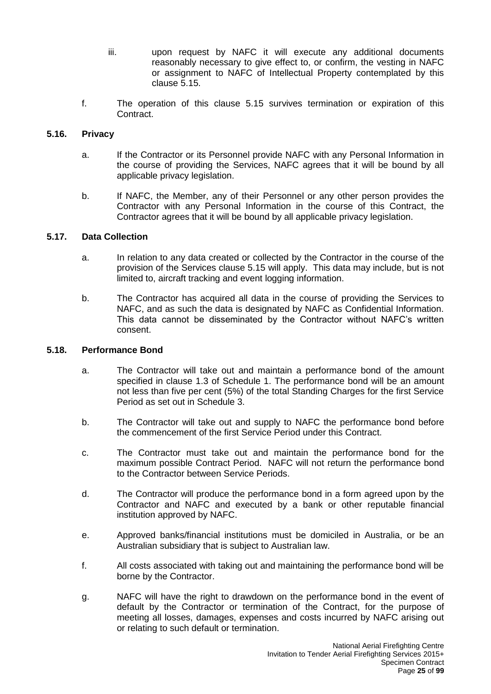- iii. upon request by NAFC it will execute any additional documents reasonably necessary to give effect to, or confirm, the vesting in NAFC or assignment to NAFC of Intellectual Property contemplated by this clause 5.15.
- f. The operation of this clause 5.15 survives termination or expiration of this Contract.

#### <span id="page-24-0"></span>**5.16. Privacy**

- a. If the Contractor or its Personnel provide NAFC with any Personal Information in the course of providing the Services, NAFC agrees that it will be bound by all applicable privacy legislation.
- b. If NAFC, the Member, any of their Personnel or any other person provides the Contractor with any Personal Information in the course of this Contract, the Contractor agrees that it will be bound by all applicable privacy legislation.

#### <span id="page-24-1"></span>**5.17. Data Collection**

- a. In relation to any data created or collected by the Contractor in the course of the provision of the Services clause 5.15 will apply. This data may include, but is not limited to, aircraft tracking and event logging information.
- b. The Contractor has acquired all data in the course of providing the Services to NAFC, and as such the data is designated by NAFC as Confidential Information. This data cannot be disseminated by the Contractor without NAFC's written consent.

#### <span id="page-24-2"></span>**5.18. Performance Bond**

- a. The Contractor will take out and maintain a performance bond of the amount specified in clause 1.3 of Schedule 1. The performance bond will be an amount not less than five per cent (5%) of the total Standing Charges for the first Service Period as set out in Schedule 3.
- b. The Contractor will take out and supply to NAFC the performance bond before the commencement of the first Service Period under this Contract.
- c. The Contractor must take out and maintain the performance bond for the maximum possible Contract Period. NAFC will not return the performance bond to the Contractor between Service Periods.
- d. The Contractor will produce the performance bond in a form agreed upon by the Contractor and NAFC and executed by a bank or other reputable financial institution approved by NAFC.
- e. Approved banks/financial institutions must be domiciled in Australia, or be an Australian subsidiary that is subject to Australian law.
- f. All costs associated with taking out and maintaining the performance bond will be borne by the Contractor.
- g. NAFC will have the right to drawdown on the performance bond in the event of default by the Contractor or termination of the Contract, for the purpose of meeting all losses, damages, expenses and costs incurred by NAFC arising out or relating to such default or termination.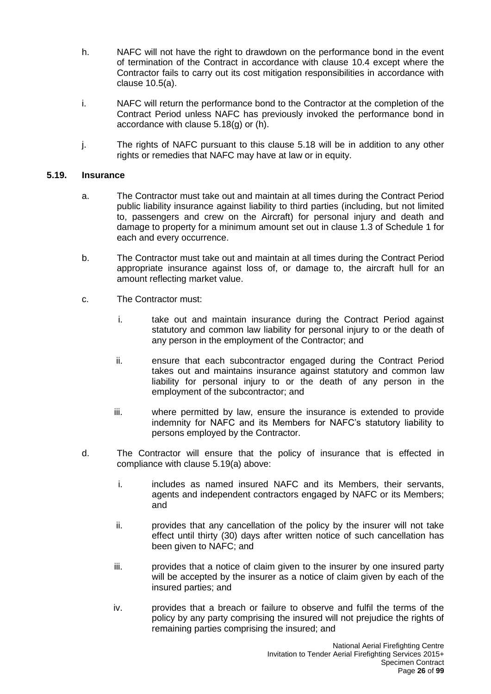- h. NAFC will not have the right to drawdown on the performance bond in the event of termination of the Contract in accordance with clause 10.4 except where the Contractor fails to carry out its cost mitigation responsibilities in accordance with clause 10.5(a).
- i. NAFC will return the performance bond to the Contractor at the completion of the Contract Period unless NAFC has previously invoked the performance bond in accordance with clause 5.18(g) or (h).
- j. The rights of NAFC pursuant to this clause 5.18 will be in addition to any other rights or remedies that NAFC may have at law or in equity.

#### <span id="page-25-0"></span>**5.19. Insurance**

- a. The Contractor must take out and maintain at all times during the Contract Period public liability insurance against liability to third parties (including, but not limited to, passengers and crew on the Aircraft) for personal injury and death and damage to property for a minimum amount set out in clause 1.3 of Schedule 1 for each and every occurrence.
- b. The Contractor must take out and maintain at all times during the Contract Period appropriate insurance against loss of, or damage to, the aircraft hull for an amount reflecting market value.
- c. The Contractor must:
	- i. take out and maintain insurance during the Contract Period against statutory and common law liability for personal injury to or the death of any person in the employment of the Contractor; and
	- ii. ensure that each subcontractor engaged during the Contract Period takes out and maintains insurance against statutory and common law liability for personal injury to or the death of any person in the employment of the subcontractor; and
	- iii. where permitted by law, ensure the insurance is extended to provide indemnity for NAFC and its Members for NAFC's statutory liability to persons employed by the Contractor.
- d. The Contractor will ensure that the policy of insurance that is effected in compliance with clause 5.19(a) above:
	- i. includes as named insured NAFC and its Members, their servants, agents and independent contractors engaged by NAFC or its Members; and
	- ii. provides that any cancellation of the policy by the insurer will not take effect until thirty (30) days after written notice of such cancellation has been given to NAFC; and
	- iii. provides that a notice of claim given to the insurer by one insured party will be accepted by the insurer as a notice of claim given by each of the insured parties; and
	- iv. provides that a breach or failure to observe and fulfil the terms of the policy by any party comprising the insured will not prejudice the rights of remaining parties comprising the insured; and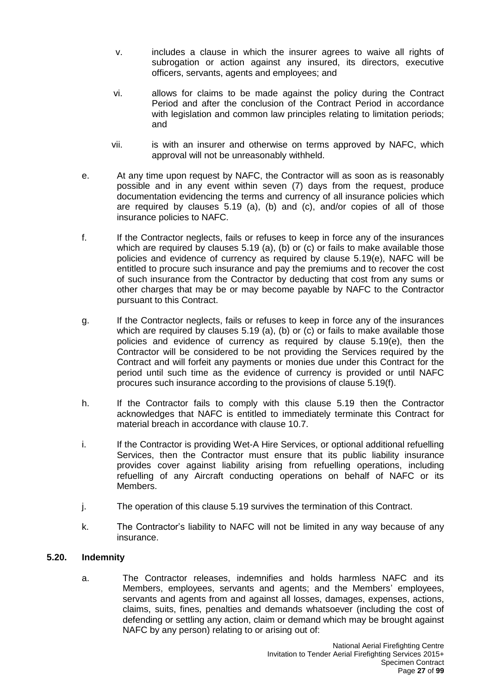- v. includes a clause in which the insurer agrees to waive all rights of subrogation or action against any insured, its directors, executive officers, servants, agents and employees; and
- vi. allows for claims to be made against the policy during the Contract Period and after the conclusion of the Contract Period in accordance with legislation and common law principles relating to limitation periods; and
- vii. is with an insurer and otherwise on terms approved by NAFC, which approval will not be unreasonably withheld.
- e. At any time upon request by NAFC, the Contractor will as soon as is reasonably possible and in any event within seven (7) days from the request, produce documentation evidencing the terms and currency of all insurance policies which are required by clauses  $5.19$  (a), (b) and (c), and/or copies of all of those insurance policies to NAFC.
- f. If the Contractor neglects, fails or refuses to keep in force any of the insurances which are required by clauses 5.19 (a), (b) or (c) or fails to make available those policies and evidence of currency as required by clause 5.19(e), NAFC will be entitled to procure such insurance and pay the premiums and to recover the cost of such insurance from the Contractor by deducting that cost from any sums or other charges that may be or may become payable by NAFC to the Contractor pursuant to this Contract.
- g. If the Contractor neglects, fails or refuses to keep in force any of the insurances which are required by clauses 5.19 (a), (b) or (c) or fails to make available those policies and evidence of currency as required by clause 5.19(e), then the Contractor will be considered to be not providing the Services required by the Contract and will forfeit any payments or monies due under this Contract for the period until such time as the evidence of currency is provided or until NAFC procures such insurance according to the provisions of clause 5.19(f).
- h. If the Contractor fails to comply with this clause 5.19 then the Contractor acknowledges that NAFC is entitled to immediately terminate this Contract for material breach in accordance with clause 10.7.
- i. If the Contractor is providing Wet-A Hire Services, or optional additional refuelling Services, then the Contractor must ensure that its public liability insurance provides cover against liability arising from refuelling operations, including refuelling of any Aircraft conducting operations on behalf of NAFC or its Members.
- j. The operation of this clause 5.19 survives the termination of this Contract.
- k. The Contractor's liability to NAFC will not be limited in any way because of any insurance.

## <span id="page-26-0"></span>**5.20. Indemnity**

a. The Contractor releases, indemnifies and holds harmless NAFC and its Members, employees, servants and agents; and the Members' employees, servants and agents from and against all losses, damages, expenses, actions, claims, suits, fines, penalties and demands whatsoever (including the cost of defending or settling any action, claim or demand which may be brought against NAFC by any person) relating to or arising out of: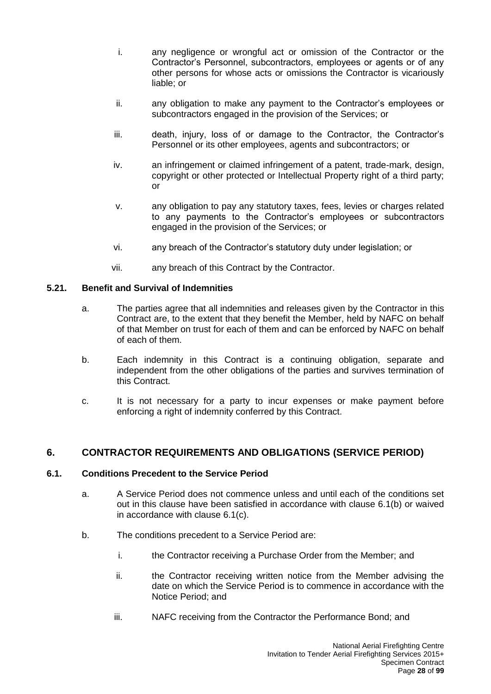- i. any negligence or wrongful act or omission of the Contractor or the Contractor's Personnel, subcontractors, employees or agents or of any other persons for whose acts or omissions the Contractor is vicariously liable; or
- ii. any obligation to make any payment to the Contractor's employees or subcontractors engaged in the provision of the Services; or
- iii. death, injury, loss of or damage to the Contractor, the Contractor's Personnel or its other employees, agents and subcontractors; or
- iv. an infringement or claimed infringement of a patent, trade-mark, design, copyright or other protected or Intellectual Property right of a third party; or
- v. any obligation to pay any statutory taxes, fees, levies or charges related to any payments to the Contractor's employees or subcontractors engaged in the provision of the Services; or
- vi. any breach of the Contractor's statutory duty under legislation; or
- vii. any breach of this Contract by the Contractor.

### <span id="page-27-0"></span>**5.21. Benefit and Survival of Indemnities**

- a. The parties agree that all indemnities and releases given by the Contractor in this Contract are, to the extent that they benefit the Member, held by NAFC on behalf of that Member on trust for each of them and can be enforced by NAFC on behalf of each of them.
- b. Each indemnity in this Contract is a continuing obligation, separate and independent from the other obligations of the parties and survives termination of this Contract.
- c. It is not necessary for a party to incur expenses or make payment before enforcing a right of indemnity conferred by this Contract.

## <span id="page-27-1"></span>**6. CONTRACTOR REQUIREMENTS AND OBLIGATIONS (SERVICE PERIOD)**

#### <span id="page-27-2"></span>**6.1. Conditions Precedent to the Service Period**

- a. A Service Period does not commence unless and until each of the conditions set out in this clause have been satisfied in accordance with clause 6.1(b) or waived in accordance with clause 6.1(c).
- b. The conditions precedent to a Service Period are:
	- i. the Contractor receiving a Purchase Order from the Member; and
	- ii. the Contractor receiving written notice from the Member advising the date on which the Service Period is to commence in accordance with the Notice Period; and
	- iii. NAFC receiving from the Contractor the Performance Bond; and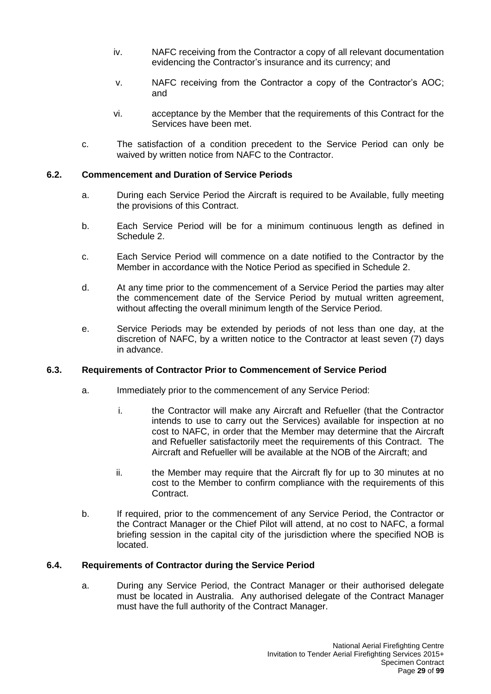- iv. NAFC receiving from the Contractor a copy of all relevant documentation evidencing the Contractor's insurance and its currency; and
- v. NAFC receiving from the Contractor a copy of the Contractor's AOC; and
- vi. acceptance by the Member that the requirements of this Contract for the Services have been met.
- c. The satisfaction of a condition precedent to the Service Period can only be waived by written notice from NAFC to the Contractor.

#### <span id="page-28-0"></span>**6.2. Commencement and Duration of Service Periods**

- a. During each Service Period the Aircraft is required to be Available, fully meeting the provisions of this Contract.
- b. Each Service Period will be for a minimum continuous length as defined in Schedule 2.
- c. Each Service Period will commence on a date notified to the Contractor by the Member in accordance with the Notice Period as specified in Schedule 2.
- d. At any time prior to the commencement of a Service Period the parties may alter the commencement date of the Service Period by mutual written agreement, without affecting the overall minimum length of the Service Period.
- e. Service Periods may be extended by periods of not less than one day, at the discretion of NAFC, by a written notice to the Contractor at least seven (7) days in advance.

#### <span id="page-28-1"></span>**6.3. Requirements of Contractor Prior to Commencement of Service Period**

- a. Immediately prior to the commencement of any Service Period:
	- i. the Contractor will make any Aircraft and Refueller (that the Contractor intends to use to carry out the Services) available for inspection at no cost to NAFC, in order that the Member may determine that the Aircraft and Refueller satisfactorily meet the requirements of this Contract. The Aircraft and Refueller will be available at the NOB of the Aircraft; and
	- ii. the Member may require that the Aircraft fly for up to 30 minutes at no cost to the Member to confirm compliance with the requirements of this Contract.
- b. If required, prior to the commencement of any Service Period, the Contractor or the Contract Manager or the Chief Pilot will attend, at no cost to NAFC, a formal briefing session in the capital city of the jurisdiction where the specified NOB is located.

#### <span id="page-28-2"></span>**6.4. Requirements of Contractor during the Service Period**

a. During any Service Period, the Contract Manager or their authorised delegate must be located in Australia. Any authorised delegate of the Contract Manager must have the full authority of the Contract Manager.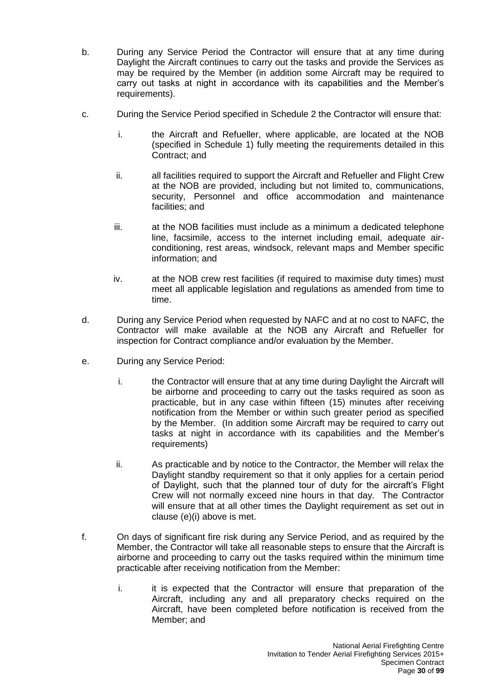- b. During any Service Period the Contractor will ensure that at any time during Daylight the Aircraft continues to carry out the tasks and provide the Services as may be required by the Member (in addition some Aircraft may be required to carry out tasks at night in accordance with its capabilities and the Member's requirements).
- c. During the Service Period specified in Schedule 2 the Contractor will ensure that:
	- i. the Aircraft and Refueller, where applicable, are located at the NOB (specified in Schedule 1) fully meeting the requirements detailed in this Contract; and
	- ii. all facilities required to support the Aircraft and Refueller and Flight Crew at the NOB are provided, including but not limited to, communications, security, Personnel and office accommodation and maintenance facilities; and
	- iii. at the NOB facilities must include as a minimum a dedicated telephone line, facsimile, access to the internet including email, adequate airconditioning, rest areas, windsock, relevant maps and Member specific information; and
	- iv. at the NOB crew rest facilities (if required to maximise duty times) must meet all applicable legislation and regulations as amended from time to time.
- d. During any Service Period when requested by NAFC and at no cost to NAFC, the Contractor will make available at the NOB any Aircraft and Refueller for inspection for Contract compliance and/or evaluation by the Member.
- e. During any Service Period:
	- i. the Contractor will ensure that at any time during Daylight the Aircraft will be airborne and proceeding to carry out the tasks required as soon as practicable, but in any case within fifteen (15) minutes after receiving notification from the Member or within such greater period as specified by the Member. (In addition some Aircraft may be required to carry out tasks at night in accordance with its capabilities and the Member's requirements)
	- ii. As practicable and by notice to the Contractor, the Member will relax the Daylight standby requirement so that it only applies for a certain period of Daylight, such that the planned tour of duty for the aircraft's Flight Crew will not normally exceed nine hours in that day. The Contractor will ensure that at all other times the Daylight requirement as set out in clause (e)(i) above is met.
- f. On days of significant fire risk during any Service Period, and as required by the Member, the Contractor will take all reasonable steps to ensure that the Aircraft is airborne and proceeding to carry out the tasks required within the minimum time practicable after receiving notification from the Member:
	- i. it is expected that the Contractor will ensure that preparation of the Aircraft, including any and all preparatory checks required on the Aircraft, have been completed before notification is received from the Member; and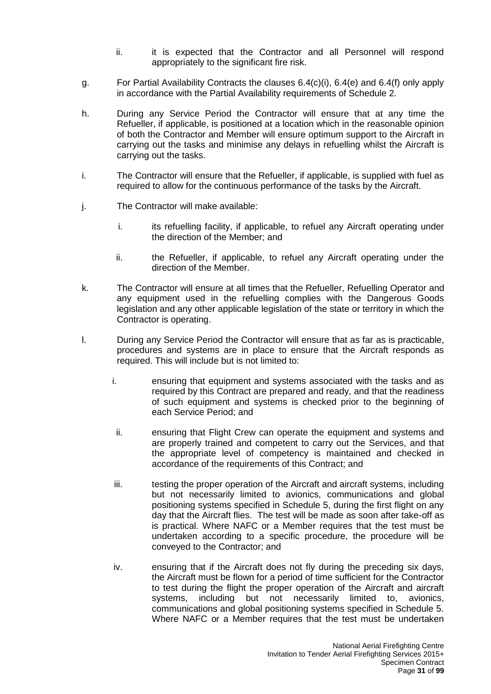- ii. it is expected that the Contractor and all Personnel will respond appropriately to the significant fire risk.
- g. For Partial Availability Contracts the clauses 6.4(c)(i), 6.4(e) and 6.4(f) only apply in accordance with the Partial Availability requirements of Schedule 2.
- h. During any Service Period the Contractor will ensure that at any time the Refueller, if applicable, is positioned at a location which in the reasonable opinion of both the Contractor and Member will ensure optimum support to the Aircraft in carrying out the tasks and minimise any delays in refuelling whilst the Aircraft is carrying out the tasks.
- i. The Contractor will ensure that the Refueller, if applicable, is supplied with fuel as required to allow for the continuous performance of the tasks by the Aircraft.
- j. The Contractor will make available:
	- i. its refuelling facility, if applicable, to refuel any Aircraft operating under the direction of the Member; and
	- ii. the Refueller, if applicable, to refuel any Aircraft operating under the direction of the Member.
- k. The Contractor will ensure at all times that the Refueller, Refuelling Operator and any equipment used in the refuelling complies with the Dangerous Goods legislation and any other applicable legislation of the state or territory in which the Contractor is operating.
- l. During any Service Period the Contractor will ensure that as far as is practicable, procedures and systems are in place to ensure that the Aircraft responds as required. This will include but is not limited to:
	- i. ensuring that equipment and systems associated with the tasks and as required by this Contract are prepared and ready, and that the readiness of such equipment and systems is checked prior to the beginning of each Service Period; and
	- ii. ensuring that Flight Crew can operate the equipment and systems and are properly trained and competent to carry out the Services, and that the appropriate level of competency is maintained and checked in accordance of the requirements of this Contract; and
	- iii. testing the proper operation of the Aircraft and aircraft systems, including but not necessarily limited to avionics, communications and global positioning systems specified in Schedule 5, during the first flight on any day that the Aircraft flies. The test will be made as soon after take-off as is practical. Where NAFC or a Member requires that the test must be undertaken according to a specific procedure, the procedure will be conveyed to the Contractor; and
	- iv. ensuring that if the Aircraft does not fly during the preceding six days, the Aircraft must be flown for a period of time sufficient for the Contractor to test during the flight the proper operation of the Aircraft and aircraft systems, including but not necessarily limited to, avionics, communications and global positioning systems specified in Schedule 5. Where NAFC or a Member requires that the test must be undertaken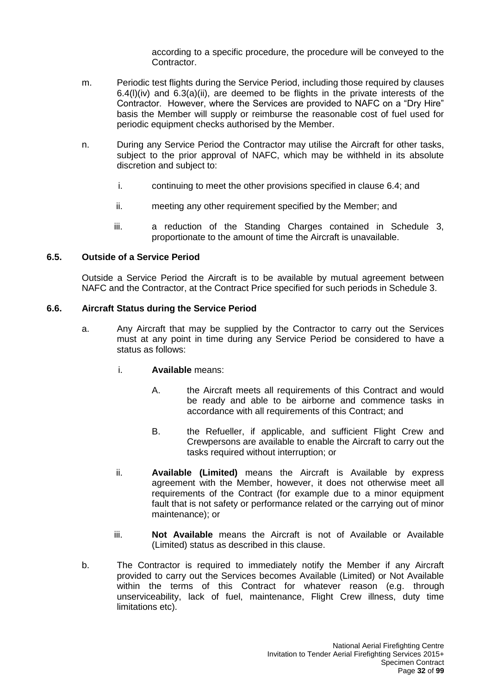according to a specific procedure, the procedure will be conveyed to the Contractor.

- m. Periodic test flights during the Service Period, including those required by clauses 6.4(l)(iv) and 6.3(a)(ii), are deemed to be flights in the private interests of the Contractor. However, where the Services are provided to NAFC on a "Dry Hire" basis the Member will supply or reimburse the reasonable cost of fuel used for periodic equipment checks authorised by the Member.
- n. During any Service Period the Contractor may utilise the Aircraft for other tasks, subject to the prior approval of NAFC, which may be withheld in its absolute discretion and subject to:
	- i. continuing to meet the other provisions specified in clause 6.4; and
	- ii. meeting any other requirement specified by the Member; and
	- iii. a reduction of the Standing Charges contained in Schedule 3, proportionate to the amount of time the Aircraft is unavailable.

#### <span id="page-31-0"></span>**6.5. Outside of a Service Period**

Outside a Service Period the Aircraft is to be available by mutual agreement between NAFC and the Contractor, at the Contract Price specified for such periods in Schedule 3.

#### <span id="page-31-1"></span>**6.6. Aircraft Status during the Service Period**

- a. Any Aircraft that may be supplied by the Contractor to carry out the Services must at any point in time during any Service Period be considered to have a status as follows:
	- i. **Available** means:
		- A. the Aircraft meets all requirements of this Contract and would be ready and able to be airborne and commence tasks in accordance with all requirements of this Contract; and
		- B. the Refueller, if applicable, and sufficient Flight Crew and Crewpersons are available to enable the Aircraft to carry out the tasks required without interruption; or
	- ii. **Available (Limited)** means the Aircraft is Available by express agreement with the Member, however, it does not otherwise meet all requirements of the Contract (for example due to a minor equipment fault that is not safety or performance related or the carrying out of minor maintenance); or
	- iii. **Not Available** means the Aircraft is not of Available or Available (Limited) status as described in this clause.
- b. The Contractor is required to immediately notify the Member if any Aircraft provided to carry out the Services becomes Available (Limited) or Not Available within the terms of this Contract for whatever reason (e.g. through unserviceability, lack of fuel, maintenance, Flight Crew illness, duty time limitations etc).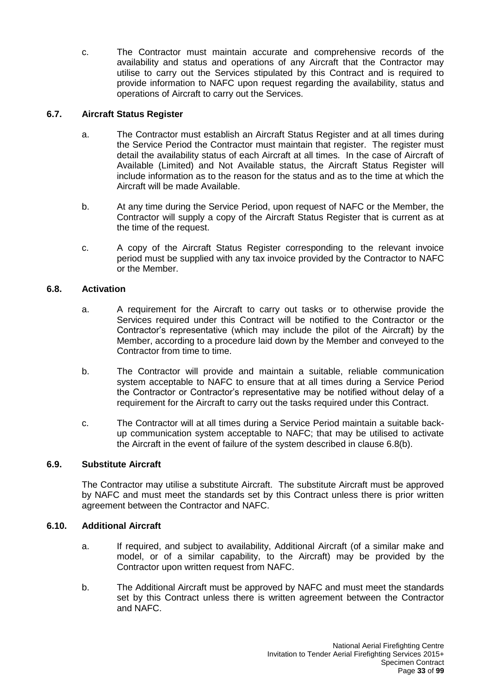c. The Contractor must maintain accurate and comprehensive records of the availability and status and operations of any Aircraft that the Contractor may utilise to carry out the Services stipulated by this Contract and is required to provide information to NAFC upon request regarding the availability, status and operations of Aircraft to carry out the Services.

### <span id="page-32-0"></span>**6.7. Aircraft Status Register**

- a. The Contractor must establish an Aircraft Status Register and at all times during the Service Period the Contractor must maintain that register. The register must detail the availability status of each Aircraft at all times. In the case of Aircraft of Available (Limited) and Not Available status, the Aircraft Status Register will include information as to the reason for the status and as to the time at which the Aircraft will be made Available.
- b. At any time during the Service Period, upon request of NAFC or the Member, the Contractor will supply a copy of the Aircraft Status Register that is current as at the time of the request.
- c. A copy of the Aircraft Status Register corresponding to the relevant invoice period must be supplied with any tax invoice provided by the Contractor to NAFC or the Member.

#### <span id="page-32-1"></span>**6.8. Activation**

- a. A requirement for the Aircraft to carry out tasks or to otherwise provide the Services required under this Contract will be notified to the Contractor or the Contractor's representative (which may include the pilot of the Aircraft) by the Member, according to a procedure laid down by the Member and conveyed to the Contractor from time to time.
- b. The Contractor will provide and maintain a suitable, reliable communication system acceptable to NAFC to ensure that at all times during a Service Period the Contractor or Contractor's representative may be notified without delay of a requirement for the Aircraft to carry out the tasks required under this Contract.
- c. The Contractor will at all times during a Service Period maintain a suitable backup communication system acceptable to NAFC; that may be utilised to activate the Aircraft in the event of failure of the system described in clause 6.8(b).

### <span id="page-32-2"></span>**6.9. Substitute Aircraft**

The Contractor may utilise a substitute Aircraft. The substitute Aircraft must be approved by NAFC and must meet the standards set by this Contract unless there is prior written agreement between the Contractor and NAFC.

#### <span id="page-32-3"></span>**6.10. Additional Aircraft**

- a. If required, and subject to availability, Additional Aircraft (of a similar make and model, or of a similar capability, to the Aircraft) may be provided by the Contractor upon written request from NAFC.
- b. The Additional Aircraft must be approved by NAFC and must meet the standards set by this Contract unless there is written agreement between the Contractor and NAFC.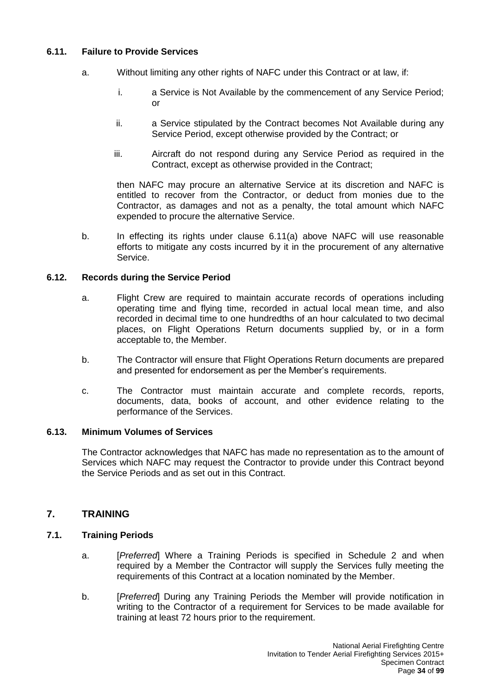### <span id="page-33-0"></span>**6.11. Failure to Provide Services**

- a. Without limiting any other rights of NAFC under this Contract or at law, if:
	- i. a Service is Not Available by the commencement of any Service Period; or
	- ii. a Service stipulated by the Contract becomes Not Available during any Service Period, except otherwise provided by the Contract; or
	- iii. Aircraft do not respond during any Service Period as required in the Contract, except as otherwise provided in the Contract;

then NAFC may procure an alternative Service at its discretion and NAFC is entitled to recover from the Contractor, or deduct from monies due to the Contractor, as damages and not as a penalty, the total amount which NAFC expended to procure the alternative Service.

b. In effecting its rights under clause 6.11(a) above NAFC will use reasonable efforts to mitigate any costs incurred by it in the procurement of any alternative Service.

#### <span id="page-33-1"></span>**6.12. Records during the Service Period**

- a. Flight Crew are required to maintain accurate records of operations including operating time and flying time, recorded in actual local mean time, and also recorded in decimal time to one hundredths of an hour calculated to two decimal places, on Flight Operations Return documents supplied by, or in a form acceptable to, the Member.
- b. The Contractor will ensure that Flight Operations Return documents are prepared and presented for endorsement as per the Member's requirements.
- c. The Contractor must maintain accurate and complete records, reports, documents, data, books of account, and other evidence relating to the performance of the Services.

#### <span id="page-33-2"></span>**6.13. Minimum Volumes of Services**

The Contractor acknowledges that NAFC has made no representation as to the amount of Services which NAFC may request the Contractor to provide under this Contract beyond the Service Periods and as set out in this Contract.

## <span id="page-33-3"></span>**7. TRAINING**

#### <span id="page-33-4"></span>**7.1. Training Periods**

- a. [*Preferred*] Where a Training Periods is specified in Schedule 2 and when required by a Member the Contractor will supply the Services fully meeting the requirements of this Contract at a location nominated by the Member.
- b. [*Preferred*] During any Training Periods the Member will provide notification in writing to the Contractor of a requirement for Services to be made available for training at least 72 hours prior to the requirement.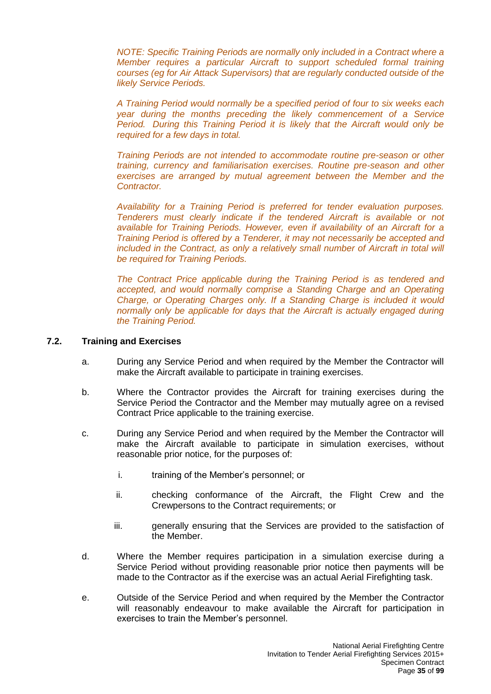*NOTE: Specific Training Periods are normally only included in a Contract where a Member requires a particular Aircraft to support scheduled formal training courses (eg for Air Attack Supervisors) that are regularly conducted outside of the likely Service Periods.*

*A Training Period would normally be a specified period of four to six weeks each year during the months preceding the likely commencement of a Service Period. During this Training Period it is likely that the Aircraft would only be required for a few days in total.*

*Training Periods are not intended to accommodate routine pre-season or other training, currency and familiarisation exercises. Routine pre-season and other exercises are arranged by mutual agreement between the Member and the Contractor.*

*Availability for a Training Period is preferred for tender evaluation purposes. Tenderers must clearly indicate if the tendered Aircraft is available or not available for Training Periods. However, even if availability of an Aircraft for a Training Period is offered by a Tenderer, it may not necessarily be accepted and included in the Contract, as only a relatively small number of Aircraft in total will be required for Training Periods.*

*The Contract Price applicable during the Training Period is as tendered and accepted, and would normally comprise a Standing Charge and an Operating Charge, or Operating Charges only. If a Standing Charge is included it would normally only be applicable for days that the Aircraft is actually engaged during the Training Period.*

#### <span id="page-34-0"></span>**7.2. Training and Exercises**

- a. During any Service Period and when required by the Member the Contractor will make the Aircraft available to participate in training exercises.
- b. Where the Contractor provides the Aircraft for training exercises during the Service Period the Contractor and the Member may mutually agree on a revised Contract Price applicable to the training exercise.
- c. During any Service Period and when required by the Member the Contractor will make the Aircraft available to participate in simulation exercises, without reasonable prior notice, for the purposes of:
	- i. training of the Member's personnel; or
	- ii. checking conformance of the Aircraft, the Flight Crew and the Crewpersons to the Contract requirements; or
	- iii. generally ensuring that the Services are provided to the satisfaction of the Member.
- d. Where the Member requires participation in a simulation exercise during a Service Period without providing reasonable prior notice then payments will be made to the Contractor as if the exercise was an actual Aerial Firefighting task.
- e. Outside of the Service Period and when required by the Member the Contractor will reasonably endeavour to make available the Aircraft for participation in exercises to train the Member's personnel.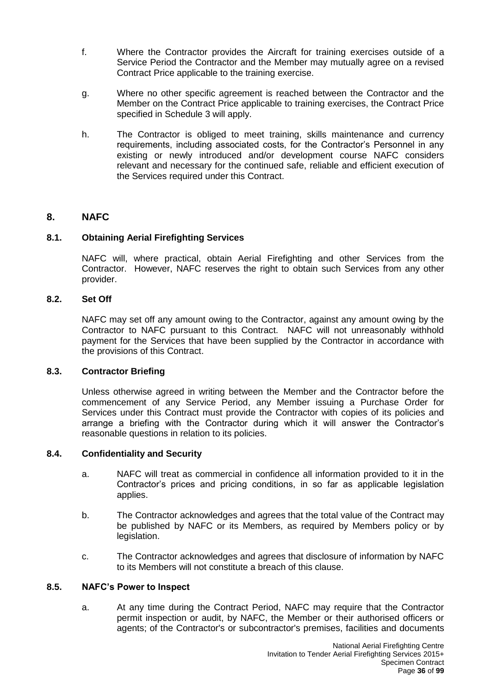- f. Where the Contractor provides the Aircraft for training exercises outside of a Service Period the Contractor and the Member may mutually agree on a revised Contract Price applicable to the training exercise.
- g. Where no other specific agreement is reached between the Contractor and the Member on the Contract Price applicable to training exercises, the Contract Price specified in Schedule 3 will apply.
- h. The Contractor is obliged to meet training, skills maintenance and currency requirements, including associated costs, for the Contractor's Personnel in any existing or newly introduced and/or development course NAFC considers relevant and necessary for the continued safe, reliable and efficient execution of the Services required under this Contract.

### <span id="page-35-0"></span>**8. NAFC**

#### <span id="page-35-1"></span>**8.1. Obtaining Aerial Firefighting Services**

NAFC will, where practical, obtain Aerial Firefighting and other Services from the Contractor. However, NAFC reserves the right to obtain such Services from any other provider.

#### <span id="page-35-2"></span>**8.2. Set Off**

NAFC may set off any amount owing to the Contractor, against any amount owing by the Contractor to NAFC pursuant to this Contract. NAFC will not unreasonably withhold payment for the Services that have been supplied by the Contractor in accordance with the provisions of this Contract.

#### <span id="page-35-3"></span>**8.3. Contractor Briefing**

Unless otherwise agreed in writing between the Member and the Contractor before the commencement of any Service Period, any Member issuing a Purchase Order for Services under this Contract must provide the Contractor with copies of its policies and arrange a briefing with the Contractor during which it will answer the Contractor's reasonable questions in relation to its policies.

#### <span id="page-35-4"></span>**8.4. Confidentiality and Security**

- a. NAFC will treat as commercial in confidence all information provided to it in the Contractor's prices and pricing conditions, in so far as applicable legislation applies.
- b. The Contractor acknowledges and agrees that the total value of the Contract may be published by NAFC or its Members, as required by Members policy or by legislation.
- c. The Contractor acknowledges and agrees that disclosure of information by NAFC to its Members will not constitute a breach of this clause.

#### <span id="page-35-5"></span>**8.5. NAFC's Power to Inspect**

a. At any time during the Contract Period, NAFC may require that the Contractor permit inspection or audit, by NAFC, the Member or their authorised officers or agents; of the Contractor's or subcontractor's premises, facilities and documents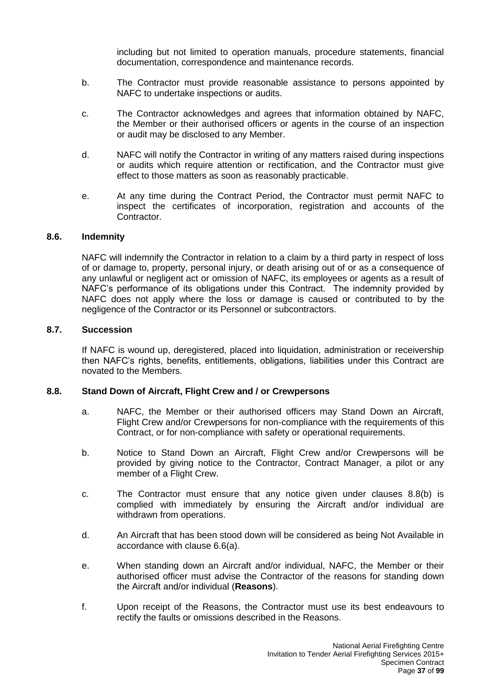including but not limited to operation manuals, procedure statements, financial documentation, correspondence and maintenance records.

- b. The Contractor must provide reasonable assistance to persons appointed by NAFC to undertake inspections or audits.
- c. The Contractor acknowledges and agrees that information obtained by NAFC, the Member or their authorised officers or agents in the course of an inspection or audit may be disclosed to any Member.
- d. NAFC will notify the Contractor in writing of any matters raised during inspections or audits which require attention or rectification, and the Contractor must give effect to those matters as soon as reasonably practicable.
- e. At any time during the Contract Period, the Contractor must permit NAFC to inspect the certificates of incorporation, registration and accounts of the Contractor.

#### **8.6. Indemnity**

NAFC will indemnify the Contractor in relation to a claim by a third party in respect of loss of or damage to, property, personal injury, or death arising out of or as a consequence of any unlawful or negligent act or omission of NAFC, its employees or agents as a result of NAFC's performance of its obligations under this Contract. The indemnity provided by NAFC does not apply where the loss or damage is caused or contributed to by the negligence of the Contractor or its Personnel or subcontractors.

#### **8.7. Succession**

If NAFC is wound up, deregistered, placed into liquidation, administration or receivership then NAFC's rights, benefits, entitlements, obligations, liabilities under this Contract are novated to the Members.

## **8.8. Stand Down of Aircraft, Flight Crew and / or Crewpersons**

- a. NAFC, the Member or their authorised officers may Stand Down an Aircraft, Flight Crew and/or Crewpersons for non-compliance with the requirements of this Contract, or for non-compliance with safety or operational requirements.
- b. Notice to Stand Down an Aircraft, Flight Crew and/or Crewpersons will be provided by giving notice to the Contractor, Contract Manager, a pilot or any member of a Flight Crew.
- c. The Contractor must ensure that any notice given under clauses 8.8(b) is complied with immediately by ensuring the Aircraft and/or individual are withdrawn from operations.
- d. An Aircraft that has been stood down will be considered as being Not Available in accordance with clause 6.6(a).
- e. When standing down an Aircraft and/or individual, NAFC, the Member or their authorised officer must advise the Contractor of the reasons for standing down the Aircraft and/or individual (**Reasons**).
- f. Upon receipt of the Reasons, the Contractor must use its best endeavours to rectify the faults or omissions described in the Reasons.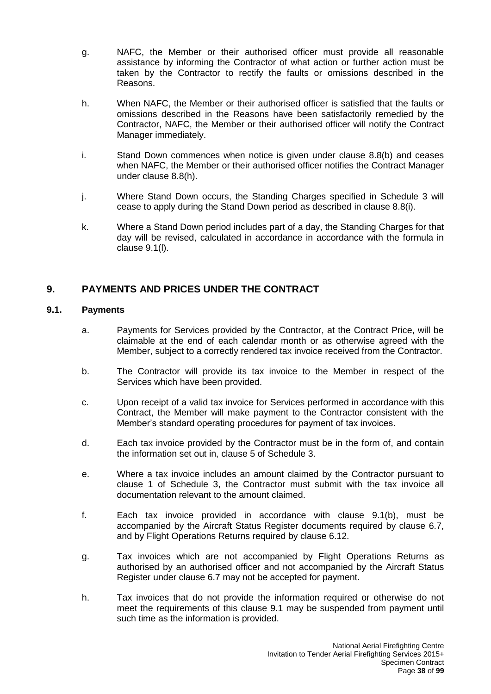- g. NAFC, the Member or their authorised officer must provide all reasonable assistance by informing the Contractor of what action or further action must be taken by the Contractor to rectify the faults or omissions described in the Reasons.
- h. When NAFC, the Member or their authorised officer is satisfied that the faults or omissions described in the Reasons have been satisfactorily remedied by the Contractor, NAFC, the Member or their authorised officer will notify the Contract Manager immediately.
- i. Stand Down commences when notice is given under clause 8.8(b) and ceases when NAFC, the Member or their authorised officer notifies the Contract Manager under clause 8.8(h).
- j. Where Stand Down occurs, the Standing Charges specified in Schedule 3 will cease to apply during the Stand Down period as described in clause 8.8(i).
- k. Where a Stand Down period includes part of a day, the Standing Charges for that day will be revised, calculated in accordance in accordance with the formula in clause 9.1(l).

# **9. PAYMENTS AND PRICES UNDER THE CONTRACT**

## **9.1. Payments**

- a. Payments for Services provided by the Contractor, at the Contract Price, will be claimable at the end of each calendar month or as otherwise agreed with the Member, subject to a correctly rendered tax invoice received from the Contractor.
- b. The Contractor will provide its tax invoice to the Member in respect of the Services which have been provided.
- c. Upon receipt of a valid tax invoice for Services performed in accordance with this Contract, the Member will make payment to the Contractor consistent with the Member's standard operating procedures for payment of tax invoices.
- d. Each tax invoice provided by the Contractor must be in the form of, and contain the information set out in, clause 5 of Schedule 3.
- e. Where a tax invoice includes an amount claimed by the Contractor pursuant to clause 1 of Schedule 3, the Contractor must submit with the tax invoice all documentation relevant to the amount claimed.
- f. Each tax invoice provided in accordance with clause 9.1(b), must be accompanied by the Aircraft Status Register documents required by clause 6.7, and by Flight Operations Returns required by clause 6.12.
- g. Tax invoices which are not accompanied by Flight Operations Returns as authorised by an authorised officer and not accompanied by the Aircraft Status Register under clause 6.7 may not be accepted for payment.
- h. Tax invoices that do not provide the information required or otherwise do not meet the requirements of this clause 9.1 may be suspended from payment until such time as the information is provided.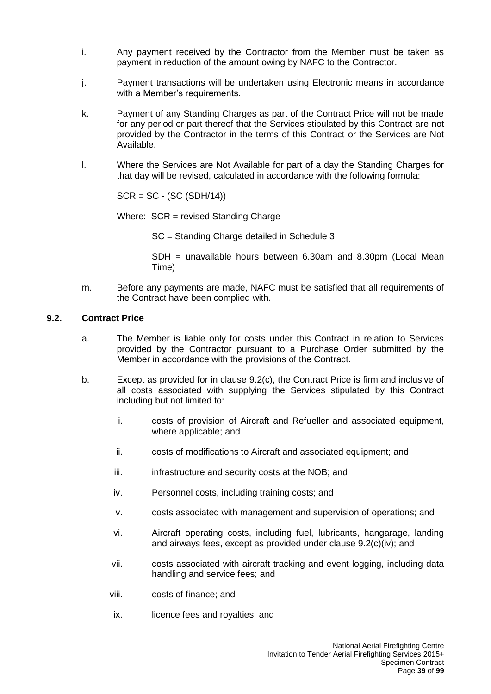- i. Any payment received by the Contractor from the Member must be taken as payment in reduction of the amount owing by NAFC to the Contractor.
- j. Payment transactions will be undertaken using Electronic means in accordance with a Member's requirements.
- k. Payment of any Standing Charges as part of the Contract Price will not be made for any period or part thereof that the Services stipulated by this Contract are not provided by the Contractor in the terms of this Contract or the Services are Not Available.
- l. Where the Services are Not Available for part of a day the Standing Charges for that day will be revised, calculated in accordance with the following formula:

SCR = SC - (SC (SDH/14))

Where:  $SCR = revised$  Standing Charge

SC = Standing Charge detailed in Schedule 3

SDH = unavailable hours between 6.30am and 8.30pm (Local Mean Time)

m. Before any payments are made, NAFC must be satisfied that all requirements of the Contract have been complied with.

#### **9.2. Contract Price**

- a. The Member is liable only for costs under this Contract in relation to Services provided by the Contractor pursuant to a Purchase Order submitted by the Member in accordance with the provisions of the Contract.
- b. Except as provided for in clause 9.2(c), the Contract Price is firm and inclusive of all costs associated with supplying the Services stipulated by this Contract including but not limited to:
	- i. costs of provision of Aircraft and Refueller and associated equipment, where applicable; and
	- ii. costs of modifications to Aircraft and associated equipment; and
	- iii. infrastructure and security costs at the NOB; and
	- iv. Personnel costs, including training costs; and
	- v. costs associated with management and supervision of operations; and
	- vi. Aircraft operating costs, including fuel, lubricants, hangarage, landing and airways fees, except as provided under clause 9.2(c)(iv); and
	- vii. costs associated with aircraft tracking and event logging, including data handling and service fees; and
	- viii. costs of finance; and
	- ix. licence fees and royalties; and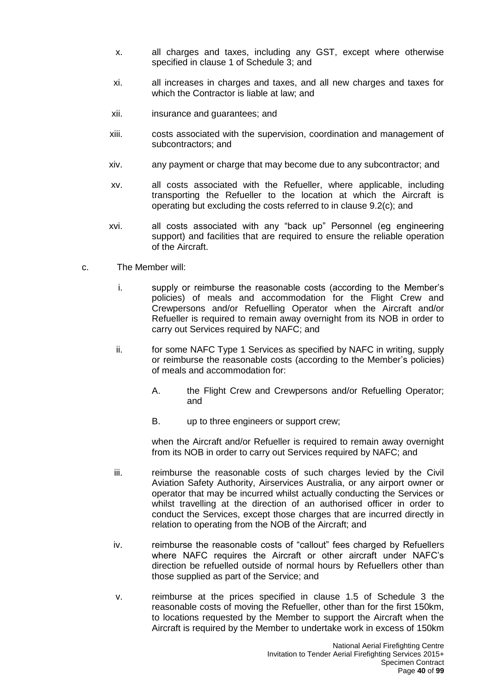- x. all charges and taxes, including any GST, except where otherwise specified in clause 1 of Schedule 3; and
- xi. all increases in charges and taxes, and all new charges and taxes for which the Contractor is liable at law; and
- xii. insurance and guarantees; and
- xiii. costs associated with the supervision, coordination and management of subcontractors; and
- xiv. any payment or charge that may become due to any subcontractor; and
- xv. all costs associated with the Refueller, where applicable, including transporting the Refueller to the location at which the Aircraft is operating but excluding the costs referred to in clause 9.2(c); and
- xvi. all costs associated with any "back up" Personnel (eg engineering support) and facilities that are required to ensure the reliable operation of the Aircraft.
- c. The Member will:
	- i. supply or reimburse the reasonable costs (according to the Member's policies) of meals and accommodation for the Flight Crew and Crewpersons and/or Refuelling Operator when the Aircraft and/or Refueller is required to remain away overnight from its NOB in order to carry out Services required by NAFC; and
	- ii. for some NAFC Type 1 Services as specified by NAFC in writing, supply or reimburse the reasonable costs (according to the Member's policies) of meals and accommodation for:
		- A. the Flight Crew and Crewpersons and/or Refuelling Operator; and
		- B. up to three engineers or support crew;

when the Aircraft and/or Refueller is required to remain away overnight from its NOB in order to carry out Services required by NAFC; and

- iii. reimburse the reasonable costs of such charges levied by the Civil Aviation Safety Authority, Airservices Australia, or any airport owner or operator that may be incurred whilst actually conducting the Services or whilst travelling at the direction of an authorised officer in order to conduct the Services, except those charges that are incurred directly in relation to operating from the NOB of the Aircraft; and
- iv. reimburse the reasonable costs of "callout" fees charged by Refuellers where NAFC requires the Aircraft or other aircraft under NAFC's direction be refuelled outside of normal hours by Refuellers other than those supplied as part of the Service; and
- v. reimburse at the prices specified in clause 1.5 of Schedule 3 the reasonable costs of moving the Refueller, other than for the first 150km, to locations requested by the Member to support the Aircraft when the Aircraft is required by the Member to undertake work in excess of 150km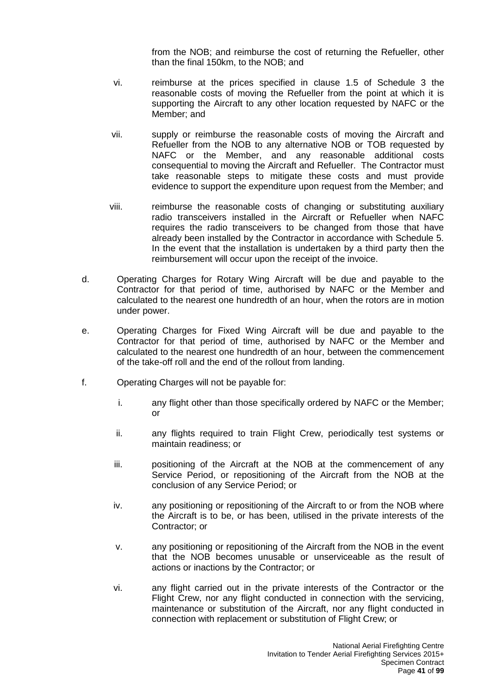from the NOB; and reimburse the cost of returning the Refueller, other than the final 150km, to the NOB; and

- vi. reimburse at the prices specified in clause 1.5 of Schedule 3 the reasonable costs of moving the Refueller from the point at which it is supporting the Aircraft to any other location requested by NAFC or the Member; and
- vii. supply or reimburse the reasonable costs of moving the Aircraft and Refueller from the NOB to any alternative NOB or TOB requested by NAFC or the Member, and any reasonable additional costs consequential to moving the Aircraft and Refueller. The Contractor must take reasonable steps to mitigate these costs and must provide evidence to support the expenditure upon request from the Member; and
- viii. reimburse the reasonable costs of changing or substituting auxiliary radio transceivers installed in the Aircraft or Refueller when NAFC requires the radio transceivers to be changed from those that have already been installed by the Contractor in accordance with Schedule 5. In the event that the installation is undertaken by a third party then the reimbursement will occur upon the receipt of the invoice.
- d. Operating Charges for Rotary Wing Aircraft will be due and payable to the Contractor for that period of time, authorised by NAFC or the Member and calculated to the nearest one hundredth of an hour, when the rotors are in motion under power.
- e. Operating Charges for Fixed Wing Aircraft will be due and payable to the Contractor for that period of time, authorised by NAFC or the Member and calculated to the nearest one hundredth of an hour, between the commencement of the take-off roll and the end of the rollout from landing.
- f. Operating Charges will not be payable for:
	- i. any flight other than those specifically ordered by NAFC or the Member; or
	- ii. any flights required to train Flight Crew, periodically test systems or maintain readiness; or
	- iii. positioning of the Aircraft at the NOB at the commencement of any Service Period, or repositioning of the Aircraft from the NOB at the conclusion of any Service Period; or
	- iv. any positioning or repositioning of the Aircraft to or from the NOB where the Aircraft is to be, or has been, utilised in the private interests of the Contractor; or
	- v. any positioning or repositioning of the Aircraft from the NOB in the event that the NOB becomes unusable or unserviceable as the result of actions or inactions by the Contractor; or
	- vi. any flight carried out in the private interests of the Contractor or the Flight Crew, nor any flight conducted in connection with the servicing, maintenance or substitution of the Aircraft, nor any flight conducted in connection with replacement or substitution of Flight Crew; or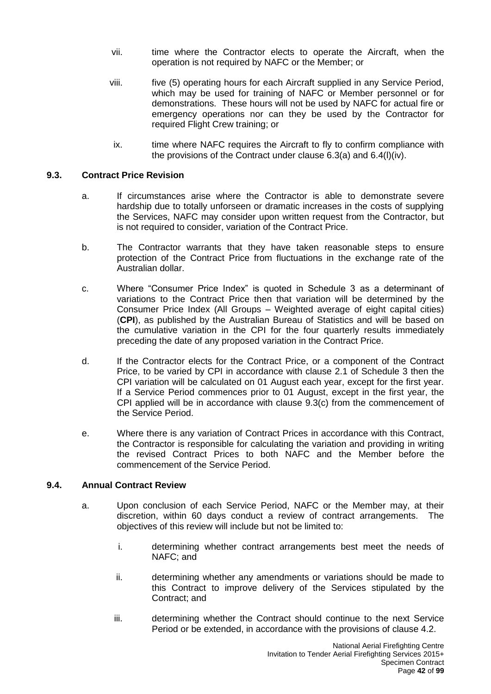- vii. time where the Contractor elects to operate the Aircraft, when the operation is not required by NAFC or the Member; or
- viii. five (5) operating hours for each Aircraft supplied in any Service Period, which may be used for training of NAFC or Member personnel or for demonstrations. These hours will not be used by NAFC for actual fire or emergency operations nor can they be used by the Contractor for required Flight Crew training; or
- ix. time where NAFC requires the Aircraft to fly to confirm compliance with the provisions of the Contract under clause 6.3(a) and 6.4(l)(iv).

## **9.3. Contract Price Revision**

- a. If circumstances arise where the Contractor is able to demonstrate severe hardship due to totally unforseen or dramatic increases in the costs of supplying the Services, NAFC may consider upon written request from the Contractor, but is not required to consider, variation of the Contract Price.
- b. The Contractor warrants that they have taken reasonable steps to ensure protection of the Contract Price from fluctuations in the exchange rate of the Australian dollar.
- c. Where "Consumer Price Index" is quoted in Schedule 3 as a determinant of variations to the Contract Price then that variation will be determined by the Consumer Price Index (All Groups – Weighted average of eight capital cities) (**CPI**), as published by the Australian Bureau of Statistics and will be based on the cumulative variation in the CPI for the four quarterly results immediately preceding the date of any proposed variation in the Contract Price.
- d. If the Contractor elects for the Contract Price, or a component of the Contract Price, to be varied by CPI in accordance with clause 2.1 of Schedule 3 then the CPI variation will be calculated on 01 August each year, except for the first year. If a Service Period commences prior to 01 August, except in the first year, the CPI applied will be in accordance with clause 9.3(c) from the commencement of the Service Period.
- e. Where there is any variation of Contract Prices in accordance with this Contract, the Contractor is responsible for calculating the variation and providing in writing the revised Contract Prices to both NAFC and the Member before the commencement of the Service Period.

#### **9.4. Annual Contract Review**

- a. Upon conclusion of each Service Period, NAFC or the Member may, at their discretion, within 60 days conduct a review of contract arrangements. The objectives of this review will include but not be limited to:
	- i. determining whether contract arrangements best meet the needs of NAFC; and
	- ii. determining whether any amendments or variations should be made to this Contract to improve delivery of the Services stipulated by the Contract; and
	- iii. determining whether the Contract should continue to the next Service Period or be extended, in accordance with the provisions of clause 4.2.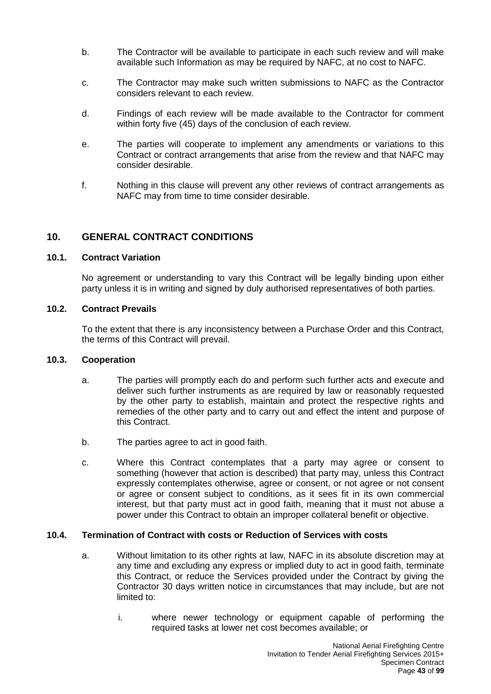- b. The Contractor will be available to participate in each such review and will make available such Information as may be required by NAFC, at no cost to NAFC.
- c. The Contractor may make such written submissions to NAFC as the Contractor considers relevant to each review.
- d. Findings of each review will be made available to the Contractor for comment within forty five (45) days of the conclusion of each review.
- e. The parties will cooperate to implement any amendments or variations to this Contract or contract arrangements that arise from the review and that NAFC may consider desirable.
- f. Nothing in this clause will prevent any other reviews of contract arrangements as NAFC may from time to time consider desirable.

# **10. GENERAL CONTRACT CONDITIONS**

## **10.1. Contract Variation**

No agreement or understanding to vary this Contract will be legally binding upon either party unless it is in writing and signed by duly authorised representatives of both parties.

## **10.2. Contract Prevails**

To the extent that there is any inconsistency between a Purchase Order and this Contract, the terms of this Contract will prevail.

## **10.3. Cooperation**

- a. The parties will promptly each do and perform such further acts and execute and deliver such further instruments as are required by law or reasonably requested by the other party to establish, maintain and protect the respective rights and remedies of the other party and to carry out and effect the intent and purpose of this Contract.
- b. The parties agree to act in good faith.
- c. Where this Contract contemplates that a party may agree or consent to something (however that action is described) that party may, unless this Contract expressly contemplates otherwise, agree or consent, or not agree or not consent or agree or consent subject to conditions, as it sees fit in its own commercial interest, but that party must act in good faith, meaning that it must not abuse a power under this Contract to obtain an improper collateral benefit or objective.

## **10.4. Termination of Contract with costs or Reduction of Services with costs**

- a. Without limitation to its other rights at law, NAFC in its absolute discretion may at any time and excluding any express or implied duty to act in good faith, terminate this Contract, or reduce the Services provided under the Contract by giving the Contractor 30 days written notice in circumstances that may include, but are not limited to:
	- i. where newer technology or equipment capable of performing the required tasks at lower net cost becomes available; or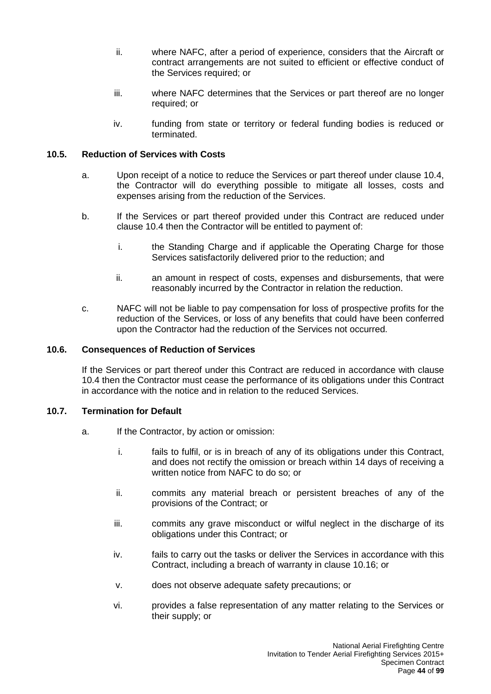- ii. where NAFC, after a period of experience, considers that the Aircraft or contract arrangements are not suited to efficient or effective conduct of the Services required; or
- iii. where NAFC determines that the Services or part thereof are no longer required; or
- iv. funding from state or territory or federal funding bodies is reduced or terminated.

## **10.5. Reduction of Services with Costs**

- a. Upon receipt of a notice to reduce the Services or part thereof under clause 10.4, the Contractor will do everything possible to mitigate all losses, costs and expenses arising from the reduction of the Services.
- b. If the Services or part thereof provided under this Contract are reduced under clause 10.4 then the Contractor will be entitled to payment of:
	- i. the Standing Charge and if applicable the Operating Charge for those Services satisfactorily delivered prior to the reduction; and
	- ii. an amount in respect of costs, expenses and disbursements, that were reasonably incurred by the Contractor in relation the reduction.
- c. NAFC will not be liable to pay compensation for loss of prospective profits for the reduction of the Services, or loss of any benefits that could have been conferred upon the Contractor had the reduction of the Services not occurred.

## **10.6. Consequences of Reduction of Services**

If the Services or part thereof under this Contract are reduced in accordance with clause 10.4 then the Contractor must cease the performance of its obligations under this Contract in accordance with the notice and in relation to the reduced Services.

## **10.7. Termination for Default**

- a. If the Contractor, by action or omission:
	- i. fails to fulfil, or is in breach of any of its obligations under this Contract, and does not rectify the omission or breach within 14 days of receiving a written notice from NAFC to do so; or
	- ii. commits any material breach or persistent breaches of any of the provisions of the Contract; or
	- iii. commits any grave misconduct or wilful neglect in the discharge of its obligations under this Contract; or
	- iv. fails to carry out the tasks or deliver the Services in accordance with this Contract, including a breach of warranty in clause 10.16; or
	- v. does not observe adequate safety precautions; or
	- vi. provides a false representation of any matter relating to the Services or their supply; or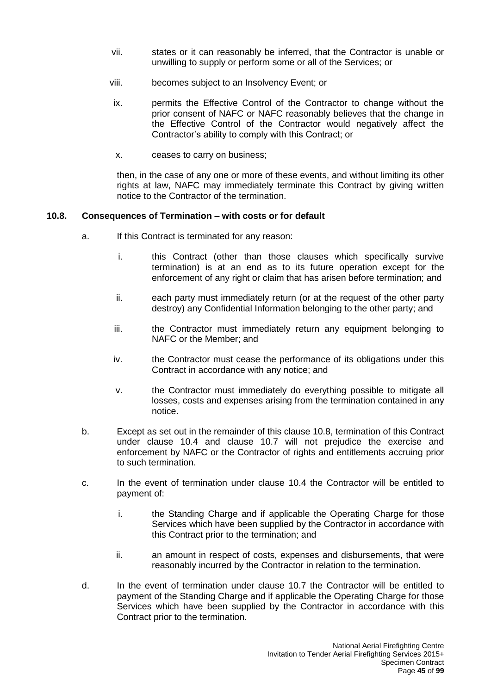- vii. states or it can reasonably be inferred, that the Contractor is unable or unwilling to supply or perform some or all of the Services; or
- viii. becomes subject to an Insolvency Event; or
- ix. permits the Effective Control of the Contractor to change without the prior consent of NAFC or NAFC reasonably believes that the change in the Effective Control of the Contractor would negatively affect the Contractor's ability to comply with this Contract; or
- x. ceases to carry on business;

then, in the case of any one or more of these events, and without limiting its other rights at law, NAFC may immediately terminate this Contract by giving written notice to the Contractor of the termination.

## **10.8. Consequences of Termination – with costs or for default**

- a. If this Contract is terminated for any reason:
	- i. this Contract (other than those clauses which specifically survive termination) is at an end as to its future operation except for the enforcement of any right or claim that has arisen before termination; and
	- ii. each party must immediately return (or at the request of the other party destroy) any Confidential Information belonging to the other party; and
	- iii. the Contractor must immediately return any equipment belonging to NAFC or the Member; and
	- iv. the Contractor must cease the performance of its obligations under this Contract in accordance with any notice; and
	- v. the Contractor must immediately do everything possible to mitigate all losses, costs and expenses arising from the termination contained in any notice.
- b. Except as set out in the remainder of this clause 10.8, termination of this Contract under clause 10.4 and clause 10.7 will not prejudice the exercise and enforcement by NAFC or the Contractor of rights and entitlements accruing prior to such termination.
- c. In the event of termination under clause 10.4 the Contractor will be entitled to payment of:
	- i. the Standing Charge and if applicable the Operating Charge for those Services which have been supplied by the Contractor in accordance with this Contract prior to the termination; and
	- ii. an amount in respect of costs, expenses and disbursements, that were reasonably incurred by the Contractor in relation to the termination.
- d. In the event of termination under clause 10.7 the Contractor will be entitled to payment of the Standing Charge and if applicable the Operating Charge for those Services which have been supplied by the Contractor in accordance with this Contract prior to the termination.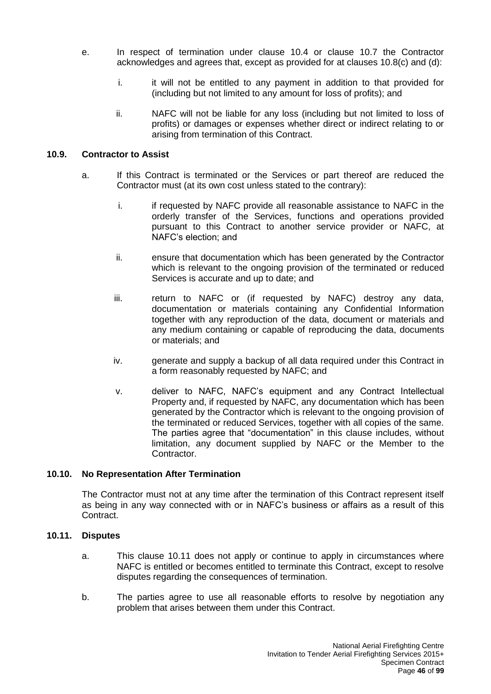- e. In respect of termination under clause 10.4 or clause 10.7 the Contractor acknowledges and agrees that, except as provided for at clauses 10.8(c) and (d):
	- i. it will not be entitled to any payment in addition to that provided for (including but not limited to any amount for loss of profits); and
	- ii. NAFC will not be liable for any loss (including but not limited to loss of profits) or damages or expenses whether direct or indirect relating to or arising from termination of this Contract.

## **10.9. Contractor to Assist**

- a. If this Contract is terminated or the Services or part thereof are reduced the Contractor must (at its own cost unless stated to the contrary):
	- i. if requested by NAFC provide all reasonable assistance to NAFC in the orderly transfer of the Services, functions and operations provided pursuant to this Contract to another service provider or NAFC, at NAFC's election; and
	- ii. ensure that documentation which has been generated by the Contractor which is relevant to the ongoing provision of the terminated or reduced Services is accurate and up to date; and
	- iii. return to NAFC or (if requested by NAFC) destroy any data, documentation or materials containing any Confidential Information together with any reproduction of the data, document or materials and any medium containing or capable of reproducing the data, documents or materials; and
	- iv. generate and supply a backup of all data required under this Contract in a form reasonably requested by NAFC; and
	- v. deliver to NAFC, NAFC's equipment and any Contract Intellectual Property and, if requested by NAFC, any documentation which has been generated by the Contractor which is relevant to the ongoing provision of the terminated or reduced Services, together with all copies of the same. The parties agree that "documentation" in this clause includes, without limitation, any document supplied by NAFC or the Member to the Contractor.

## **10.10. No Representation After Termination**

The Contractor must not at any time after the termination of this Contract represent itself as being in any way connected with or in NAFC's business or affairs as a result of this Contract.

#### **10.11. Disputes**

- a. This clause 10.11 does not apply or continue to apply in circumstances where NAFC is entitled or becomes entitled to terminate this Contract, except to resolve disputes regarding the consequences of termination.
- b. The parties agree to use all reasonable efforts to resolve by negotiation any problem that arises between them under this Contract.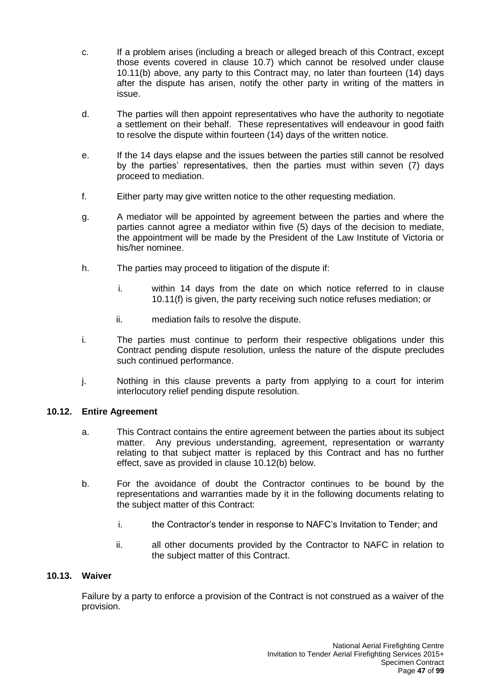- c. If a problem arises (including a breach or alleged breach of this Contract, except those events covered in clause 10.7) which cannot be resolved under clause 10.11(b) above, any party to this Contract may, no later than fourteen (14) days after the dispute has arisen, notify the other party in writing of the matters in issue.
- d. The parties will then appoint representatives who have the authority to negotiate a settlement on their behalf. These representatives will endeavour in good faith to resolve the dispute within fourteen (14) days of the written notice.
- e. If the 14 days elapse and the issues between the parties still cannot be resolved by the parties' representatives, then the parties must within seven (7) days proceed to mediation.
- f. Either party may give written notice to the other requesting mediation.
- g. A mediator will be appointed by agreement between the parties and where the parties cannot agree a mediator within five (5) days of the decision to mediate, the appointment will be made by the President of the Law Institute of Victoria or his/her nominee.
- h. The parties may proceed to litigation of the dispute if:
	- i. within 14 days from the date on which notice referred to in clause 10.11(f) is given, the party receiving such notice refuses mediation; or
	- ii. mediation fails to resolve the dispute.
- i. The parties must continue to perform their respective obligations under this Contract pending dispute resolution, unless the nature of the dispute precludes such continued performance.
- j. Nothing in this clause prevents a party from applying to a court for interim interlocutory relief pending dispute resolution.

## **10.12. Entire Agreement**

- a. This Contract contains the entire agreement between the parties about its subject matter. Any previous understanding, agreement, representation or warranty relating to that subject matter is replaced by this Contract and has no further effect, save as provided in clause 10.12(b) below.
- b. For the avoidance of doubt the Contractor continues to be bound by the representations and warranties made by it in the following documents relating to the subject matter of this Contract:
	- i. the Contractor's tender in response to NAFC's Invitation to Tender; and
	- ii. all other documents provided by the Contractor to NAFC in relation to the subject matter of this Contract.

## **10.13. Waiver**

Failure by a party to enforce a provision of the Contract is not construed as a waiver of the provision.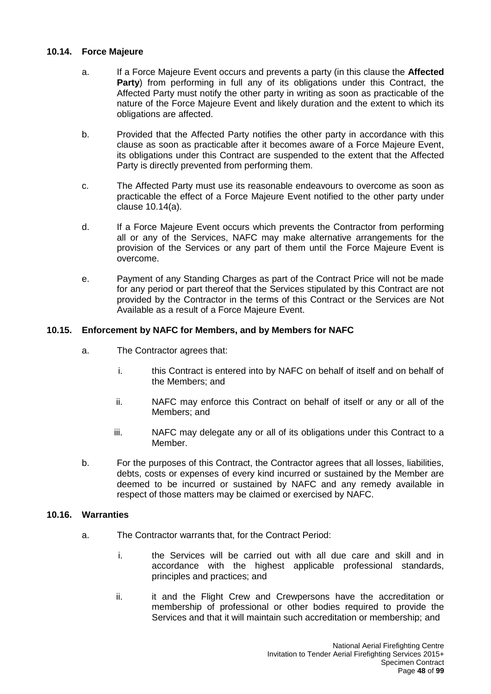#### **10.14. Force Majeure**

- a. If a Force Majeure Event occurs and prevents a party (in this clause the **Affected Party**) from performing in full any of its obligations under this Contract, the Affected Party must notify the other party in writing as soon as practicable of the nature of the Force Majeure Event and likely duration and the extent to which its obligations are affected.
- b. Provided that the Affected Party notifies the other party in accordance with this clause as soon as practicable after it becomes aware of a Force Majeure Event, its obligations under this Contract are suspended to the extent that the Affected Party is directly prevented from performing them.
- c. The Affected Party must use its reasonable endeavours to overcome as soon as practicable the effect of a Force Majeure Event notified to the other party under clause 10.14(a).
- d. If a Force Majeure Event occurs which prevents the Contractor from performing all or any of the Services, NAFC may make alternative arrangements for the provision of the Services or any part of them until the Force Majeure Event is overcome.
- e. Payment of any Standing Charges as part of the Contract Price will not be made for any period or part thereof that the Services stipulated by this Contract are not provided by the Contractor in the terms of this Contract or the Services are Not Available as a result of a Force Majeure Event.

## **10.15. Enforcement by NAFC for Members, and by Members for NAFC**

- a. The Contractor agrees that:
	- i. this Contract is entered into by NAFC on behalf of itself and on behalf of the Members; and
	- ii. NAFC may enforce this Contract on behalf of itself or any or all of the Members; and
	- iii. NAFC may delegate any or all of its obligations under this Contract to a Member.
- b. For the purposes of this Contract, the Contractor agrees that all losses, liabilities, debts, costs or expenses of every kind incurred or sustained by the Member are deemed to be incurred or sustained by NAFC and any remedy available in respect of those matters may be claimed or exercised by NAFC.

#### **10.16. Warranties**

- a. The Contractor warrants that, for the Contract Period:
	- i. the Services will be carried out with all due care and skill and in accordance with the highest applicable professional standards, principles and practices; and
	- ii. it and the Flight Crew and Crewpersons have the accreditation or membership of professional or other bodies required to provide the Services and that it will maintain such accreditation or membership; and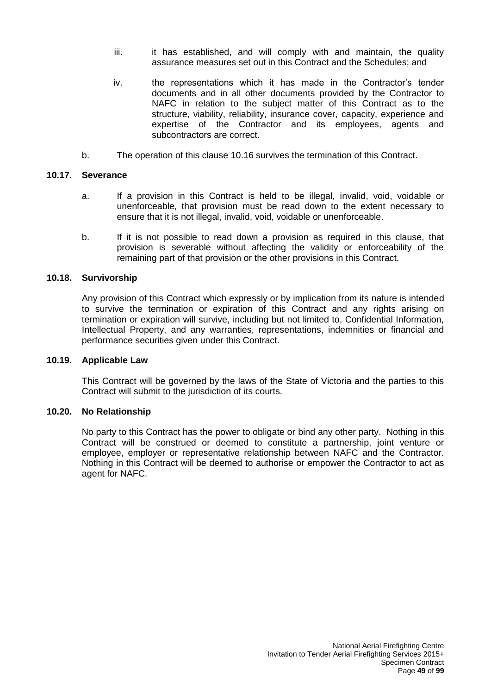- iii. iii. it has established, and will comply with and maintain, the quality assurance measures set out in this Contract and the Schedules; and
- iv. the representations which it has made in the Contractor's tender documents and in all other documents provided by the Contractor to NAFC in relation to the subject matter of this Contract as to the structure, viability, reliability, insurance cover, capacity, experience and expertise of the Contractor and its employees, agents and subcontractors are correct.
- b. The operation of this clause 10.16 survives the termination of this Contract.

## **10.17. Severance**

- a. If a provision in this Contract is held to be illegal, invalid, void, voidable or unenforceable, that provision must be read down to the extent necessary to ensure that it is not illegal, invalid, void, voidable or unenforceable.
- b. If it is not possible to read down a provision as required in this clause, that provision is severable without affecting the validity or enforceability of the remaining part of that provision or the other provisions in this Contract.

#### **10.18. Survivorship**

Any provision of this Contract which expressly or by implication from its nature is intended to survive the termination or expiration of this Contract and any rights arising on termination or expiration will survive, including but not limited to, Confidential Information, Intellectual Property, and any warranties, representations, indemnities or financial and performance securities given under this Contract.

#### **10.19. Applicable Law**

This Contract will be governed by the laws of the State of Victoria and the parties to this Contract will submit to the jurisdiction of its courts.

#### **10.20. No Relationship**

No party to this Contract has the power to obligate or bind any other party. Nothing in this Contract will be construed or deemed to constitute a partnership, joint venture or employee, employer or representative relationship between NAFC and the Contractor. Nothing in this Contract will be deemed to authorise or empower the Contractor to act as agent for NAFC.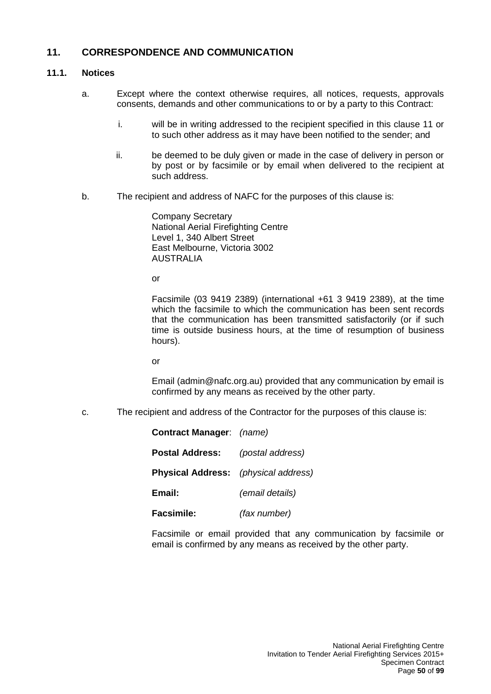# **11. CORRESPONDENCE AND COMMUNICATION**

## **11.1. Notices**

- a. Except where the context otherwise requires, all notices, requests, approvals consents, demands and other communications to or by a party to this Contract:
	- i. will be in writing addressed to the recipient specified in this clause 11 or to such other address as it may have been notified to the sender; and
	- ii. be deemed to be duly given or made in the case of delivery in person or by post or by facsimile or by email when delivered to the recipient at such address.
- b. The recipient and address of NAFC for the purposes of this clause is:

Company Secretary National Aerial Firefighting Centre Level 1, 340 Albert Street East Melbourne, Victoria 3002 AUSTRALIA

or

Facsimile (03 9419 2389) (international +61 3 9419 2389), at the time which the facsimile to which the communication has been sent records that the communication has been transmitted satisfactorily (or if such time is outside business hours, at the time of resumption of business hours).

or

Email (admin@nafc.org.au) provided that any communication by email is confirmed by any means as received by the other party.

c. The recipient and address of the Contractor for the purposes of this clause is:

| Contract Manager: (name)                    |                  |
|---------------------------------------------|------------------|
| <b>Postal Address:</b>                      | (postal address) |
| <b>Physical Address:</b> (physical address) |                  |
| Email:                                      | (email details)  |
| <b>Facsimile:</b>                           | (fax number)     |

Facsimile or email provided that any communication by facsimile or email is confirmed by any means as received by the other party.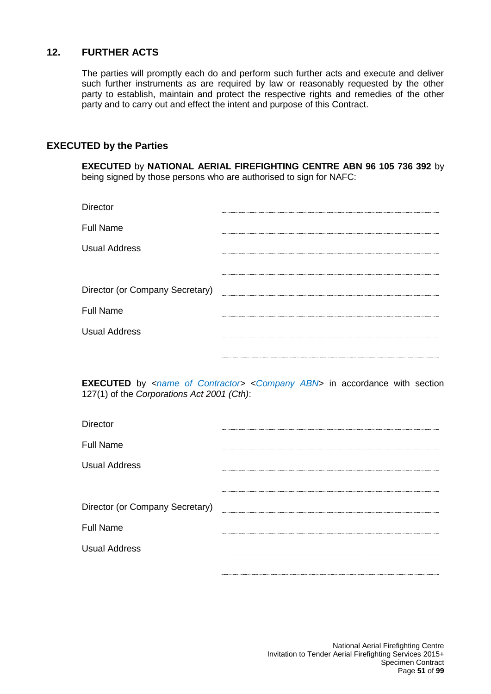# **12. FURTHER ACTS**

The parties will promptly each do and perform such further acts and execute and deliver such further instruments as are required by law or reasonably requested by the other party to establish, maintain and protect the respective rights and remedies of the other party and to carry out and effect the intent and purpose of this Contract.

## **EXECUTED by the Parties**

**EXECUTED** by **NATIONAL AERIAL FIREFIGHTING CENTRE ABN 96 105 736 392** by being signed by those persons who are authorised to sign for NAFC:

| <b>Director</b>                 |  |
|---------------------------------|--|
| <b>Full Name</b>                |  |
| <b>Usual Address</b>            |  |
|                                 |  |
| Director (or Company Secretary) |  |
| <b>Full Name</b>                |  |
| <b>Usual Address</b>            |  |
|                                 |  |

**EXECUTED** by *<name of Contractor>* <*Company ABN*> in accordance with section 127(1) of the *Corporations Act 2001 (Cth)*:

| Director                        |  |
|---------------------------------|--|
| <b>Full Name</b>                |  |
| <b>Usual Address</b>            |  |
|                                 |  |
| Director (or Company Secretary) |  |
| <b>Full Name</b>                |  |
| <b>Usual Address</b>            |  |
|                                 |  |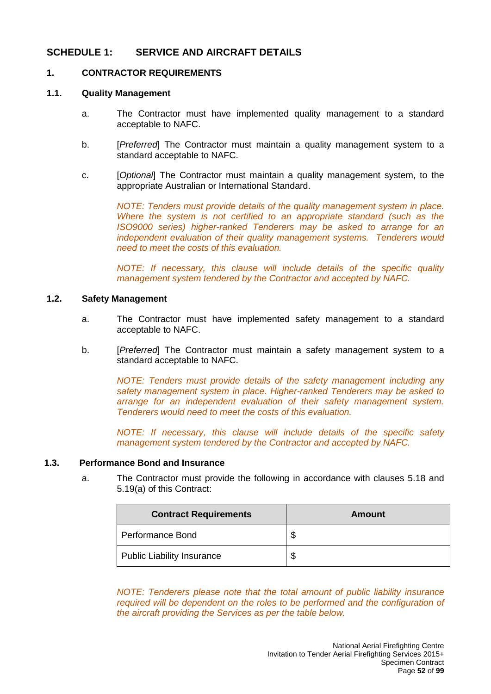# **SCHEDULE 1: SERVICE AND AIRCRAFT DETAILS**

## **1. CONTRACTOR REQUIREMENTS**

#### **1.1. Quality Management**

- a. The Contractor must have implemented quality management to a standard acceptable to NAFC.
- b. [*Preferred*] The Contractor must maintain a quality management system to a standard acceptable to NAFC.
- c. [*Optional*] The Contractor must maintain a quality management system, to the appropriate Australian or International Standard.

*NOTE: Tenders must provide details of the quality management system in place. Where the system is not certified to an appropriate standard (such as the ISO9000 series) higher-ranked Tenderers may be asked to arrange for an independent evaluation of their quality management systems. Tenderers would need to meet the costs of this evaluation.*

*NOTE: If necessary, this clause will include details of the specific quality management system tendered by the Contractor and accepted by NAFC.*

#### **1.2. Safety Management**

- a. The Contractor must have implemented safety management to a standard acceptable to NAFC.
- b. [*Preferred*] The Contractor must maintain a safety management system to a standard acceptable to NAFC.

*NOTE: Tenders must provide details of the safety management including any safety management system in place. Higher-ranked Tenderers may be asked to arrange for an independent evaluation of their safety management system. Tenderers would need to meet the costs of this evaluation.*

*NOTE: If necessary, this clause will include details of the specific safety management system tendered by the Contractor and accepted by NAFC.*

## **1.3. Performance Bond and Insurance**

a. The Contractor must provide the following in accordance with clauses 5.18 and 5.19(a) of this Contract:

| <b>Contract Requirements</b>      | Amount |
|-----------------------------------|--------|
| Performance Bond                  | Ф      |
| <b>Public Liability Insurance</b> | \$     |

*NOTE: Tenderers please note that the total amount of public liability insurance required will be dependent on the roles to be performed and the configuration of the aircraft providing the Services as per the table below.*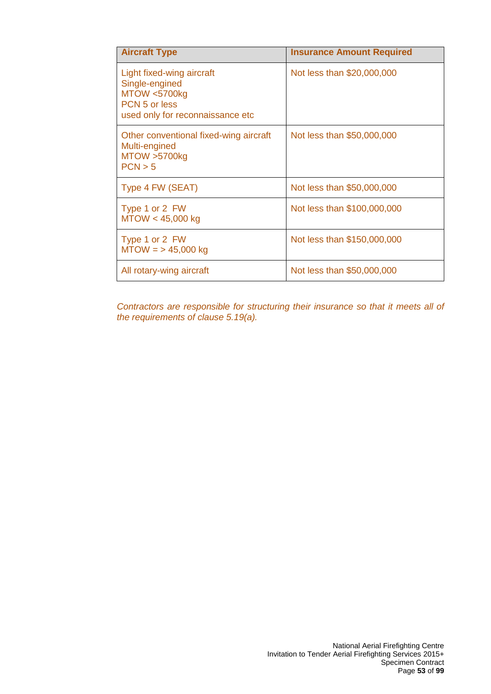| <b>Aircraft Type</b>                                                                                                       | <b>Insurance Amount Required</b> |
|----------------------------------------------------------------------------------------------------------------------------|----------------------------------|
| Light fixed-wing aircraft<br>Single-engined<br><b>MTOW &lt;5700kg</b><br>PCN 5 or less<br>used only for reconnaissance etc | Not less than \$20,000,000       |
| Other conventional fixed-wing aircraft<br>Multi-engined<br>MTOW >5700kg<br>PCN > 5                                         | Not less than \$50,000,000       |
| Type 4 FW (SEAT)                                                                                                           | Not less than \$50,000,000       |
| Type 1 or 2 FW<br>MTOW < 45,000 kg                                                                                         | Not less than \$100,000,000      |
| Type 1 or 2 FW<br>$MTOW = 5,000 kg$                                                                                        | Not less than \$150,000,000      |
| All rotary-wing aircraft                                                                                                   | Not less than \$50,000,000       |

*Contractors are responsible for structuring their insurance so that it meets all of the requirements of clause 5.19(a).*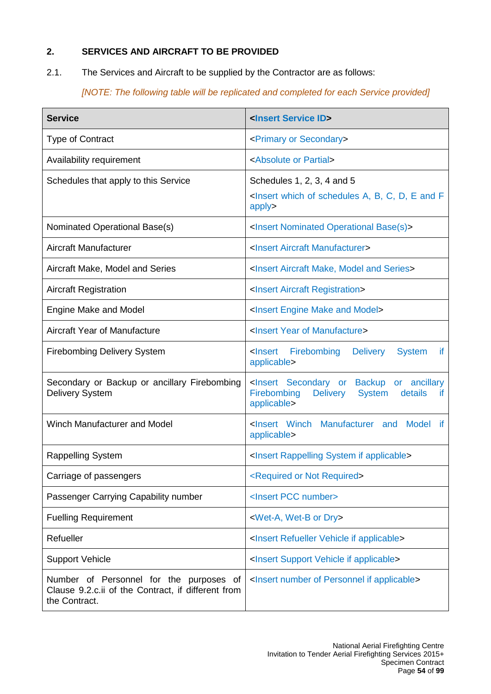# **2. SERVICES AND AIRCRAFT TO BE PROVIDED**

2.1. The Services and Aircraft to be supplied by the Contractor are as follows:

*[NOTE: The following table will be replicated and completed for each Service provided]*

| <b>Service</b>                                                                                                 | <insert id="" service=""></insert>                                                                                                                     |  |  |
|----------------------------------------------------------------------------------------------------------------|--------------------------------------------------------------------------------------------------------------------------------------------------------|--|--|
| <b>Type of Contract</b>                                                                                        | <primary or="" secondary=""></primary>                                                                                                                 |  |  |
| Availability requirement                                                                                       | <absolute or="" partial=""></absolute>                                                                                                                 |  |  |
| Schedules that apply to this Service                                                                           | Schedules 1, 2, 3, 4 and 5<br><lnsert a,="" and="" b,="" c,="" d,="" e="" f<br="" of="" schedules="" which="">apply&gt;</lnsert>                       |  |  |
| Nominated Operational Base(s)                                                                                  | <insert base(s)="" nominated="" operational=""></insert>                                                                                               |  |  |
| Aircraft Manufacturer                                                                                          | <insert aircraft="" manufacturer=""></insert>                                                                                                          |  |  |
| Aircraft Make, Model and Series                                                                                | <insert aircraft="" and="" make,="" model="" series=""></insert>                                                                                       |  |  |
| <b>Aircraft Registration</b>                                                                                   | <insert aircraft="" registration=""></insert>                                                                                                          |  |  |
| <b>Engine Make and Model</b>                                                                                   | <insert and="" engine="" make="" model=""></insert>                                                                                                    |  |  |
| <b>Aircraft Year of Manufacture</b>                                                                            | <lnsert manufacture="" of="" year=""></lnsert>                                                                                                         |  |  |
| <b>Firebombing Delivery System</b>                                                                             | <lnsert firebombing<br=""><b>Delivery</b><br/><b>System</b><br/>if.<br/>applicable&gt;</lnsert>                                                        |  |  |
| Secondary or Backup or ancillary Firebombing<br><b>Delivery System</b>                                         | <insert ancillary<br="" backup="" or="" secondary="">Firebombing<br/><b>Delivery</b><br/><b>System</b><br/>details<br/>if.<br/>applicable&gt;</insert> |  |  |
| <b>Winch Manufacturer and Model</b>                                                                            | <lnsert and<br="" manufacturer="" winch=""><b>Model</b><br/>if.<br/>applicable&gt;</lnsert>                                                            |  |  |
| Rappelling System                                                                                              | <insert applicable="" if="" rappelling="" system=""></insert>                                                                                          |  |  |
| Carriage of passengers                                                                                         | <required not="" or="" required=""></required>                                                                                                         |  |  |
| Passenger Carrying Capability number                                                                           | <insert number="" pcc=""></insert>                                                                                                                     |  |  |
| <b>Fuelling Requirement</b>                                                                                    | <wet-a, dry="" or="" wet-b=""></wet-a,>                                                                                                                |  |  |
| Refueller                                                                                                      | <insert applicable="" if="" refueller="" vehicle=""></insert>                                                                                          |  |  |
| <b>Support Vehicle</b>                                                                                         | <insert applicable="" if="" support="" vehicle=""></insert>                                                                                            |  |  |
| Number of Personnel for the purposes of<br>Clause 9.2.c.ii of the Contract, if different from<br>the Contract. | <insert applicable="" if="" number="" of="" personnel=""></insert>                                                                                     |  |  |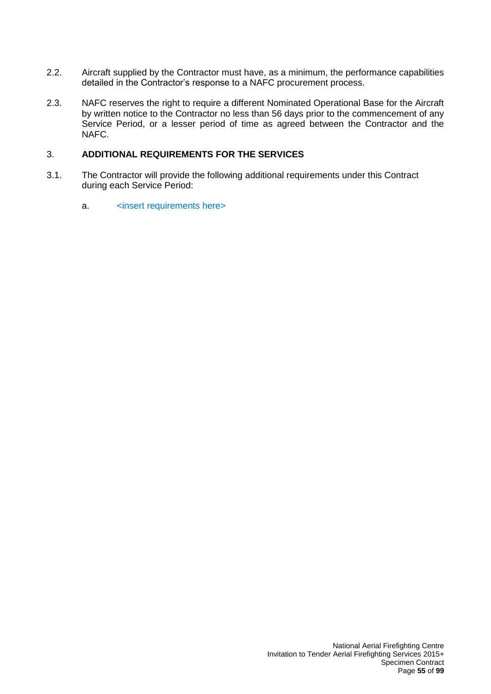- 2.2. Aircraft supplied by the Contractor must have, as a minimum, the performance capabilities detailed in the Contractor's response to a NAFC procurement process.
- 2.3. NAFC reserves the right to require a different Nominated Operational Base for the Aircraft by written notice to the Contractor no less than 56 days prior to the commencement of any Service Period, or a lesser period of time as agreed between the Contractor and the NAFC.

#### 3. **ADDITIONAL REQUIREMENTS FOR THE SERVICES**

- 3.1. The Contractor will provide the following additional requirements under this Contract during each Service Period:
	- a. 
	sinsert requirements here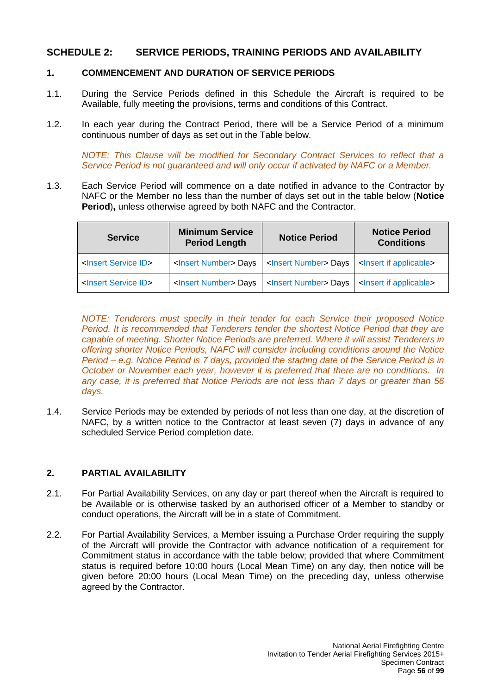# **SCHEDULE 2: SERVICE PERIODS, TRAINING PERIODS AND AVAILABILITY**

## **1. COMMENCEMENT AND DURATION OF SERVICE PERIODS**

- 1.1. During the Service Periods defined in this Schedule the Aircraft is required to be Available, fully meeting the provisions, terms and conditions of this Contract.
- 1.2. In each year during the Contract Period, there will be a Service Period of a minimum continuous number of days as set out in the Table below.

*NOTE: This Clause will be modified for Secondary Contract Services to reflect that a Service Period is not guaranteed and will only occur if activated by NAFC or a Member.*

1.3. Each Service Period will commence on a date notified in advance to the Contractor by NAFC or the Member no less than the number of days set out in the table below (**Notice Period**), unless otherwise agreed by both NAFC and the Contractor.

| <b>Service</b>                     | <b>Minimum Service</b><br><b>Period Length</b> | <b>Notice Period</b>             | <b>Notice Period</b><br><b>Conditions</b> |
|------------------------------------|------------------------------------------------|----------------------------------|-------------------------------------------|
| <lnsert id="" service=""></lnsert> | <lnsert number=""> Days</lnsert>               | <lnsert number=""> Days</lnsert> | <lnsert applicable="" if=""></lnsert>     |
| <lnsert id="" service=""></lnsert> | <lnsert number=""> Days</lnsert>               | <lnsert number=""> Days</lnsert> | <lnsert applicable="" if=""></lnsert>     |

*NOTE: Tenderers must specify in their tender for each Service their proposed Notice Period. It is recommended that Tenderers tender the shortest Notice Period that they are capable of meeting. Shorter Notice Periods are preferred. Where it will assist Tenderers in offering shorter Notice Periods, NAFC will consider including conditions around the Notice Period – e.g. Notice Period is 7 days, provided the starting date of the Service Period is in October or November each year, however it is preferred that there are no conditions. In any case, it is preferred that Notice Periods are not less than 7 days or greater than 56 days.*

1.4. Service Periods may be extended by periods of not less than one day, at the discretion of NAFC, by a written notice to the Contractor at least seven (7) days in advance of any scheduled Service Period completion date.

## **2. PARTIAL AVAILABILITY**

- 2.1. For Partial Availability Services, on any day or part thereof when the Aircraft is required to be Available or is otherwise tasked by an authorised officer of a Member to standby or conduct operations, the Aircraft will be in a state of Commitment.
- 2.2. For Partial Availability Services, a Member issuing a Purchase Order requiring the supply of the Aircraft will provide the Contractor with advance notification of a requirement for Commitment status in accordance with the table below; provided that where Commitment status is required before 10:00 hours (Local Mean Time) on any day, then notice will be given before 20:00 hours (Local Mean Time) on the preceding day, unless otherwise agreed by the Contractor.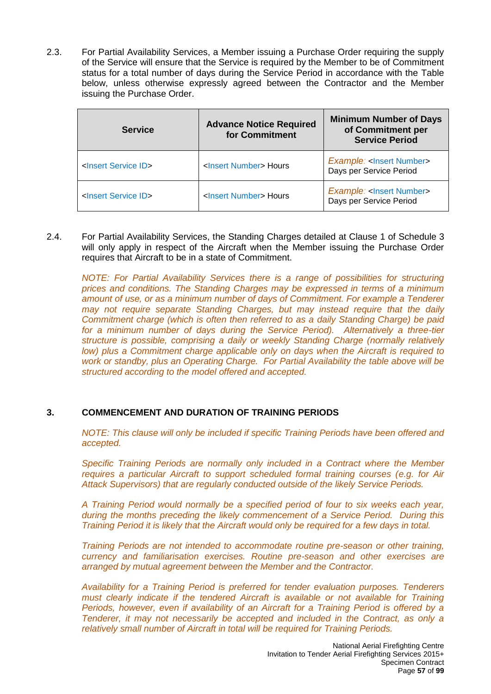2.3. For Partial Availability Services, a Member issuing a Purchase Order requiring the supply of the Service will ensure that the Service is required by the Member to be of Commitment status for a total number of days during the Service Period in accordance with the Table below, unless otherwise expressly agreed between the Contractor and the Member issuing the Purchase Order.

| <b>Service</b>                     | <b>Advance Notice Required</b><br>for Commitment | <b>Minimum Number of Days</b><br>of Commitment per<br><b>Service Period</b> |  |
|------------------------------------|--------------------------------------------------|-----------------------------------------------------------------------------|--|
| <lnsert id="" service=""></lnsert> | <insert number=""> Hours</insert>                | <b>Example: <lnsert number=""></lnsert></b><br>Days per Service Period      |  |
| <lnsert id="" service=""></lnsert> | <lnsert number=""> Hours</lnsert>                | <b>Example: <lnsert number=""></lnsert></b><br>Days per Service Period      |  |

2.4. For Partial Availability Services, the Standing Charges detailed at Clause 1 of Schedule 3 will only apply in respect of the Aircraft when the Member issuing the Purchase Order requires that Aircraft to be in a state of Commitment.

*NOTE: For Partial Availability Services there is a range of possibilities for structuring prices and conditions. The Standing Charges may be expressed in terms of a minimum amount of use, or as a minimum number of days of Commitment. For example a Tenderer may not require separate Standing Charges, but may instead require that the daily Commitment charge (which is often then referred to as a daily Standing Charge) be paid*  for a minimum number of days during the Service Period). Alternatively a three-tier *structure is possible, comprising a daily or weekly Standing Charge (normally relatively low)* plus a Commitment charge applicable only on days when the Aircraft is required to *work or standby, plus an Operating Charge. For Partial Availability the table above will be structured according to the model offered and accepted.*

## **3. COMMENCEMENT AND DURATION OF TRAINING PERIODS**

*NOTE: This clause will only be included if specific Training Periods have been offered and accepted.*

*Specific Training Periods are normally only included in a Contract where the Member requires a particular Aircraft to support scheduled formal training courses (e.g. for Air Attack Supervisors) that are regularly conducted outside of the likely Service Periods.* 

*A Training Period would normally be a specified period of four to six weeks each year, during the months preceding the likely commencement of a Service Period. During this Training Period it is likely that the Aircraft would only be required for a few days in total.*

*Training Periods are not intended to accommodate routine pre-season or other training, currency and familiarisation exercises. Routine pre-season and other exercises are arranged by mutual agreement between the Member and the Contractor.*

*Availability for a Training Period is preferred for tender evaluation purposes. Tenderers must clearly indicate if the tendered Aircraft is available or not available for Training Periods, however, even if availability of an Aircraft for a Training Period is offered by a Tenderer, it may not necessarily be accepted and included in the Contract, as only a relatively small number of Aircraft in total will be required for Training Periods.*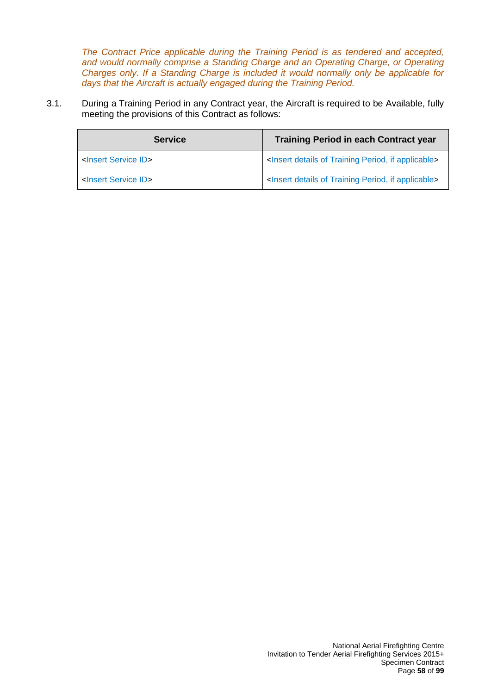*The Contract Price applicable during the Training Period is as tendered and accepted, and would normally comprise a Standing Charge and an Operating Charge, or Operating Charges only. If a Standing Charge is included it would normally only be applicable for days that the Aircraft is actually engaged during the Training Period.*

3.1. During a Training Period in any Contract year, the Aircraft is required to be Available, fully meeting the provisions of this Contract as follows:

| <b>Service</b>                     | <b>Training Period in each Contract year</b>                                  |  |  |
|------------------------------------|-------------------------------------------------------------------------------|--|--|
| <insert id="" service=""></insert> | <lnsert applicable="" details="" if="" of="" period,="" training=""></lnsert> |  |  |
| <insert id="" service=""></insert> | <lnsert applicable="" details="" if="" of="" period,="" training=""></lnsert> |  |  |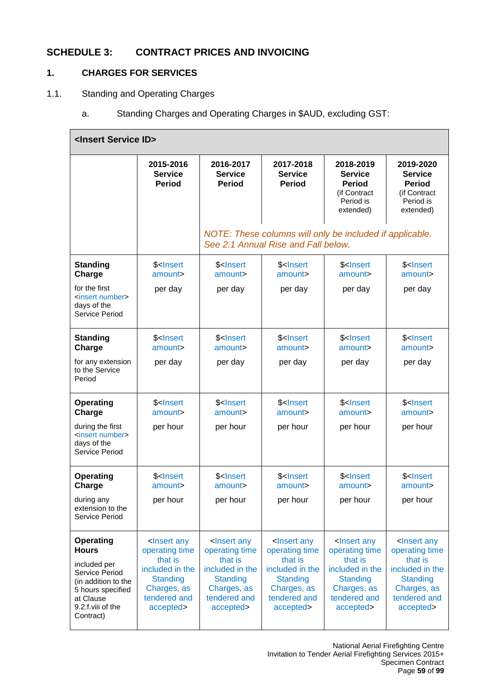# **SCHEDULE 3: CONTRACT PRICES AND INVOICING**

# **1. CHARGES FOR SERVICES**

## 1.1. Standing and Operating Charges

a. Standing Charges and Operating Charges in \$AUD, excluding GST:

| <insert id="" service=""></insert>                                                                                                                            |                                                                                                                                                 |                                                                                                                                                 |                                                                                                                                                 |                                                                                                                                                 |                                                                                                                                                 |
|---------------------------------------------------------------------------------------------------------------------------------------------------------------|-------------------------------------------------------------------------------------------------------------------------------------------------|-------------------------------------------------------------------------------------------------------------------------------------------------|-------------------------------------------------------------------------------------------------------------------------------------------------|-------------------------------------------------------------------------------------------------------------------------------------------------|-------------------------------------------------------------------------------------------------------------------------------------------------|
|                                                                                                                                                               | 2015-2016<br><b>Service</b><br><b>Period</b>                                                                                                    | 2016-2017<br><b>Service</b><br><b>Period</b>                                                                                                    | 2017-2018<br><b>Service</b><br><b>Period</b>                                                                                                    | 2018-2019<br><b>Service</b><br><b>Period</b><br>(if Contract<br>Period is<br>extended)                                                          | 2019-2020<br><b>Service</b><br><b>Period</b><br>(if Contract<br>Period is<br>extended)                                                          |
|                                                                                                                                                               |                                                                                                                                                 |                                                                                                                                                 | NOTE: These columns will only be included if applicable.<br>See 2.1 Annual Rise and Fall below.                                                 |                                                                                                                                                 |                                                                                                                                                 |
| <b>Standing</b><br>Charge                                                                                                                                     | \$ <lnsert<br>amount&gt;</lnsert<br>                                                                                                            | \$ <lnsert<br>amount&gt;</lnsert<br>                                                                                                            | \$ <lnsert<br>amount&gt;</lnsert<br>                                                                                                            | \$ <lnsert<br>amount&gt;</lnsert<br>                                                                                                            | \$ <lnsert<br>amount&gt;</lnsert<br>                                                                                                            |
| for the first<br><insert number=""><br/>days of the<br/>Service Period</insert>                                                                               | per day                                                                                                                                         | per day                                                                                                                                         | per day                                                                                                                                         | per day                                                                                                                                         | per day                                                                                                                                         |
| <b>Standing</b><br>Charge                                                                                                                                     | \$ <lnsert<br>amount&gt;</lnsert<br>                                                                                                            | \$ <lnsert<br>amount&gt;</lnsert<br>                                                                                                            | \$ <lnsert<br>amount&gt;</lnsert<br>                                                                                                            | \$ <lnsert<br>amount&gt;</lnsert<br>                                                                                                            | \$ <lnsert<br>amount&gt;</lnsert<br>                                                                                                            |
| for any extension<br>to the Service<br>Period                                                                                                                 | per day                                                                                                                                         | per day                                                                                                                                         | per day                                                                                                                                         | per day                                                                                                                                         | per day                                                                                                                                         |
| <b>Operating</b><br>Charge                                                                                                                                    | \$ <lnsert<br>amount&gt;</lnsert<br>                                                                                                            | \$ <lnsert<br>amount&gt;</lnsert<br>                                                                                                            | \$ <lnsert<br>amount&gt;</lnsert<br>                                                                                                            | \$ <lnsert<br>amount&gt;</lnsert<br>                                                                                                            | \$ <lnsert<br>amount&gt;</lnsert<br>                                                                                                            |
| during the first<br><insert number=""><br/>days of the<br/>Service Period</insert>                                                                            | per hour                                                                                                                                        | per hour                                                                                                                                        | per hour                                                                                                                                        | per hour                                                                                                                                        | per hour                                                                                                                                        |
| <b>Operating</b><br>Charge                                                                                                                                    | \$ <lnsert<br>amount&gt;</lnsert<br>                                                                                                            | \$ <lnsert<br>amount&gt;</lnsert<br>                                                                                                            | \$ <lnsert<br>amount&gt;</lnsert<br>                                                                                                            | \$ <lnsert<br>amount&gt;</lnsert<br>                                                                                                            | \$ <lnsert<br>amount&gt;</lnsert<br>                                                                                                            |
| during any<br>extension to the<br>Service Period                                                                                                              | per hour                                                                                                                                        | per hour                                                                                                                                        | per hour                                                                                                                                        | per hour                                                                                                                                        | per hour                                                                                                                                        |
| <b>Operating</b><br><b>Hours</b><br>included per<br>Service Period<br>(in addition to the<br>5 hours specified<br>at Clause<br>9.2.f.viii of the<br>Contract) | <lnsert any<br="">operating time<br/>that is<br/>included in the<br/><b>Standing</b><br/>Charges, as<br/>tendered and<br/>accepted&gt;</lnsert> | <lnsert any<br="">operating time<br/>that is<br/>included in the<br/><b>Standing</b><br/>Charges, as<br/>tendered and<br/>accepted&gt;</lnsert> | <lnsert any<br="">operating time<br/>that is<br/>included in the<br/><b>Standing</b><br/>Charges, as<br/>tendered and<br/>accepted&gt;</lnsert> | <lnsert any<br="">operating time<br/>that is<br/>included in the<br/><b>Standing</b><br/>Charges, as<br/>tendered and<br/>accepted&gt;</lnsert> | <lnsert any<br="">operating time<br/>that is<br/>included in the<br/><b>Standing</b><br/>Charges, as<br/>tendered and<br/>accepted&gt;</lnsert> |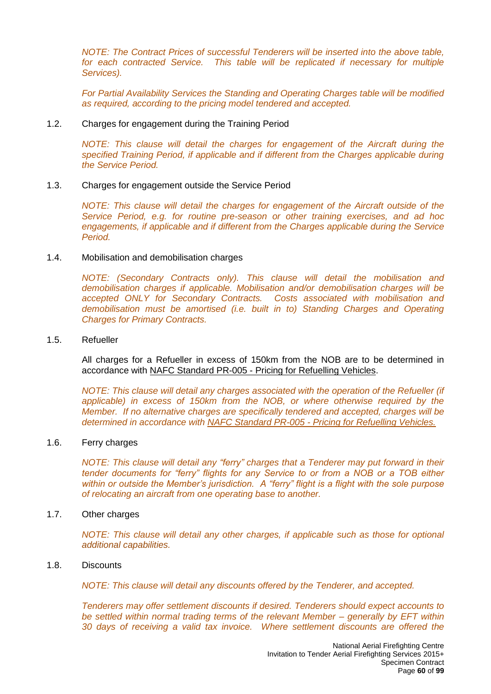*NOTE: The Contract Prices of successful Tenderers will be inserted into the above table. for each contracted Service. This table will be replicated if necessary for multiple Services).*

*For Partial Availability Services the Standing and Operating Charges table will be modified as required, according to the pricing model tendered and accepted.*

#### 1.2. Charges for engagement during the Training Period

*NOTE: This clause will detail the charges for engagement of the Aircraft during the specified Training Period, if applicable and if different from the Charges applicable during the Service Period.*

#### 1.3. Charges for engagement outside the Service Period

*NOTE: This clause will detail the charges for engagement of the Aircraft outside of the Service Period, e.g. for routine pre-season or other training exercises, and ad hoc engagements, if applicable and if different from the Charges applicable during the Service Period.*

#### 1.4. Mobilisation and demobilisation charges

*NOTE: (Secondary Contracts only). This clause will detail the mobilisation and demobilisation charges if applicable. Mobilisation and/or demobilisation charges will be accepted ONLY for Secondary Contracts. Costs associated with mobilisation and demobilisation must be amortised (i.e. built in to) Standing Charges and Operating Charges for Primary Contracts.*

#### 1.5. Refueller

All charges for a Refueller in excess of 150km from the NOB are to be determined in accordance with NAFC Standard PR-005 - Pricing for Refuelling Vehicles.

*NOTE: This clause will detail any charges associated with the operation of the Refueller (if applicable) in excess of 150km from the NOB, or where otherwise required by the Member. If no alternative charges are specifically tendered and accepted, charges will be determined in accordance with NAFC Standard PR-005 - Pricing for Refuelling Vehicles.*

#### 1.6. Ferry charges

*NOTE: This clause will detail any "ferry" charges that a Tenderer may put forward in their tender documents for "ferry" flights for any Service to or from a NOB or a TOB either within or outside the Member's jurisdiction. A "ferry" flight is a flight with the sole purpose of relocating an aircraft from one operating base to another.*

#### 1.7. Other charges

*NOTE: This clause will detail any other charges, if applicable such as those for optional additional capabilities.*

#### 1.8. Discounts

*NOTE: This clause will detail any discounts offered by the Tenderer, and accepted.*

*Tenderers may offer settlement discounts if desired. Tenderers should expect accounts to be settled within normal trading terms of the relevant Member – generally by EFT within 30 days of receiving a valid tax invoice. Where settlement discounts are offered the*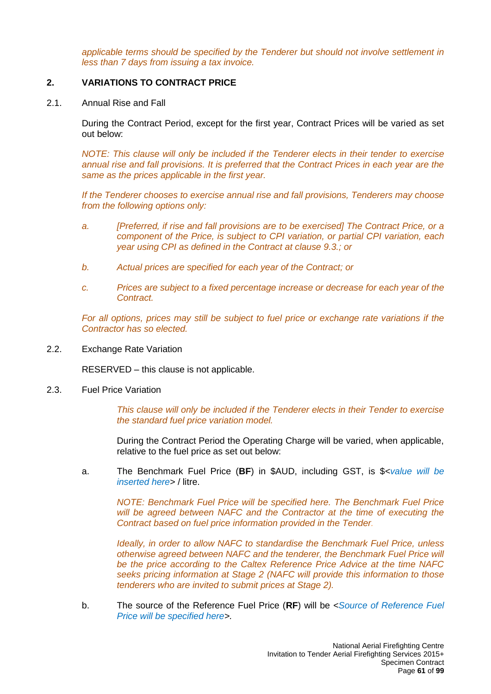*applicable terms should be specified by the Tenderer but should not involve settlement in less than 7 days from issuing a tax invoice.*

## **2. VARIATIONS TO CONTRACT PRICE**

2.1. Annual Rise and Fall

During the Contract Period, except for the first year, Contract Prices will be varied as set out below:

*NOTE: This clause will only be included if the Tenderer elects in their tender to exercise annual rise and fall provisions. It is preferred that the Contract Prices in each year are the same as the prices applicable in the first year.*

*If the Tenderer chooses to exercise annual rise and fall provisions, Tenderers may choose from the following options only:*

- *a. [Preferred, if rise and fall provisions are to be exercised] The Contract Price, or a component of the Price, is subject to CPI variation, or partial CPI variation, each year using CPI as defined in the Contract at clause 9.3.; or*
- *b. Actual prices are specified for each year of the Contract; or*
- *c. Prices are subject to a fixed percentage increase or decrease for each year of the Contract.*

*For all options, prices may still be subject to fuel price or exchange rate variations if the Contractor has so elected.*

2.2. Exchange Rate Variation

RESERVED – this clause is not applicable.

2.3. Fuel Price Variation

*This clause will only be included if the Tenderer elects in their Tender to exercise the standard fuel price variation model.*

During the Contract Period the Operating Charge will be varied, when applicable, relative to the fuel price as set out below:

a. The Benchmark Fuel Price (**BF**) in \$AUD, including GST, is \$*<value will be inserted here>* / litre.

*NOTE: Benchmark Fuel Price will be specified here. The Benchmark Fuel Price*  will be agreed between NAFC and the Contractor at the time of executing the *Contract based on fuel price information provided in the Tender.*

*Ideally, in order to allow NAFC to standardise the Benchmark Fuel Price, unless otherwise agreed between NAFC and the tenderer, the Benchmark Fuel Price will be the price according to the Caltex Reference Price Advice at the time NAFC seeks pricing information at Stage 2 (NAFC will provide this information to those tenderers who are invited to submit prices at Stage 2).*

b. The source of the Reference Fuel Price (**RF**) will be *<Source of Reference Fuel Price will be specified here>.*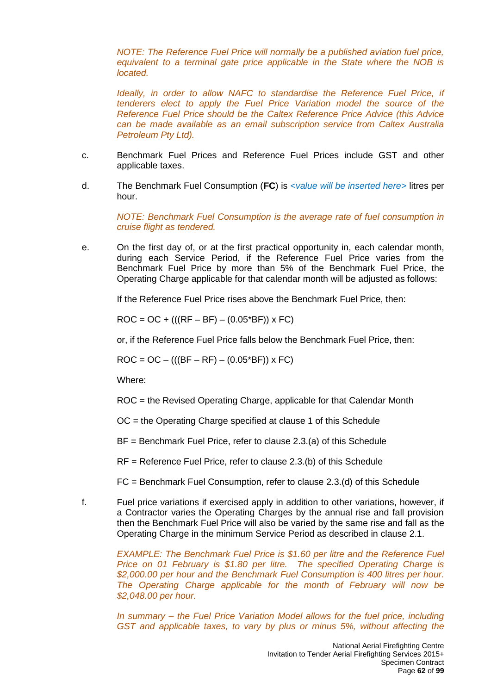*NOTE: The Reference Fuel Price will normally be a published aviation fuel price, equivalent to a terminal gate price applicable in the State where the NOB is located.*

*Ideally, in order to allow NAFC to standardise the Reference Fuel Price, if tenderers elect to apply the Fuel Price Variation model the source of the Reference Fuel Price should be the Caltex Reference Price Advice (this Advice can be made available as an email subscription service from Caltex Australia Petroleum Pty Ltd).* 

- c. Benchmark Fuel Prices and Reference Fuel Prices include GST and other applicable taxes.
- d. The Benchmark Fuel Consumption (**FC**) is *<value will be inserted here*> litres per hour.

*NOTE: Benchmark Fuel Consumption is the average rate of fuel consumption in cruise flight as tendered.*

e. On the first day of, or at the first practical opportunity in, each calendar month, during each Service Period, if the Reference Fuel Price varies from the Benchmark Fuel Price by more than 5% of the Benchmark Fuel Price, the Operating Charge applicable for that calendar month will be adjusted as follows:

If the Reference Fuel Price rises above the Benchmark Fuel Price, then:

 $ROC = OC + (((RF - BF) - (0.05*BF)) \times FC)$ 

or, if the Reference Fuel Price falls below the Benchmark Fuel Price, then:

 $ROC = OC - (((BF - RF) - (0.05*BF)) \times FC)$ 

Where:

ROC = the Revised Operating Charge, applicable for that Calendar Month

OC = the Operating Charge specified at clause 1 of this Schedule

BF = Benchmark Fuel Price, refer to clause 2.3.(a) of this Schedule

RF = Reference Fuel Price, refer to clause 2.3.(b) of this Schedule

FC = Benchmark Fuel Consumption, refer to clause 2.3.(d) of this Schedule

f. Fuel price variations if exercised apply in addition to other variations, however, if a Contractor varies the Operating Charges by the annual rise and fall provision then the Benchmark Fuel Price will also be varied by the same rise and fall as the Operating Charge in the minimum Service Period as described in clause 2.1.

> *EXAMPLE: The Benchmark Fuel Price is \$1.60 per litre and the Reference Fuel Price on 01 February is \$1.80 per litre. The specified Operating Charge is \$2,000.00 per hour and the Benchmark Fuel Consumption is 400 litres per hour. The Operating Charge applicable for the month of February will now be \$2,048.00 per hour.*

> *In summary – the Fuel Price Variation Model allows for the fuel price, including GST and applicable taxes, to vary by plus or minus 5%, without affecting the*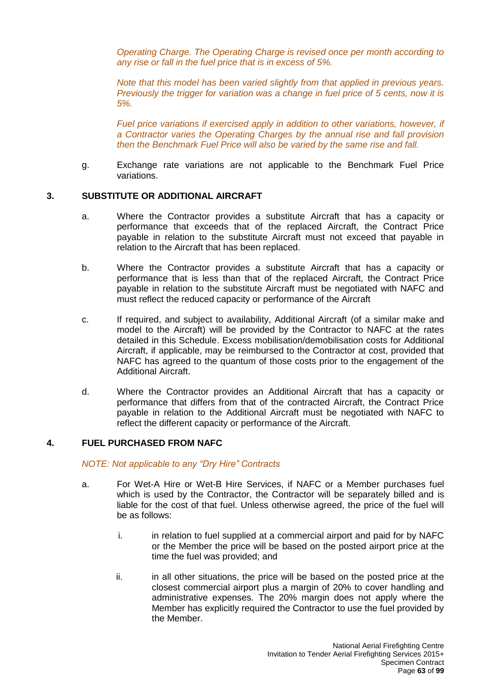*Operating Charge. The Operating Charge is revised once per month according to any rise or fall in the fuel price that is in excess of 5%.*

*Note that this model has been varied slightly from that applied in previous years. Previously the trigger for variation was a change in fuel price of 5 cents, now it is 5%.*

*Fuel price variations if exercised apply in addition to other variations, however, if a Contractor varies the Operating Charges by the annual rise and fall provision then the Benchmark Fuel Price will also be varied by the same rise and fall.*

g. Exchange rate variations are not applicable to the Benchmark Fuel Price variations.

#### **3. SUBSTITUTE OR ADDITIONAL AIRCRAFT**

- a. Where the Contractor provides a substitute Aircraft that has a capacity or performance that exceeds that of the replaced Aircraft, the Contract Price payable in relation to the substitute Aircraft must not exceed that payable in relation to the Aircraft that has been replaced.
- b. Where the Contractor provides a substitute Aircraft that has a capacity or performance that is less than that of the replaced Aircraft, the Contract Price payable in relation to the substitute Aircraft must be negotiated with NAFC and must reflect the reduced capacity or performance of the Aircraft
- c. If required, and subject to availability, Additional Aircraft (of a similar make and model to the Aircraft) will be provided by the Contractor to NAFC at the rates detailed in this Schedule. Excess mobilisation/demobilisation costs for Additional Aircraft, if applicable, may be reimbursed to the Contractor at cost, provided that NAFC has agreed to the quantum of those costs prior to the engagement of the Additional Aircraft.
- d. Where the Contractor provides an Additional Aircraft that has a capacity or performance that differs from that of the contracted Aircraft, the Contract Price payable in relation to the Additional Aircraft must be negotiated with NAFC to reflect the different capacity or performance of the Aircraft.

## **4. FUEL PURCHASED FROM NAFC**

#### *NOTE: Not applicable to any "Dry Hire" Contracts*

- a. For Wet-A Hire or Wet-B Hire Services, if NAFC or a Member purchases fuel which is used by the Contractor, the Contractor will be separately billed and is liable for the cost of that fuel. Unless otherwise agreed, the price of the fuel will be as follows:
	- i. in relation to fuel supplied at a commercial airport and paid for by NAFC or the Member the price will be based on the posted airport price at the time the fuel was provided; and
	- ii. in all other situations, the price will be based on the posted price at the closest commercial airport plus a margin of 20% to cover handling and administrative expenses. The 20% margin does not apply where the Member has explicitly required the Contractor to use the fuel provided by the Member.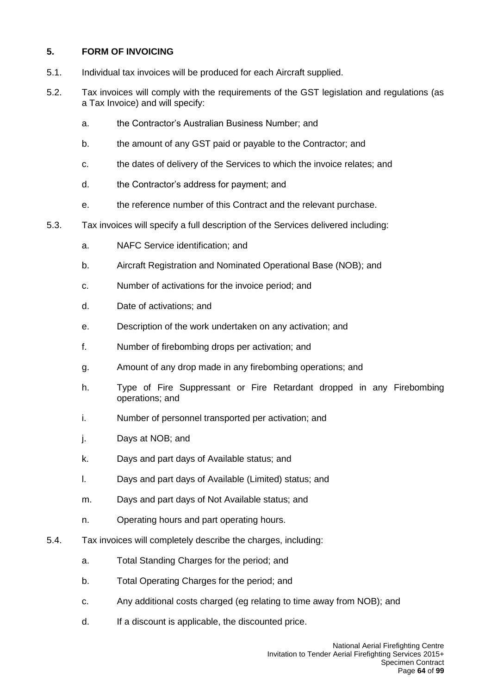# **5. FORM OF INVOICING**

- 5.1. Individual tax invoices will be produced for each Aircraft supplied.
- 5.2. Tax invoices will comply with the requirements of the GST legislation and regulations (as a Tax Invoice) and will specify:
	- a. the Contractor's Australian Business Number; and
	- b. the amount of any GST paid or payable to the Contractor; and
	- c. the dates of delivery of the Services to which the invoice relates; and
	- d. the Contractor's address for payment; and
	- e. the reference number of this Contract and the relevant purchase.
- 5.3. Tax invoices will specify a full description of the Services delivered including:
	- a. NAFC Service identification; and
	- b. Aircraft Registration and Nominated Operational Base (NOB); and
	- c. Number of activations for the invoice period; and
	- d. Date of activations; and
	- e. Description of the work undertaken on any activation; and
	- f. Number of firebombing drops per activation; and
	- g. Amount of any drop made in any firebombing operations; and
	- h. Type of Fire Suppressant or Fire Retardant dropped in any Firebombing operations; and
	- i. Number of personnel transported per activation; and
	- j. Days at NOB; and
	- k. Days and part days of Available status; and
	- l. Days and part days of Available (Limited) status; and
	- m. Days and part days of Not Available status; and
	- n. Operating hours and part operating hours.
- 5.4. Tax invoices will completely describe the charges, including:
	- a. Total Standing Charges for the period; and
	- b. Total Operating Charges for the period; and
	- c. Any additional costs charged (eg relating to time away from NOB); and
	- d. If a discount is applicable, the discounted price.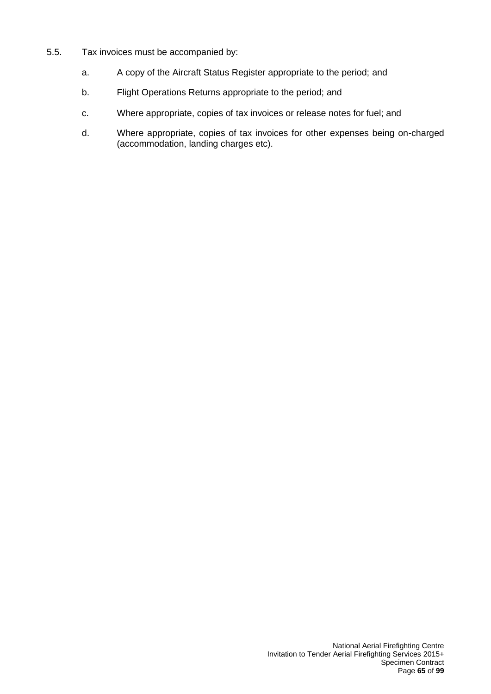- 5.5. Tax invoices must be accompanied by:
	- a. A copy of the Aircraft Status Register appropriate to the period; and
	- b. Flight Operations Returns appropriate to the period; and
	- c. Where appropriate, copies of tax invoices or release notes for fuel; and
	- d. Where appropriate, copies of tax invoices for other expenses being on-charged (accommodation, landing charges etc).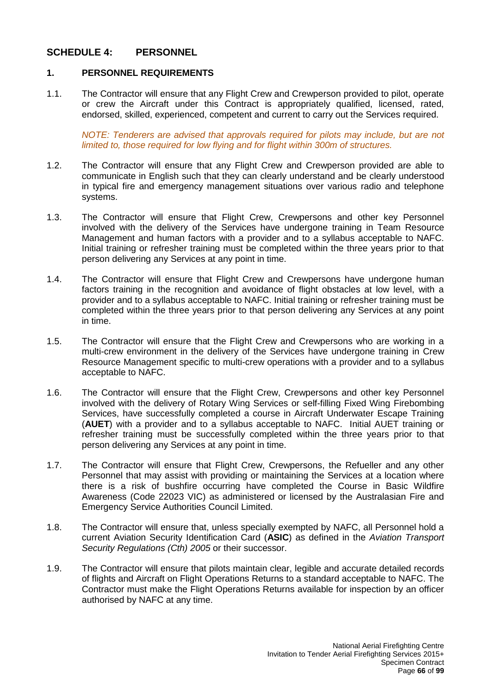# **SCHEDULE 4: PERSONNEL**

## **1. PERSONNEL REQUIREMENTS**

1.1. The Contractor will ensure that any Flight Crew and Crewperson provided to pilot, operate or crew the Aircraft under this Contract is appropriately qualified, licensed, rated, endorsed, skilled, experienced, competent and current to carry out the Services required.

*NOTE: Tenderers are advised that approvals required for pilots may include, but are not limited to, those required for low flying and for flight within 300m of structures.*

- 1.2. The Contractor will ensure that any Flight Crew and Crewperson provided are able to communicate in English such that they can clearly understand and be clearly understood in typical fire and emergency management situations over various radio and telephone systems.
- 1.3. The Contractor will ensure that Flight Crew, Crewpersons and other key Personnel involved with the delivery of the Services have undergone training in Team Resource Management and human factors with a provider and to a syllabus acceptable to NAFC. Initial training or refresher training must be completed within the three years prior to that person delivering any Services at any point in time.
- 1.4. The Contractor will ensure that Flight Crew and Crewpersons have undergone human factors training in the recognition and avoidance of flight obstacles at low level, with a provider and to a syllabus acceptable to NAFC. Initial training or refresher training must be completed within the three years prior to that person delivering any Services at any point in time.
- 1.5. The Contractor will ensure that the Flight Crew and Crewpersons who are working in a multi-crew environment in the delivery of the Services have undergone training in Crew Resource Management specific to multi-crew operations with a provider and to a syllabus acceptable to NAFC.
- 1.6. The Contractor will ensure that the Flight Crew, Crewpersons and other key Personnel involved with the delivery of Rotary Wing Services or self-filling Fixed Wing Firebombing Services, have successfully completed a course in Aircraft Underwater Escape Training (**AUET**) with a provider and to a syllabus acceptable to NAFC. Initial AUET training or refresher training must be successfully completed within the three years prior to that person delivering any Services at any point in time.
- 1.7. The Contractor will ensure that Flight Crew, Crewpersons, the Refueller and any other Personnel that may assist with providing or maintaining the Services at a location where there is a risk of bushfire occurring have completed the Course in Basic Wildfire Awareness (Code 22023 VIC) as administered or licensed by the Australasian Fire and Emergency Service Authorities Council Limited.
- 1.8. The Contractor will ensure that, unless specially exempted by NAFC, all Personnel hold a current Aviation Security Identification Card (**ASIC**) as defined in the *Aviation Transport Security Regulations (Cth) 2005* or their successor.
- 1.9. The Contractor will ensure that pilots maintain clear, legible and accurate detailed records of flights and Aircraft on Flight Operations Returns to a standard acceptable to NAFC. The Contractor must make the Flight Operations Returns available for inspection by an officer authorised by NAFC at any time.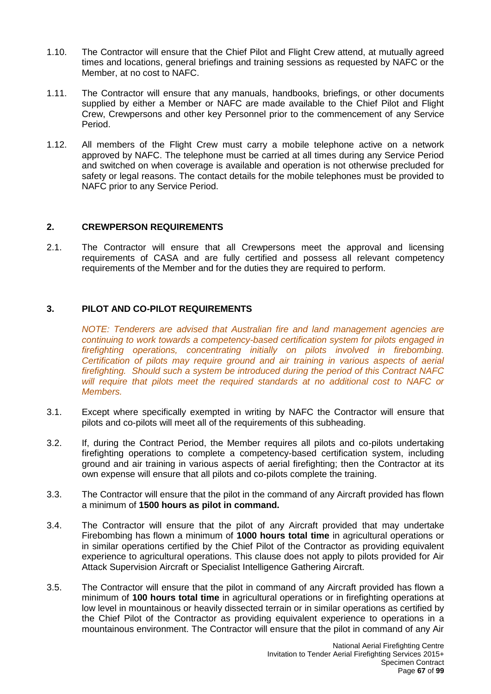- 1.10. The Contractor will ensure that the Chief Pilot and Flight Crew attend, at mutually agreed times and locations, general briefings and training sessions as requested by NAFC or the Member, at no cost to NAFC.
- 1.11. The Contractor will ensure that any manuals, handbooks, briefings, or other documents supplied by either a Member or NAFC are made available to the Chief Pilot and Flight Crew, Crewpersons and other key Personnel prior to the commencement of any Service Period.
- 1.12. All members of the Flight Crew must carry a mobile telephone active on a network approved by NAFC. The telephone must be carried at all times during any Service Period and switched on when coverage is available and operation is not otherwise precluded for safety or legal reasons. The contact details for the mobile telephones must be provided to NAFC prior to any Service Period.

## **2. CREWPERSON REQUIREMENTS**

2.1. The Contractor will ensure that all Crewpersons meet the approval and licensing requirements of CASA and are fully certified and possess all relevant competency requirements of the Member and for the duties they are required to perform.

## **3. PILOT AND CO-PILOT REQUIREMENTS**

*NOTE: Tenderers are advised that Australian fire and land management agencies are continuing to work towards a competency-based certification system for pilots engaged in firefighting operations, concentrating initially on pilots involved in firebombing. Certification of pilots may require ground and air training in various aspects of aerial firefighting. Should such a system be introduced during the period of this Contract NAFC will require that pilots meet the required standards at no additional cost to NAFC or Members.*

- 3.1. Except where specifically exempted in writing by NAFC the Contractor will ensure that pilots and co-pilots will meet all of the requirements of this subheading.
- 3.2. If, during the Contract Period, the Member requires all pilots and co-pilots undertaking firefighting operations to complete a competency-based certification system, including ground and air training in various aspects of aerial firefighting; then the Contractor at its own expense will ensure that all pilots and co-pilots complete the training.
- 3.3. The Contractor will ensure that the pilot in the command of any Aircraft provided has flown a minimum of **1500 hours as pilot in command.**
- 3.4. The Contractor will ensure that the pilot of any Aircraft provided that may undertake Firebombing has flown a minimum of **1000 hours total time** in agricultural operations or in similar operations certified by the Chief Pilot of the Contractor as providing equivalent experience to agricultural operations. This clause does not apply to pilots provided for Air Attack Supervision Aircraft or Specialist Intelligence Gathering Aircraft.
- 3.5. The Contractor will ensure that the pilot in command of any Aircraft provided has flown a minimum of **100 hours total time** in agricultural operations or in firefighting operations at low level in mountainous or heavily dissected terrain or in similar operations as certified by the Chief Pilot of the Contractor as providing equivalent experience to operations in a mountainous environment. The Contractor will ensure that the pilot in command of any Air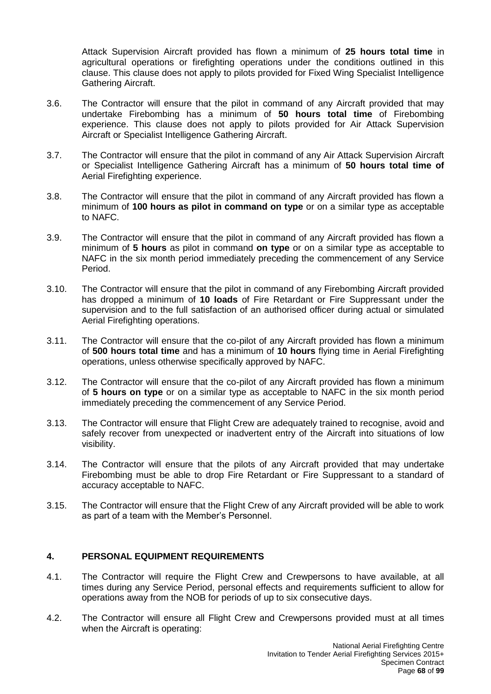Attack Supervision Aircraft provided has flown a minimum of **25 hours total time** in agricultural operations or firefighting operations under the conditions outlined in this clause. This clause does not apply to pilots provided for Fixed Wing Specialist Intelligence Gathering Aircraft.

- 3.6. The Contractor will ensure that the pilot in command of any Aircraft provided that may undertake Firebombing has a minimum of **50 hours total time** of Firebombing experience. This clause does not apply to pilots provided for Air Attack Supervision Aircraft or Specialist Intelligence Gathering Aircraft.
- 3.7. The Contractor will ensure that the pilot in command of any Air Attack Supervision Aircraft or Specialist Intelligence Gathering Aircraft has a minimum of **50 hours total time of**  Aerial Firefighting experience.
- 3.8. The Contractor will ensure that the pilot in command of any Aircraft provided has flown a minimum of **100 hours as pilot in command on type** or on a similar type as acceptable to NAFC.
- 3.9. The Contractor will ensure that the pilot in command of any Aircraft provided has flown a minimum of **5 hours** as pilot in command **on type** or on a similar type as acceptable to NAFC in the six month period immediately preceding the commencement of any Service Period.
- 3.10. The Contractor will ensure that the pilot in command of any Firebombing Aircraft provided has dropped a minimum of **10 loads** of Fire Retardant or Fire Suppressant under the supervision and to the full satisfaction of an authorised officer during actual or simulated Aerial Firefighting operations.
- 3.11. The Contractor will ensure that the co-pilot of any Aircraft provided has flown a minimum of **500 hours total time** and has a minimum of **10 hours** flying time in Aerial Firefighting operations, unless otherwise specifically approved by NAFC.
- 3.12. The Contractor will ensure that the co-pilot of any Aircraft provided has flown a minimum of **5 hours on type** or on a similar type as acceptable to NAFC in the six month period immediately preceding the commencement of any Service Period.
- 3.13. The Contractor will ensure that Flight Crew are adequately trained to recognise, avoid and safely recover from unexpected or inadvertent entry of the Aircraft into situations of low visibility.
- 3.14. The Contractor will ensure that the pilots of any Aircraft provided that may undertake Firebombing must be able to drop Fire Retardant or Fire Suppressant to a standard of accuracy acceptable to NAFC.
- 3.15. The Contractor will ensure that the Flight Crew of any Aircraft provided will be able to work as part of a team with the Member's Personnel.

## **4. PERSONAL EQUIPMENT REQUIREMENTS**

- 4.1. The Contractor will require the Flight Crew and Crewpersons to have available, at all times during any Service Period, personal effects and requirements sufficient to allow for operations away from the NOB for periods of up to six consecutive days.
- 4.2. The Contractor will ensure all Flight Crew and Crewpersons provided must at all times when the Aircraft is operating: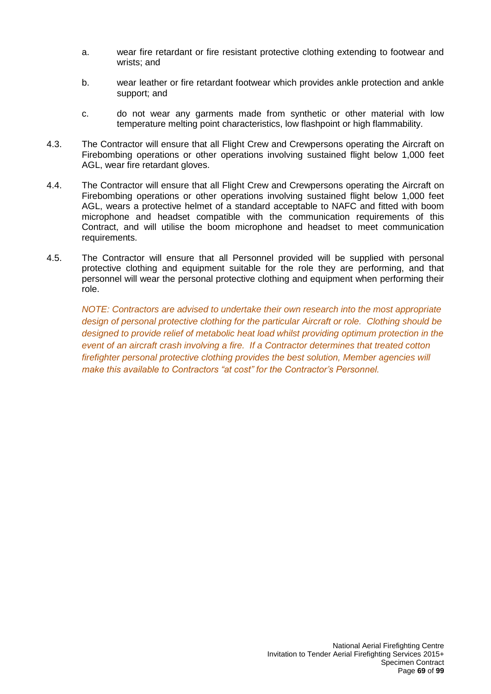- a. wear fire retardant or fire resistant protective clothing extending to footwear and wrists; and
- b. wear leather or fire retardant footwear which provides ankle protection and ankle support; and
- c. do not wear any garments made from synthetic or other material with low temperature melting point characteristics, low flashpoint or high flammability.
- 4.3. The Contractor will ensure that all Flight Crew and Crewpersons operating the Aircraft on Firebombing operations or other operations involving sustained flight below 1,000 feet AGL, wear fire retardant gloves.
- 4.4. The Contractor will ensure that all Flight Crew and Crewpersons operating the Aircraft on Firebombing operations or other operations involving sustained flight below 1,000 feet AGL, wears a protective helmet of a standard acceptable to NAFC and fitted with boom microphone and headset compatible with the communication requirements of this Contract, and will utilise the boom microphone and headset to meet communication requirements.
- 4.5. The Contractor will ensure that all Personnel provided will be supplied with personal protective clothing and equipment suitable for the role they are performing, and that personnel will wear the personal protective clothing and equipment when performing their role.

*NOTE: Contractors are advised to undertake their own research into the most appropriate design of personal protective clothing for the particular Aircraft or role. Clothing should be designed to provide relief of metabolic heat load whilst providing optimum protection in the event of an aircraft crash involving a fire. If a Contractor determines that treated cotton firefighter personal protective clothing provides the best solution, Member agencies will make this available to Contractors "at cost" for the Contractor's Personnel.*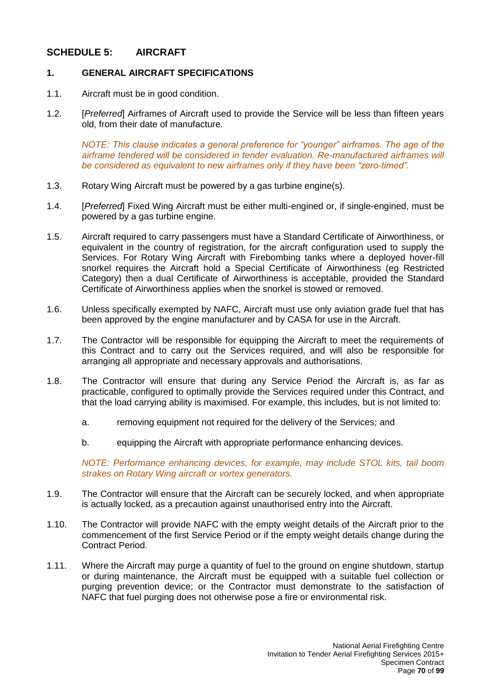# **SCHEDULE 5: AIRCRAFT**

## **1. GENERAL AIRCRAFT SPECIFICATIONS**

- 1.1. Aircraft must be in good condition.
- 1.2. [*Preferred*] Airframes of Aircraft used to provide the Service will be less than fifteen years old, from their date of manufacture.

*NOTE: This clause indicates a general preference for "younger" airframes. The age of the airframe tendered will be considered in tender evaluation. Re-manufactured airframes will be considered as equivalent to new airframes only if they have been "zero-timed".*

- 1.3. Rotary Wing Aircraft must be powered by a gas turbine engine(s).
- 1.4. [*Preferred*] Fixed Wing Aircraft must be either multi-engined or, if single-engined, must be powered by a gas turbine engine.
- 1.5. Aircraft required to carry passengers must have a Standard Certificate of Airworthiness, or equivalent in the country of registration, for the aircraft configuration used to supply the Services. For Rotary Wing Aircraft with Firebombing tanks where a deployed hover-fill snorkel requires the Aircraft hold a Special Certificate of Airworthiness (eg Restricted Category) then a dual Certificate of Airworthiness is acceptable, provided the Standard Certificate of Airworthiness applies when the snorkel is stowed or removed.
- 1.6. Unless specifically exempted by NAFC, Aircraft must use only aviation grade fuel that has been approved by the engine manufacturer and by CASA for use in the Aircraft.
- 1.7. The Contractor will be responsible for equipping the Aircraft to meet the requirements of this Contract and to carry out the Services required, and will also be responsible for arranging all appropriate and necessary approvals and authorisations.
- 1.8. The Contractor will ensure that during any Service Period the Aircraft is, as far as practicable, configured to optimally provide the Services required under this Contract, and that the load carrying ability is maximised. For example, this includes, but is not limited to:
	- a. removing equipment not required for the delivery of the Services; and
	- b. equipping the Aircraft with appropriate performance enhancing devices.

*NOTE: Performance enhancing devices, for example, may include STOL kits, tail boom strakes on Rotary Wing aircraft or vortex generators.*

- 1.9. The Contractor will ensure that the Aircraft can be securely locked, and when appropriate is actually locked, as a precaution against unauthorised entry into the Aircraft.
- 1.10. The Contractor will provide NAFC with the empty weight details of the Aircraft prior to the commencement of the first Service Period or if the empty weight details change during the Contract Period.
- 1.11. Where the Aircraft may purge a quantity of fuel to the ground on engine shutdown, startup or during maintenance, the Aircraft must be equipped with a suitable fuel collection or purging prevention device; or the Contractor must demonstrate to the satisfaction of NAFC that fuel purging does not otherwise pose a fire or environmental risk.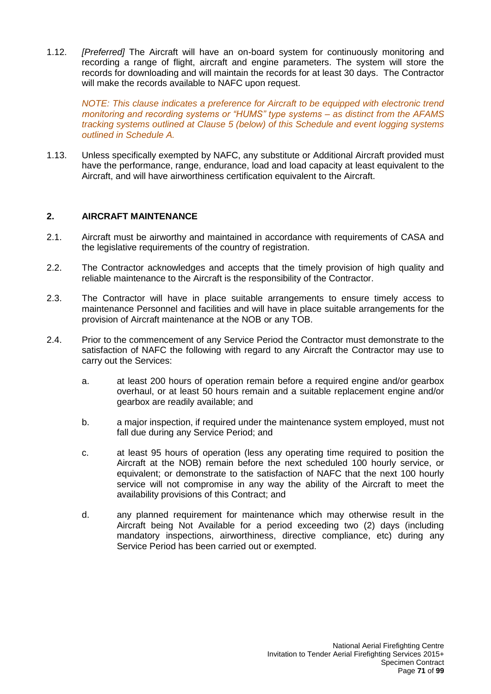1.12. *[Preferred]* The Aircraft will have an on-board system for continuously monitoring and recording a range of flight, aircraft and engine parameters. The system will store the records for downloading and will maintain the records for at least 30 days. The Contractor will make the records available to NAFC upon request.

*NOTE: This clause indicates a preference for Aircraft to be equipped with electronic trend monitoring and recording systems or "HUMS" type systems – as distinct from the AFAMS tracking systems outlined at Clause 5 (below) of this Schedule and event logging systems outlined in Schedule A.*

1.13. Unless specifically exempted by NAFC, any substitute or Additional Aircraft provided must have the performance, range, endurance, load and load capacity at least equivalent to the Aircraft, and will have airworthiness certification equivalent to the Aircraft.

## **2. AIRCRAFT MAINTENANCE**

- 2.1. Aircraft must be airworthy and maintained in accordance with requirements of CASA and the legislative requirements of the country of registration.
- 2.2. The Contractor acknowledges and accepts that the timely provision of high quality and reliable maintenance to the Aircraft is the responsibility of the Contractor.
- 2.3. The Contractor will have in place suitable arrangements to ensure timely access to maintenance Personnel and facilities and will have in place suitable arrangements for the provision of Aircraft maintenance at the NOB or any TOB.
- 2.4. Prior to the commencement of any Service Period the Contractor must demonstrate to the satisfaction of NAFC the following with regard to any Aircraft the Contractor may use to carry out the Services:
	- a. at least 200 hours of operation remain before a required engine and/or gearbox overhaul, or at least 50 hours remain and a suitable replacement engine and/or gearbox are readily available; and
	- b. a major inspection, if required under the maintenance system employed, must not fall due during any Service Period; and
	- c. at least 95 hours of operation (less any operating time required to position the Aircraft at the NOB) remain before the next scheduled 100 hourly service, or equivalent; or demonstrate to the satisfaction of NAFC that the next 100 hourly service will not compromise in any way the ability of the Aircraft to meet the availability provisions of this Contract; and
	- d. any planned requirement for maintenance which may otherwise result in the Aircraft being Not Available for a period exceeding two (2) days (including mandatory inspections, airworthiness, directive compliance, etc) during any Service Period has been carried out or exempted.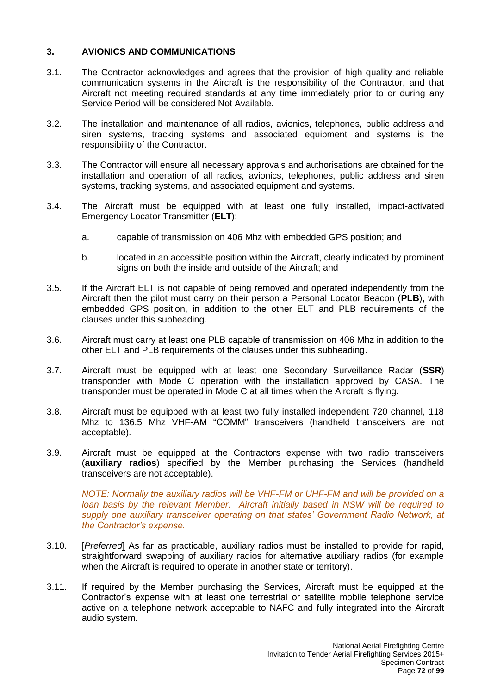## **3. AVIONICS AND COMMUNICATIONS**

- 3.1. The Contractor acknowledges and agrees that the provision of high quality and reliable communication systems in the Aircraft is the responsibility of the Contractor, and that Aircraft not meeting required standards at any time immediately prior to or during any Service Period will be considered Not Available.
- 3.2. The installation and maintenance of all radios, avionics, telephones, public address and siren systems, tracking systems and associated equipment and systems is the responsibility of the Contractor.
- 3.3. The Contractor will ensure all necessary approvals and authorisations are obtained for the installation and operation of all radios, avionics, telephones, public address and siren systems, tracking systems, and associated equipment and systems.
- 3.4. The Aircraft must be equipped with at least one fully installed, impact-activated Emergency Locator Transmitter (**ELT**):
	- a. capable of transmission on 406 Mhz with embedded GPS position; and
	- b. located in an accessible position within the Aircraft, clearly indicated by prominent signs on both the inside and outside of the Aircraft; and
- 3.5. If the Aircraft ELT is not capable of being removed and operated independently from the Aircraft then the pilot must carry on their person a Personal Locator Beacon (**PLB**)**,** with embedded GPS position, in addition to the other ELT and PLB requirements of the clauses under this subheading.
- 3.6. Aircraft must carry at least one PLB capable of transmission on 406 Mhz in addition to the other ELT and PLB requirements of the clauses under this subheading.
- 3.7. Aircraft must be equipped with at least one Secondary Surveillance Radar (**SSR**) transponder with Mode C operation with the installation approved by CASA. The transponder must be operated in Mode C at all times when the Aircraft is flying.
- 3.8. Aircraft must be equipped with at least two fully installed independent 720 channel, 118 Mhz to 136.5 Mhz VHF-AM "COMM" transceivers (handheld transceivers are not acceptable).
- 3.9. Aircraft must be equipped at the Contractors expense with two radio transceivers (**auxiliary radios**) specified by the Member purchasing the Services (handheld transceivers are not acceptable).

*NOTE: Normally the auxiliary radios will be VHF-FM or UHF-FM and will be provided on a loan basis by the relevant Member. Aircraft initially based in NSW will be required to supply one auxiliary transceiver operating on that states' Government Radio Network, at the Contractor's expense.*

- 3.10. [*Preferred*] As far as practicable, auxiliary radios must be installed to provide for rapid, straightforward swapping of auxiliary radios for alternative auxiliary radios (for example when the Aircraft is required to operate in another state or territory).
- 3.11. If required by the Member purchasing the Services, Aircraft must be equipped at the Contractor's expense with at least one terrestrial or satellite mobile telephone service active on a telephone network acceptable to NAFC and fully integrated into the Aircraft audio system.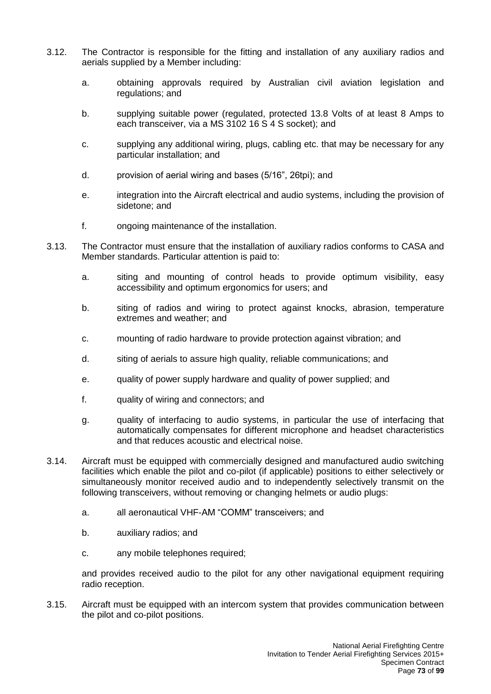- 3.12. The Contractor is responsible for the fitting and installation of any auxiliary radios and aerials supplied by a Member including:
	- a. obtaining approvals required by Australian civil aviation legislation and regulations; and
	- b. supplying suitable power (regulated, protected 13.8 Volts of at least 8 Amps to each transceiver, via a MS 3102 16 S 4 S socket); and
	- c. supplying any additional wiring, plugs, cabling etc. that may be necessary for any particular installation; and
	- d. provision of aerial wiring and bases (5/16", 26tpi); and
	- e. integration into the Aircraft electrical and audio systems, including the provision of sidetone; and
	- f. ongoing maintenance of the installation.
- 3.13. The Contractor must ensure that the installation of auxiliary radios conforms to CASA and Member standards. Particular attention is paid to:
	- a. siting and mounting of control heads to provide optimum visibility, easy accessibility and optimum ergonomics for users; and
	- b. siting of radios and wiring to protect against knocks, abrasion, temperature extremes and weather; and
	- c. mounting of radio hardware to provide protection against vibration; and
	- d. siting of aerials to assure high quality, reliable communications; and
	- e. quality of power supply hardware and quality of power supplied; and
	- f. quality of wiring and connectors; and
	- g. quality of interfacing to audio systems, in particular the use of interfacing that automatically compensates for different microphone and headset characteristics and that reduces acoustic and electrical noise.
- 3.14. Aircraft must be equipped with commercially designed and manufactured audio switching facilities which enable the pilot and co-pilot (if applicable) positions to either selectively or simultaneously monitor received audio and to independently selectively transmit on the following transceivers, without removing or changing helmets or audio plugs:
	- a. all aeronautical VHF-AM "COMM" transceivers; and
	- b. auxiliary radios; and
	- c. any mobile telephones required;

and provides received audio to the pilot for any other navigational equipment requiring radio reception.

3.15. Aircraft must be equipped with an intercom system that provides communication between the pilot and co-pilot positions.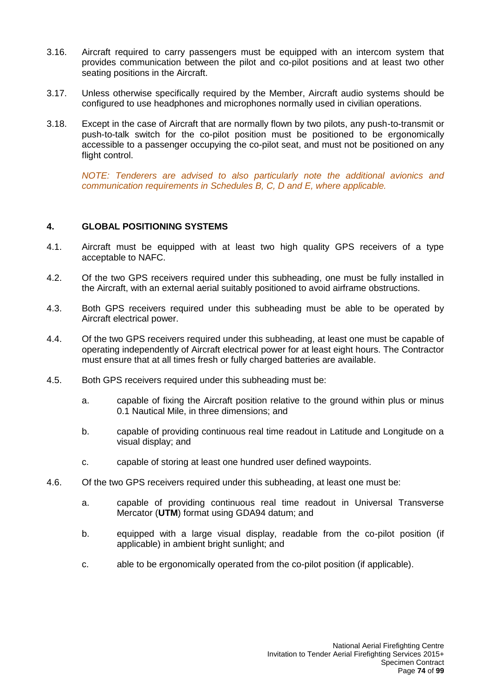- 3.16. Aircraft required to carry passengers must be equipped with an intercom system that provides communication between the pilot and co-pilot positions and at least two other seating positions in the Aircraft.
- 3.17. Unless otherwise specifically required by the Member, Aircraft audio systems should be configured to use headphones and microphones normally used in civilian operations.
- 3.18. Except in the case of Aircraft that are normally flown by two pilots, any push-to-transmit or push-to-talk switch for the co-pilot position must be positioned to be ergonomically accessible to a passenger occupying the co-pilot seat, and must not be positioned on any flight control.

*NOTE: Tenderers are advised to also particularly note the additional avionics and communication requirements in Schedules B, C, D and E, where applicable.*

## **4. GLOBAL POSITIONING SYSTEMS**

- 4.1. Aircraft must be equipped with at least two high quality GPS receivers of a type acceptable to NAFC.
- 4.2. Of the two GPS receivers required under this subheading, one must be fully installed in the Aircraft, with an external aerial suitably positioned to avoid airframe obstructions.
- 4.3. Both GPS receivers required under this subheading must be able to be operated by Aircraft electrical power.
- 4.4. Of the two GPS receivers required under this subheading, at least one must be capable of operating independently of Aircraft electrical power for at least eight hours. The Contractor must ensure that at all times fresh or fully charged batteries are available.
- 4.5. Both GPS receivers required under this subheading must be:
	- a. capable of fixing the Aircraft position relative to the ground within plus or minus 0.1 Nautical Mile, in three dimensions; and
	- b. capable of providing continuous real time readout in Latitude and Longitude on a visual display; and
	- c. capable of storing at least one hundred user defined waypoints.
- 4.6. Of the two GPS receivers required under this subheading, at least one must be:
	- a. capable of providing continuous real time readout in Universal Transverse Mercator (**UTM**) format using GDA94 datum; and
	- b. equipped with a large visual display, readable from the co-pilot position (if applicable) in ambient bright sunlight; and
	- c. able to be ergonomically operated from the co-pilot position (if applicable).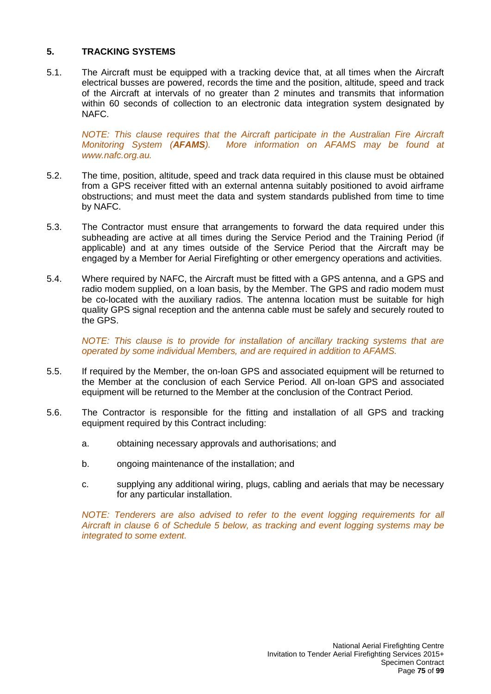## **5. TRACKING SYSTEMS**

5.1. The Aircraft must be equipped with a tracking device that, at all times when the Aircraft electrical busses are powered, records the time and the position, altitude, speed and track of the Aircraft at intervals of no greater than 2 minutes and transmits that information within 60 seconds of collection to an electronic data integration system designated by NAFC.

*NOTE: This clause requires that the Aircraft participate in the Australian Fire Aircraft Monitoring System (AFAMS). More information on AFAMS may be found at [www.nafc.org.au.](http://www.nafc.org.au/)*

- 5.2. The time, position, altitude, speed and track data required in this clause must be obtained from a GPS receiver fitted with an external antenna suitably positioned to avoid airframe obstructions; and must meet the data and system standards published from time to time by NAFC.
- 5.3. The Contractor must ensure that arrangements to forward the data required under this subheading are active at all times during the Service Period and the Training Period (if applicable) and at any times outside of the Service Period that the Aircraft may be engaged by a Member for Aerial Firefighting or other emergency operations and activities.
- 5.4. Where required by NAFC, the Aircraft must be fitted with a GPS antenna, and a GPS and radio modem supplied, on a loan basis, by the Member. The GPS and radio modem must be co-located with the auxiliary radios. The antenna location must be suitable for high quality GPS signal reception and the antenna cable must be safely and securely routed to the GPS.

*NOTE: This clause is to provide for installation of ancillary tracking systems that are operated by some individual Members, and are required in addition to AFAMS.*

- 5.5. If required by the Member, the on-loan GPS and associated equipment will be returned to the Member at the conclusion of each Service Period. All on-loan GPS and associated equipment will be returned to the Member at the conclusion of the Contract Period.
- 5.6. The Contractor is responsible for the fitting and installation of all GPS and tracking equipment required by this Contract including:
	- a. obtaining necessary approvals and authorisations; and
	- b. ongoing maintenance of the installation; and
	- c. supplying any additional wiring, plugs, cabling and aerials that may be necessary for any particular installation.

*NOTE: Tenderers are also advised to refer to the event logging requirements for all Aircraft in clause 6 of Schedule 5 below, as tracking and event logging systems may be integrated to some extent.*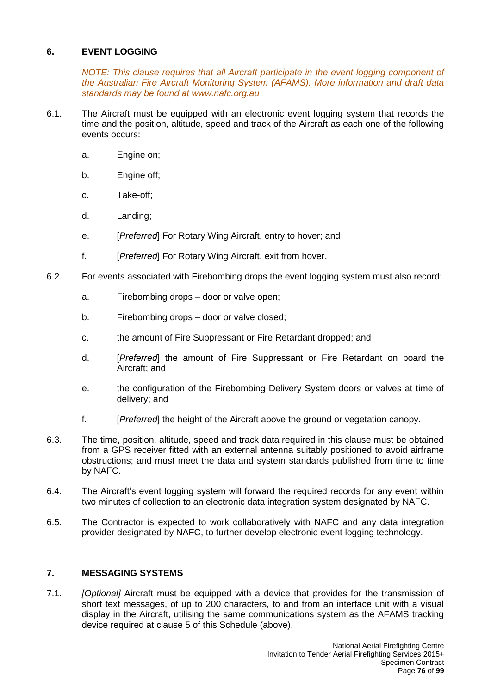# **6. EVENT LOGGING**

*NOTE: This clause requires that all Aircraft participate in the event logging component of the Australian Fire Aircraft Monitoring System (AFAMS). More information and draft data standards may be found at [www.nafc.org.au](http://www.nafc.org.au/)*

- 6.1. The Aircraft must be equipped with an electronic event logging system that records the time and the position, altitude, speed and track of the Aircraft as each one of the following events occurs:
	- a. Engine on;
	- b. Engine off;
	- c. Take-off;
	- d. Landing;
	- e. [*Preferred*] For Rotary Wing Aircraft, entry to hover; and
	- f. [*Preferred*] For Rotary Wing Aircraft, exit from hover.
- 6.2. For events associated with Firebombing drops the event logging system must also record:
	- a. Firebombing drops door or valve open;
	- b. Firebombing drops door or valve closed;
	- c. the amount of Fire Suppressant or Fire Retardant dropped; and
	- d. [*Preferred*] the amount of Fire Suppressant or Fire Retardant on board the Aircraft; and
	- e. the configuration of the Firebombing Delivery System doors or valves at time of delivery; and
	- f. [*Preferred*] the height of the Aircraft above the ground or vegetation canopy.
- 6.3. The time, position, altitude, speed and track data required in this clause must be obtained from a GPS receiver fitted with an external antenna suitably positioned to avoid airframe obstructions; and must meet the data and system standards published from time to time by NAFC.
- 6.4. The Aircraft's event logging system will forward the required records for any event within two minutes of collection to an electronic data integration system designated by NAFC.
- 6.5. The Contractor is expected to work collaboratively with NAFC and any data integration provider designated by NAFC, to further develop electronic event logging technology.

# **7. MESSAGING SYSTEMS**

7.1. *[Optional]* Aircraft must be equipped with a device that provides for the transmission of short text messages, of up to 200 characters, to and from an interface unit with a visual display in the Aircraft, utilising the same communications system as the AFAMS tracking device required at clause 5 of this Schedule (above).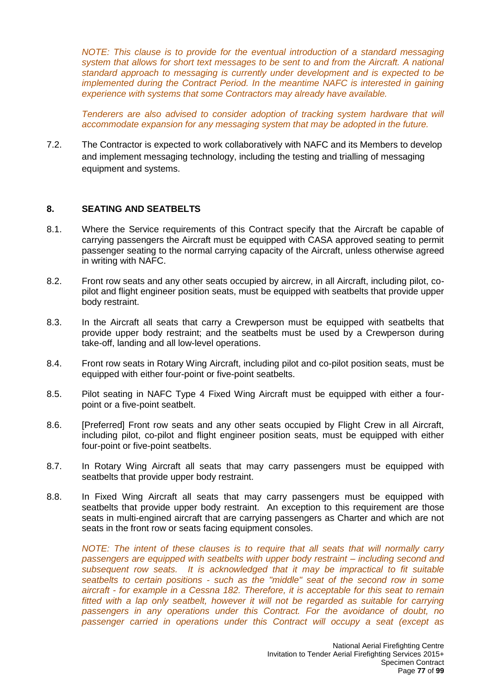*NOTE: This clause is to provide for the eventual introduction of a standard messaging system that allows for short text messages to be sent to and from the Aircraft. A national standard approach to messaging is currently under development and is expected to be implemented during the Contract Period. In the meantime NAFC is interested in gaining experience with systems that some Contractors may already have available.*

*Tenderers are also advised to consider adoption of tracking system hardware that will accommodate expansion for any messaging system that may be adopted in the future.*

7.2. The Contractor is expected to work collaboratively with NAFC and its Members to develop and implement messaging technology, including the testing and trialling of messaging equipment and systems.

#### **8. SEATING AND SEATBELTS**

- 8.1. Where the Service requirements of this Contract specify that the Aircraft be capable of carrying passengers the Aircraft must be equipped with CASA approved seating to permit passenger seating to the normal carrying capacity of the Aircraft, unless otherwise agreed in writing with NAFC.
- 8.2. Front row seats and any other seats occupied by aircrew, in all Aircraft, including pilot, copilot and flight engineer position seats, must be equipped with seatbelts that provide upper body restraint.
- 8.3. In the Aircraft all seats that carry a Crewperson must be equipped with seatbelts that provide upper body restraint; and the seatbelts must be used by a Crewperson during take-off, landing and all low-level operations.
- 8.4. Front row seats in Rotary Wing Aircraft, including pilot and co-pilot position seats, must be equipped with either four-point or five-point seatbelts.
- 8.5. Pilot seating in NAFC Type 4 Fixed Wing Aircraft must be equipped with either a fourpoint or a five-point seatbelt.
- 8.6. [Preferred] Front row seats and any other seats occupied by Flight Crew in all Aircraft, including pilot, co-pilot and flight engineer position seats, must be equipped with either four-point or five-point seatbelts.
- 8.7. In Rotary Wing Aircraft all seats that may carry passengers must be equipped with seatbelts that provide upper body restraint.
- 8.8. In Fixed Wing Aircraft all seats that may carry passengers must be equipped with seatbelts that provide upper body restraint. An exception to this requirement are those seats in multi-engined aircraft that are carrying passengers as Charter and which are not seats in the front row or seats facing equipment consoles.

*NOTE: The intent of these clauses is to require that all seats that will normally carry passengers are equipped with seatbelts with upper body restraint – including second and subsequent row seats. It is acknowledged that it may be impractical to fit suitable seatbelts to certain positions - such as the "middle" seat of the second row in some aircraft - for example in a Cessna 182. Therefore, it is acceptable for this seat to remain fitted with a lap only seatbelt, however it will not be regarded as suitable for carrying passengers in any operations under this Contract. For the avoidance of doubt, no passenger carried in operations under this Contract will occupy a seat (except as*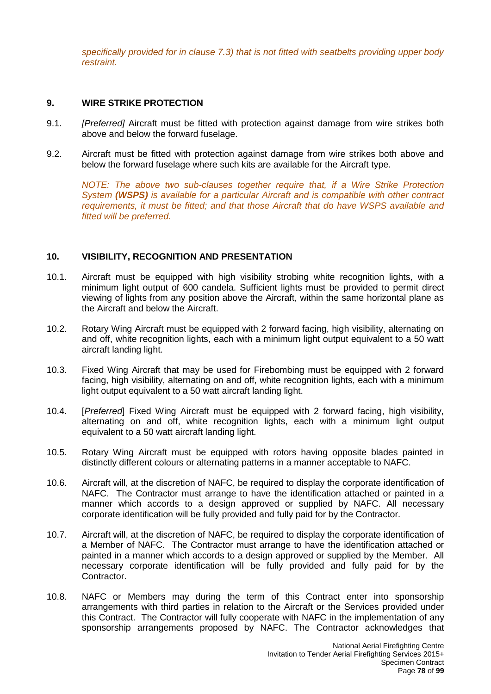*specifically provided for in clause 7.3) that is not fitted with seatbelts providing upper body restraint.*

## **9. WIRE STRIKE PROTECTION**

- 9.1. *[Preferred]* Aircraft must be fitted with protection against damage from wire strikes both above and below the forward fuselage.
- 9.2. Aircraft must be fitted with protection against damage from wire strikes both above and below the forward fuselage where such kits are available for the Aircraft type.

*NOTE: The above two sub-clauses together require that, if a Wire Strike Protection System (WSPS) is available for a particular Aircraft and is compatible with other contract requirements, it must be fitted; and that those Aircraft that do have WSPS available and fitted will be preferred.*

## **10. VISIBILITY, RECOGNITION AND PRESENTATION**

- 10.1. Aircraft must be equipped with high visibility strobing white recognition lights, with a minimum light output of 600 candela. Sufficient lights must be provided to permit direct viewing of lights from any position above the Aircraft, within the same horizontal plane as the Aircraft and below the Aircraft.
- 10.2. Rotary Wing Aircraft must be equipped with 2 forward facing, high visibility, alternating on and off, white recognition lights, each with a minimum light output equivalent to a 50 watt aircraft landing light.
- 10.3. Fixed Wing Aircraft that may be used for Firebombing must be equipped with 2 forward facing, high visibility, alternating on and off, white recognition lights, each with a minimum light output equivalent to a 50 watt aircraft landing light.
- 10.4. [*Preferred*] Fixed Wing Aircraft must be equipped with 2 forward facing, high visibility, alternating on and off, white recognition lights, each with a minimum light output equivalent to a 50 watt aircraft landing light.
- 10.5. Rotary Wing Aircraft must be equipped with rotors having opposite blades painted in distinctly different colours or alternating patterns in a manner acceptable to NAFC.
- 10.6. Aircraft will, at the discretion of NAFC, be required to display the corporate identification of NAFC. The Contractor must arrange to have the identification attached or painted in a manner which accords to a design approved or supplied by NAFC. All necessary corporate identification will be fully provided and fully paid for by the Contractor.
- 10.7. Aircraft will, at the discretion of NAFC, be required to display the corporate identification of a Member of NAFC. The Contractor must arrange to have the identification attached or painted in a manner which accords to a design approved or supplied by the Member. All necessary corporate identification will be fully provided and fully paid for by the Contractor.
- 10.8. NAFC or Members may during the term of this Contract enter into sponsorship arrangements with third parties in relation to the Aircraft or the Services provided under this Contract. The Contractor will fully cooperate with NAFC in the implementation of any sponsorship arrangements proposed by NAFC. The Contractor acknowledges that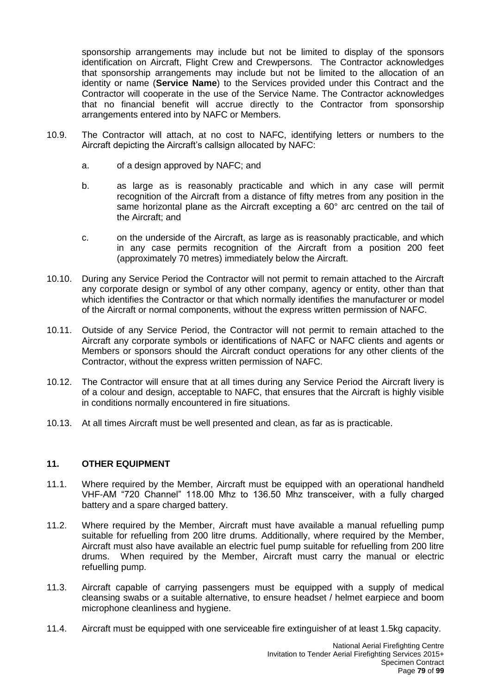sponsorship arrangements may include but not be limited to display of the sponsors identification on Aircraft, Flight Crew and Crewpersons. The Contractor acknowledges that sponsorship arrangements may include but not be limited to the allocation of an identity or name (**Service Name**) to the Services provided under this Contract and the Contractor will cooperate in the use of the Service Name. The Contractor acknowledges that no financial benefit will accrue directly to the Contractor from sponsorship arrangements entered into by NAFC or Members.

- 10.9. The Contractor will attach, at no cost to NAFC, identifying letters or numbers to the Aircraft depicting the Aircraft's callsign allocated by NAFC:
	- a. of a design approved by NAFC; and
	- b. as large as is reasonably practicable and which in any case will permit recognition of the Aircraft from a distance of fifty metres from any position in the same horizontal plane as the Aircraft excepting a 60° arc centred on the tail of the Aircraft; and
	- c. on the underside of the Aircraft, as large as is reasonably practicable, and which in any case permits recognition of the Aircraft from a position 200 feet (approximately 70 metres) immediately below the Aircraft.
- 10.10. During any Service Period the Contractor will not permit to remain attached to the Aircraft any corporate design or symbol of any other company, agency or entity, other than that which identifies the Contractor or that which normally identifies the manufacturer or model of the Aircraft or normal components, without the express written permission of NAFC.
- 10.11. Outside of any Service Period, the Contractor will not permit to remain attached to the Aircraft any corporate symbols or identifications of NAFC or NAFC clients and agents or Members or sponsors should the Aircraft conduct operations for any other clients of the Contractor, without the express written permission of NAFC.
- 10.12. The Contractor will ensure that at all times during any Service Period the Aircraft livery is of a colour and design, acceptable to NAFC, that ensures that the Aircraft is highly visible in conditions normally encountered in fire situations.
- 10.13. At all times Aircraft must be well presented and clean, as far as is practicable.

# **11. OTHER EQUIPMENT**

- 11.1. Where required by the Member, Aircraft must be equipped with an operational handheld VHF-AM "720 Channel" 118.00 Mhz to 136.50 Mhz transceiver, with a fully charged battery and a spare charged battery.
- 11.2. Where required by the Member, Aircraft must have available a manual refuelling pump suitable for refuelling from 200 litre drums. Additionally, where required by the Member, Aircraft must also have available an electric fuel pump suitable for refuelling from 200 litre drums. When required by the Member, Aircraft must carry the manual or electric refuelling pump.
- 11.3. Aircraft capable of carrying passengers must be equipped with a supply of medical cleansing swabs or a suitable alternative, to ensure headset / helmet earpiece and boom microphone cleanliness and hygiene.
- 11.4. Aircraft must be equipped with one serviceable fire extinguisher of at least 1.5kg capacity.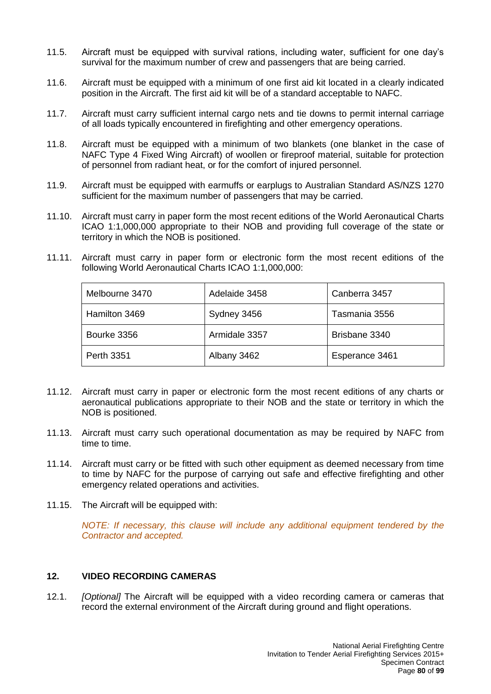- 11.5. Aircraft must be equipped with survival rations, including water, sufficient for one day's survival for the maximum number of crew and passengers that are being carried.
- 11.6. Aircraft must be equipped with a minimum of one first aid kit located in a clearly indicated position in the Aircraft. The first aid kit will be of a standard acceptable to NAFC.
- 11.7. Aircraft must carry sufficient internal cargo nets and tie downs to permit internal carriage of all loads typically encountered in firefighting and other emergency operations.
- 11.8. Aircraft must be equipped with a minimum of two blankets (one blanket in the case of NAFC Type 4 Fixed Wing Aircraft) of woollen or fireproof material, suitable for protection of personnel from radiant heat, or for the comfort of injured personnel.
- 11.9. Aircraft must be equipped with earmuffs or earplugs to Australian Standard AS/NZS 1270 sufficient for the maximum number of passengers that may be carried.
- 11.10. Aircraft must carry in paper form the most recent editions of the World Aeronautical Charts ICAO 1:1,000,000 appropriate to their NOB and providing full coverage of the state or territory in which the NOB is positioned.
- 11.11. Aircraft must carry in paper form or electronic form the most recent editions of the following World Aeronautical Charts ICAO 1:1,000,000:

| Melbourne 3470    | Adelaide 3458 | Canberra 3457  |
|-------------------|---------------|----------------|
| Hamilton 3469     | Sydney 3456   | Tasmania 3556  |
| Bourke 3356       | Armidale 3357 | Brisbane 3340  |
| <b>Perth 3351</b> | Albany 3462   | Esperance 3461 |

- 11.12. Aircraft must carry in paper or electronic form the most recent editions of any charts or aeronautical publications appropriate to their NOB and the state or territory in which the NOB is positioned.
- 11.13. Aircraft must carry such operational documentation as may be required by NAFC from time to time.
- 11.14. Aircraft must carry or be fitted with such other equipment as deemed necessary from time to time by NAFC for the purpose of carrying out safe and effective firefighting and other emergency related operations and activities.
- 11.15. The Aircraft will be equipped with:

*NOTE: If necessary, this clause will include any additional equipment tendered by the Contractor and accepted.*

## **12. VIDEO RECORDING CAMERAS**

12.1. *[Optional]* The Aircraft will be equipped with a video recording camera or cameras that record the external environment of the Aircraft during ground and flight operations.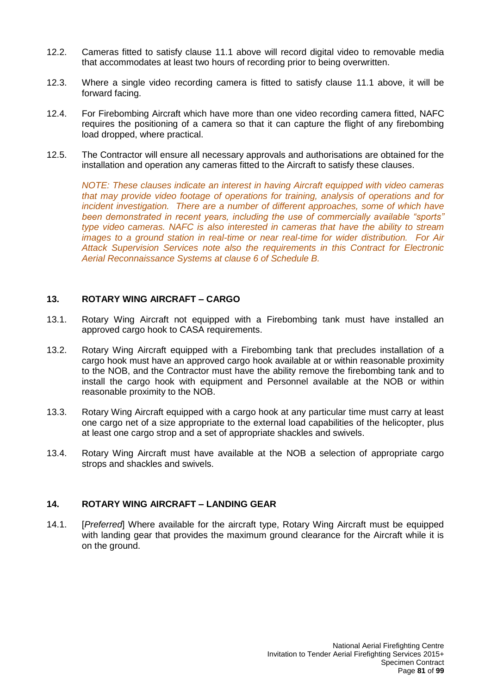- 12.2. Cameras fitted to satisfy clause 11.1 above will record digital video to removable media that accommodates at least two hours of recording prior to being overwritten.
- 12.3. Where a single video recording camera is fitted to satisfy clause 11.1 above, it will be forward facing.
- 12.4. For Firebombing Aircraft which have more than one video recording camera fitted, NAFC requires the positioning of a camera so that it can capture the flight of any firebombing load dropped, where practical.
- 12.5. The Contractor will ensure all necessary approvals and authorisations are obtained for the installation and operation any cameras fitted to the Aircraft to satisfy these clauses.

*NOTE: These clauses indicate an interest in having Aircraft equipped with video cameras that may provide video footage of operations for training, analysis of operations and for incident investigation.* There are a number of different approaches, some of which have *been demonstrated in recent years, including the use of commercially available "sports" type video cameras. NAFC is also interested in cameras that have the ability to stream images to a ground station in real-time or near real-time for wider distribution. For Air Attack Supervision Services note also the requirements in this Contract for Electronic Aerial Reconnaissance Systems at clause 6 of Schedule B.*

## **13. ROTARY WING AIRCRAFT – CARGO**

- 13.1. Rotary Wing Aircraft not equipped with a Firebombing tank must have installed an approved cargo hook to CASA requirements.
- 13.2. Rotary Wing Aircraft equipped with a Firebombing tank that precludes installation of a cargo hook must have an approved cargo hook available at or within reasonable proximity to the NOB, and the Contractor must have the ability remove the firebombing tank and to install the cargo hook with equipment and Personnel available at the NOB or within reasonable proximity to the NOB.
- 13.3. Rotary Wing Aircraft equipped with a cargo hook at any particular time must carry at least one cargo net of a size appropriate to the external load capabilities of the helicopter, plus at least one cargo strop and a set of appropriate shackles and swivels.
- 13.4. Rotary Wing Aircraft must have available at the NOB a selection of appropriate cargo strops and shackles and swivels.

## **14. ROTARY WING AIRCRAFT – LANDING GEAR**

14.1. [*Preferred*] Where available for the aircraft type, Rotary Wing Aircraft must be equipped with landing gear that provides the maximum ground clearance for the Aircraft while it is on the ground.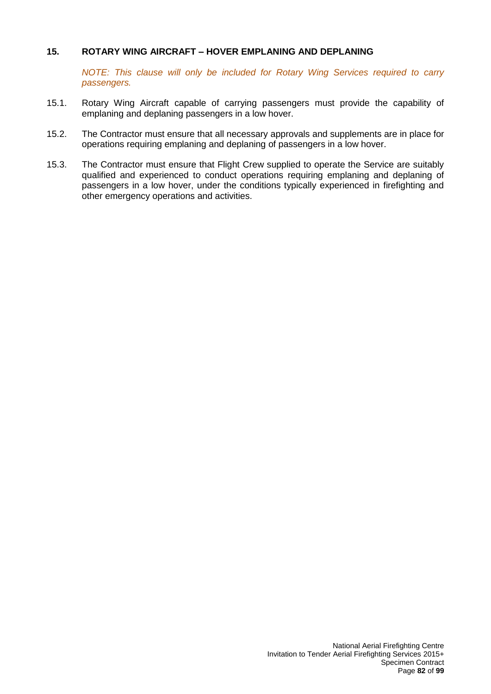## **15. ROTARY WING AIRCRAFT – HOVER EMPLANING AND DEPLANING**

*NOTE: This clause will only be included for Rotary Wing Services required to carry passengers.*

- 15.1. Rotary Wing Aircraft capable of carrying passengers must provide the capability of emplaning and deplaning passengers in a low hover.
- 15.2. The Contractor must ensure that all necessary approvals and supplements are in place for operations requiring emplaning and deplaning of passengers in a low hover.
- 15.3. The Contractor must ensure that Flight Crew supplied to operate the Service are suitably qualified and experienced to conduct operations requiring emplaning and deplaning of passengers in a low hover, under the conditions typically experienced in firefighting and other emergency operations and activities.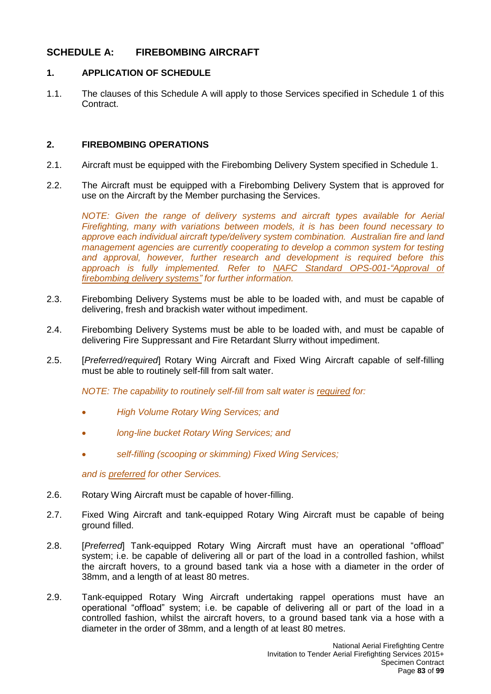# **SCHEDULE A: FIREBOMBING AIRCRAFT**

## **1. APPLICATION OF SCHEDULE**

1.1. The clauses of this Schedule A will apply to those Services specified in Schedule 1 of this Contract.

## **2. FIREBOMBING OPERATIONS**

- 2.1. Aircraft must be equipped with the Firebombing Delivery System specified in Schedule 1.
- 2.2. The Aircraft must be equipped with a Firebombing Delivery System that is approved for use on the Aircraft by the Member purchasing the Services.

*NOTE:* Given the range of delivery systems and aircraft types available for Aerial *Firefighting, many with variations between models, it is has been found necessary to approve each individual aircraft type/delivery system combination. Australian fire and land management agencies are currently cooperating to develop a common system for testing and approval, however, further research and development is required before this*  approach is fully implemented. Refer to NAFC Standard OPS-001-"Approval of *firebombing delivery systems" for further information.*

- 2.3. Firebombing Delivery Systems must be able to be loaded with, and must be capable of delivering, fresh and brackish water without impediment.
- 2.4. Firebombing Delivery Systems must be able to be loaded with, and must be capable of delivering Fire Suppressant and Fire Retardant Slurry without impediment.
- 2.5. [*Preferred/required*] Rotary Wing Aircraft and Fixed Wing Aircraft capable of self-filling must be able to routinely self-fill from salt water.

*NOTE: The capability to routinely self-fill from salt water is required for:* 

- *High Volume Rotary Wing Services; and*
- *long-line bucket Rotary Wing Services; and*
- *self-filling (scooping or skimming) Fixed Wing Services;*

*and is preferred for other Services.*

- 2.6. Rotary Wing Aircraft must be capable of hover-filling.
- 2.7. Fixed Wing Aircraft and tank-equipped Rotary Wing Aircraft must be capable of being ground filled.
- 2.8. [*Preferred*] Tank-equipped Rotary Wing Aircraft must have an operational "offload" system; i.e. be capable of delivering all or part of the load in a controlled fashion, whilst the aircraft hovers, to a ground based tank via a hose with a diameter in the order of 38mm, and a length of at least 80 metres.
- 2.9. Tank-equipped Rotary Wing Aircraft undertaking rappel operations must have an operational "offload" system; i.e. be capable of delivering all or part of the load in a controlled fashion, whilst the aircraft hovers, to a ground based tank via a hose with a diameter in the order of 38mm, and a length of at least 80 metres.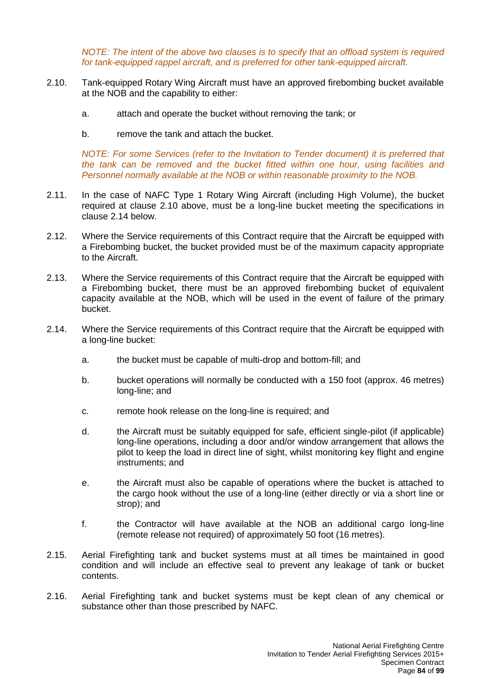*NOTE: The intent of the above two clauses is to specify that an offload system is required for tank-equipped rappel aircraft, and is preferred for other tank-equipped aircraft.* 

- <span id="page-83-0"></span>2.10. Tank-equipped Rotary Wing Aircraft must have an approved firebombing bucket available at the NOB and the capability to either:
	- a. attach and operate the bucket without removing the tank; or
	- b. remove the tank and attach the bucket.

*NOTE: For some Services (refer to the Invitation to Tender document) it is preferred that the tank can be removed and the bucket fitted within one hour, using facilities and Personnel normally available at the NOB or within reasonable proximity to the NOB.*

- 2.11. In the case of NAFC Type 1 Rotary Wing Aircraft (including High Volume), the bucket required at clause [2.10](#page-83-0) above, must be a long-line bucket meeting the specifications in clause [2.14](#page-83-1) below.
- 2.12. Where the Service requirements of this Contract require that the Aircraft be equipped with a Firebombing bucket, the bucket provided must be of the maximum capacity appropriate to the Aircraft.
- 2.13. Where the Service requirements of this Contract require that the Aircraft be equipped with a Firebombing bucket, there must be an approved firebombing bucket of equivalent capacity available at the NOB, which will be used in the event of failure of the primary bucket.
- <span id="page-83-1"></span>2.14. Where the Service requirements of this Contract require that the Aircraft be equipped with a long-line bucket:
	- a. the bucket must be capable of multi-drop and bottom-fill; and
	- b. bucket operations will normally be conducted with a 150 foot (approx. 46 metres) long-line; and
	- c. remote hook release on the long-line is required; and
	- d. the Aircraft must be suitably equipped for safe, efficient single-pilot (if applicable) long-line operations, including a door and/or window arrangement that allows the pilot to keep the load in direct line of sight, whilst monitoring key flight and engine instruments; and
	- e. the Aircraft must also be capable of operations where the bucket is attached to the cargo hook without the use of a long-line (either directly or via a short line or strop); and
	- f. the Contractor will have available at the NOB an additional cargo long-line (remote release not required) of approximately 50 foot (16 metres).
- 2.15. Aerial Firefighting tank and bucket systems must at all times be maintained in good condition and will include an effective seal to prevent any leakage of tank or bucket contents.
- 2.16. Aerial Firefighting tank and bucket systems must be kept clean of any chemical or substance other than those prescribed by NAFC.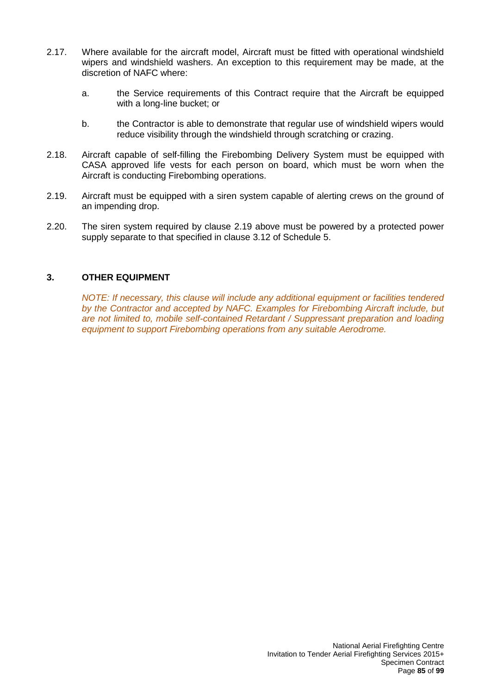- 2.17. Where available for the aircraft model, Aircraft must be fitted with operational windshield wipers and windshield washers. An exception to this requirement may be made, at the discretion of NAFC where:
	- a. the Service requirements of this Contract require that the Aircraft be equipped with a long-line bucket; or
	- b. the Contractor is able to demonstrate that regular use of windshield wipers would reduce visibility through the windshield through scratching or crazing.
- 2.18. Aircraft capable of self-filling the Firebombing Delivery System must be equipped with CASA approved life vests for each person on board, which must be worn when the Aircraft is conducting Firebombing operations.
- 2.19. Aircraft must be equipped with a siren system capable of alerting crews on the ground of an impending drop.
- 2.20. The siren system required by clause 2.19 above must be powered by a protected power supply separate to that specified in clause 3.12 of Schedule 5.

## **3. OTHER EQUIPMENT**

*NOTE: If necessary, this clause will include any additional equipment or facilities tendered by the Contractor and accepted by NAFC. Examples for Firebombing Aircraft include, but are not limited to, mobile self-contained Retardant / Suppressant preparation and loading equipment to support Firebombing operations from any suitable Aerodrome.*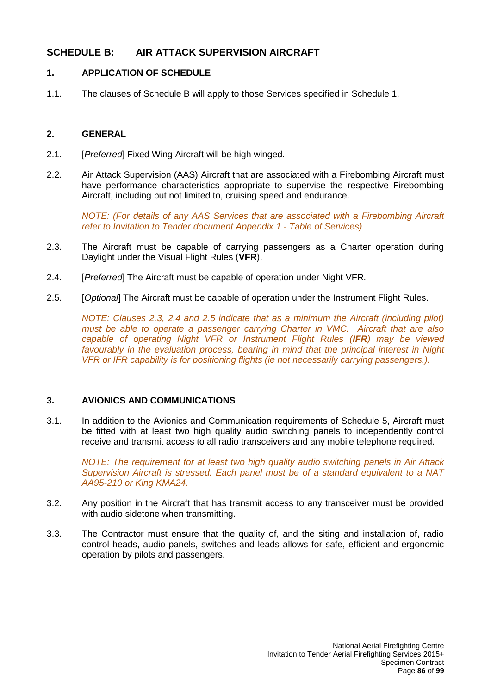# **SCHEDULE B: AIR ATTACK SUPERVISION AIRCRAFT**

## **1. APPLICATION OF SCHEDULE**

1.1. The clauses of Schedule B will apply to those Services specified in Schedule 1.

## **2. GENERAL**

- 2.1. [*Preferred*] Fixed Wing Aircraft will be high winged.
- 2.2. Air Attack Supervision (AAS) Aircraft that are associated with a Firebombing Aircraft must have performance characteristics appropriate to supervise the respective Firebombing Aircraft, including but not limited to, cruising speed and endurance.

*NOTE: (For details of any AAS Services that are associated with a Firebombing Aircraft refer to Invitation to Tender document Appendix 1 - Table of Services)*

- 2.3. The Aircraft must be capable of carrying passengers as a Charter operation during Daylight under the Visual Flight Rules (**VFR**).
- 2.4. [*Preferred*] The Aircraft must be capable of operation under Night VFR.
- 2.5. [*Optional*] The Aircraft must be capable of operation under the Instrument Flight Rules.

*NOTE: Clauses 2.3, 2.4 and 2.5 indicate that as a minimum the Aircraft (including pilot) must be able to operate a passenger carrying Charter in VMC. Aircraft that are also capable of operating Night VFR or Instrument Flight Rules (IFR) may be viewed favourably in the evaluation process, bearing in mind that the principal interest in Night VFR or IFR capability is for positioning flights (ie not necessarily carrying passengers.).*

## **3. AVIONICS AND COMMUNICATIONS**

3.1. In addition to the Avionics and Communication requirements of Schedule 5, Aircraft must be fitted with at least two high quality audio switching panels to independently control receive and transmit access to all radio transceivers and any mobile telephone required.

*NOTE: The requirement for at least two high quality audio switching panels in Air Attack Supervision Aircraft is stressed. Each panel must be of a standard equivalent to a NAT AA95-210 or King KMA24.*

- 3.2. Any position in the Aircraft that has transmit access to any transceiver must be provided with audio sidetone when transmitting.
- 3.3. The Contractor must ensure that the quality of, and the siting and installation of, radio control heads, audio panels, switches and leads allows for safe, efficient and ergonomic operation by pilots and passengers.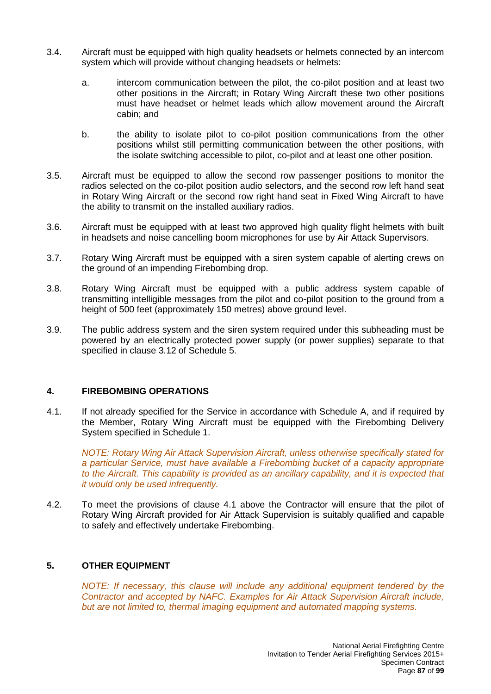- 3.4. Aircraft must be equipped with high quality headsets or helmets connected by an intercom system which will provide without changing headsets or helmets:
	- a. intercom communication between the pilot, the co-pilot position and at least two other positions in the Aircraft; in Rotary Wing Aircraft these two other positions must have headset or helmet leads which allow movement around the Aircraft cabin; and
	- b. the ability to isolate pilot to co-pilot position communications from the other positions whilst still permitting communication between the other positions, with the isolate switching accessible to pilot, co-pilot and at least one other position.
- 3.5. Aircraft must be equipped to allow the second row passenger positions to monitor the radios selected on the co-pilot position audio selectors, and the second row left hand seat in Rotary Wing Aircraft or the second row right hand seat in Fixed Wing Aircraft to have the ability to transmit on the installed auxiliary radios.
- 3.6. Aircraft must be equipped with at least two approved high quality flight helmets with built in headsets and noise cancelling boom microphones for use by Air Attack Supervisors.
- 3.7. Rotary Wing Aircraft must be equipped with a siren system capable of alerting crews on the ground of an impending Firebombing drop.
- 3.8. Rotary Wing Aircraft must be equipped with a public address system capable of transmitting intelligible messages from the pilot and co-pilot position to the ground from a height of 500 feet (approximately 150 metres) above ground level.
- 3.9. The public address system and the siren system required under this subheading must be powered by an electrically protected power supply (or power supplies) separate to that specified in clause 3.12 of Schedule 5.

## **4. FIREBOMBING OPERATIONS**

4.1. If not already specified for the Service in accordance with Schedule A, and if required by the Member, Rotary Wing Aircraft must be equipped with the Firebombing Delivery System specified in Schedule 1.

*NOTE: Rotary Wing Air Attack Supervision Aircraft, unless otherwise specifically stated for a particular Service, must have available a Firebombing bucket of a capacity appropriate to the Aircraft. This capability is provided as an ancillary capability, and it is expected that it would only be used infrequently.*

4.2. To meet the provisions of clause 4.1 above the Contractor will ensure that the pilot of Rotary Wing Aircraft provided for Air Attack Supervision is suitably qualified and capable to safely and effectively undertake Firebombing.

#### **5. OTHER EQUIPMENT**

*NOTE: If necessary, this clause will include any additional equipment tendered by the Contractor and accepted by NAFC. Examples for Air Attack Supervision Aircraft include, but are not limited to, thermal imaging equipment and automated mapping systems.*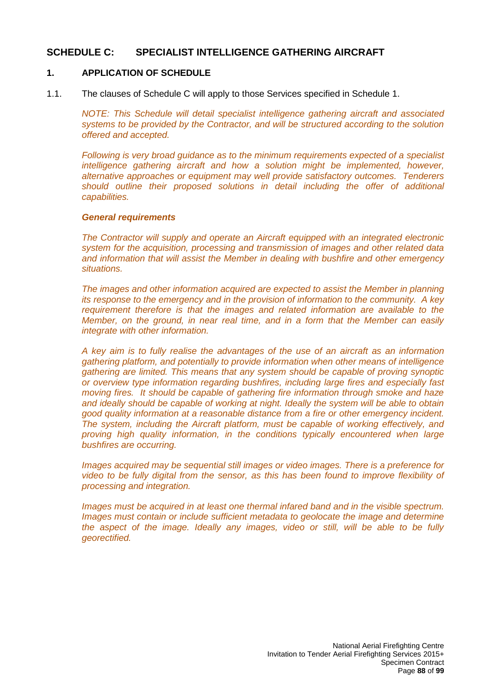## **SCHEDULE C: SPECIALIST INTELLIGENCE GATHERING AIRCRAFT**

#### **1. APPLICATION OF SCHEDULE**

1.1. The clauses of Schedule C will apply to those Services specified in Schedule 1.

*NOTE: This Schedule will detail specialist intelligence gathering aircraft and associated systems to be provided by the Contractor, and will be structured according to the solution offered and accepted.*

*Following is very broad guidance as to the minimum requirements expected of a specialist intelligence gathering aircraft and how a solution might be implemented, however, alternative approaches or equipment may well provide satisfactory outcomes. Tenderers should outline their proposed solutions in detail including the offer of additional capabilities.* 

#### *General requirements*

*The Contractor will supply and operate an Aircraft equipped with an integrated electronic system for the acquisition, processing and transmission of images and other related data and information that will assist the Member in dealing with bushfire and other emergency situations.*

*The images and other information acquired are expected to assist the Member in planning its response to the emergency and in the provision of information to the community. A key requirement therefore is that the images and related information are available to the Member, on the ground, in near real time, and in a form that the Member can easily integrate with other information.*

*A key aim is to fully realise the advantages of the use of an aircraft as an information gathering platform, and potentially to provide information when other means of intelligence gathering are limited. This means that any system should be capable of proving synoptic or overview type information regarding bushfires, including large fires and especially fast moving fires. It should be capable of gathering fire information through smoke and haze and ideally should be capable of working at night. Ideally the system will be able to obtain good quality information at a reasonable distance from a fire or other emergency incident. The system, including the Aircraft platform, must be capable of working effectively, and proving high quality information, in the conditions typically encountered when large bushfires are occurring.*

*Images acquired may be sequential still images or video images. There is a preference for video to be fully digital from the sensor, as this has been found to improve flexibility of processing and integration.* 

*Images must be acquired in at least one thermal infared band and in the visible spectrum. Images must contain or include sufficient metadata to geolocate the image and determine the aspect of the image. Ideally any images, video or still, will be able to be fully georectified.*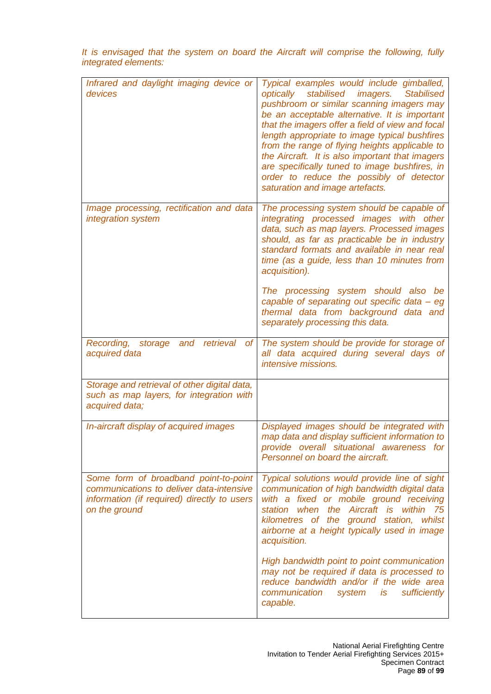| Infrared and daylight imaging device or<br>devices                                                                                                | Typical examples would include gimballed,<br>stabilised imagers.<br>optically<br><b>Stabilised</b><br>pushbroom or similar scanning imagers may<br>be an acceptable alternative. It is important<br>that the imagers offer a field of view and focal<br>length appropriate to image typical bushfires<br>from the range of flying heights applicable to<br>the Aircraft. It is also important that imagers<br>are specifically tuned to image bushfires, in<br>order to reduce the possibly of detector<br>saturation and image artefacts. |
|---------------------------------------------------------------------------------------------------------------------------------------------------|--------------------------------------------------------------------------------------------------------------------------------------------------------------------------------------------------------------------------------------------------------------------------------------------------------------------------------------------------------------------------------------------------------------------------------------------------------------------------------------------------------------------------------------------|
| Image processing, rectification and data<br>integration system                                                                                    | The processing system should be capable of<br>integrating processed images with other<br>data, such as map layers. Processed images<br>should, as far as practicable be in industry<br>standard formats and available in near real<br>time (as a guide, less than 10 minutes from<br>acquisition).<br>The processing system should also be<br>capable of separating out specific data - eg<br>thermal data from background data and<br>separately processing this data.                                                                    |
| retrieval<br>Recording,<br>storage<br>and<br>of <sub>l</sub><br>acquired data                                                                     | The system should be provide for storage of<br>all data acquired during several days of<br>intensive missions.                                                                                                                                                                                                                                                                                                                                                                                                                             |
| Storage and retrieval of other digital data,<br>such as map layers, for integration with<br>acquired data;                                        |                                                                                                                                                                                                                                                                                                                                                                                                                                                                                                                                            |
| In-aircraft display of acquired images                                                                                                            | Displayed images should be integrated with<br>map data and display sufficient information to<br>provide overall situational awareness for<br>Personnel on board the aircraft.                                                                                                                                                                                                                                                                                                                                                              |
| Some form of broadband point-to-point<br>communications to deliver data-intensive<br>information (if required) directly to users<br>on the ground | Typical solutions would provide line of sight<br>communication of high bandwidth digital data<br>with a fixed or mobile ground receiving<br>station when the Aircraft is within<br>75<br>kilometres of the ground station, whilst<br>airborne at a height typically used in image<br>acquisition.                                                                                                                                                                                                                                          |
|                                                                                                                                                   | High bandwidth point to point communication<br>may not be required if data is processed to<br>reduce bandwidth and/or if the wide area<br>sufficiently<br>communication<br>system is<br>capable.                                                                                                                                                                                                                                                                                                                                           |

*It is envisaged that the system on board the Aircraft will comprise the following, fully integrated elements:*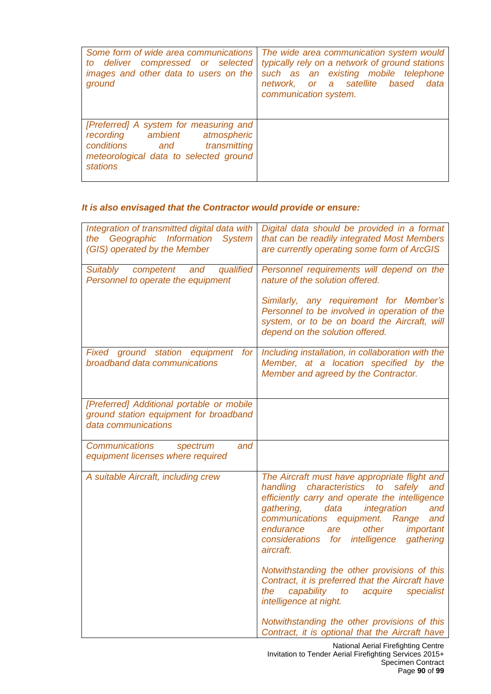| Some form of wide area communications<br>to deliver compressed or selected<br>images and other data to users on the<br>ground                                          | The wide area communication system would<br>typically rely on a network of ground stations<br>such as an existing mobile telephone<br>network, or a satellite<br>based<br>data<br>communication system. |
|------------------------------------------------------------------------------------------------------------------------------------------------------------------------|---------------------------------------------------------------------------------------------------------------------------------------------------------------------------------------------------------|
| [Preferred] A system for measuring and<br>recording ambient atmospheric<br>conditions and<br>transmitting<br>meteorological data to selected ground<br><b>stations</b> |                                                                                                                                                                                                         |

# *It is also envisaged that the Contractor would provide or ensure:*

| Integration of transmitted digital data with<br>the Geographic Information<br>System<br>(GIS) operated by the Member | Digital data should be provided in a format<br>that can be readily integrated Most Members<br>are currently operating some form of ArcGIS                                                                                                                                                                                                             |
|----------------------------------------------------------------------------------------------------------------------|-------------------------------------------------------------------------------------------------------------------------------------------------------------------------------------------------------------------------------------------------------------------------------------------------------------------------------------------------------|
| qualified<br>Suitably competent<br>and<br>Personnel to operate the equipment                                         | Personnel requirements will depend on the<br>nature of the solution offered.<br>Similarly, any requirement for Member's<br>Personnel to be involved in operation of the<br>system, or to be on board the Aircraft, will<br>depend on the solution offered.                                                                                            |
| Fixed ground station equipment for<br>broadband data communications                                                  | Including installation, in collaboration with the<br>Member, at a location specified by the<br>Member and agreed by the Contractor.                                                                                                                                                                                                                   |
| [Preferred] Additional portable or mobile<br>ground station equipment for broadband<br>data communications           |                                                                                                                                                                                                                                                                                                                                                       |
| <b>Communications</b><br>and<br>spectrum<br>equipment licenses where required                                        |                                                                                                                                                                                                                                                                                                                                                       |
| A suitable Aircraft, including crew                                                                                  | The Aircraft must have appropriate flight and<br>characteristics to<br>safely<br>handling<br>and<br>efficiently carry and operate the intelligence<br>integration<br>gathering,<br>data<br>and<br>communications<br>equipment. Range<br>and<br>endurance<br>other<br>important<br>are<br>considerations for<br>intelligence<br>gathering<br>aircraft. |
|                                                                                                                      | Notwithstanding the other provisions of this<br>Contract, it is preferred that the Aircraft have<br>capability to acquire<br>specialist<br>the<br>intelligence at night.                                                                                                                                                                              |
|                                                                                                                      | Notwithstanding the other provisions of this<br>Contract, it is optional that the Aircraft have                                                                                                                                                                                                                                                       |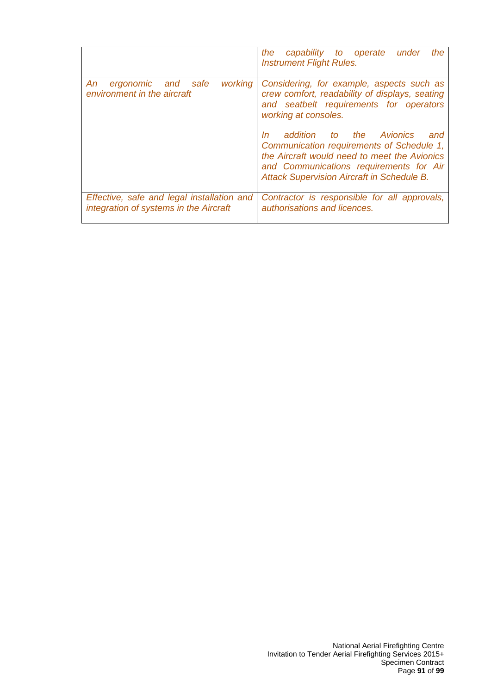|                                                                                      | the<br>the<br>capability to operate<br>under<br><b>Instrument Flight Rules.</b>                                                                                                                                                                                                                                                                                                                      |
|--------------------------------------------------------------------------------------|------------------------------------------------------------------------------------------------------------------------------------------------------------------------------------------------------------------------------------------------------------------------------------------------------------------------------------------------------------------------------------------------------|
| working<br>ergonomic and safe<br>An.<br>environment in the aircraft                  | Considering, for example, aspects such as<br>crew comfort, readability of displays, seating<br>and seatbelt requirements for operators<br>working at consoles.<br>addition to the Avionics<br>and<br>In<br>Communication requirements of Schedule 1,<br>the Aircraft would need to meet the Avionics<br>and Communications requirements for Air<br><b>Attack Supervision Aircraft in Schedule B.</b> |
| Effective, safe and legal installation and<br>integration of systems in the Aircraft | Contractor is responsible for all approvals,<br>authorisations and licences.                                                                                                                                                                                                                                                                                                                         |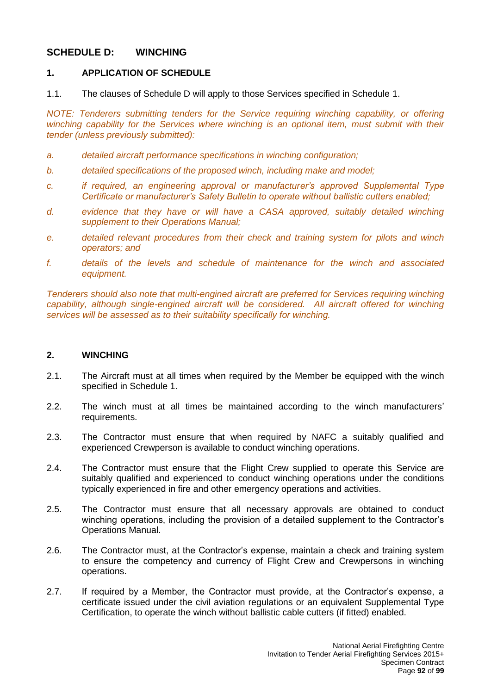# **SCHEDULE D: WINCHING**

## **1. APPLICATION OF SCHEDULE**

1.1. The clauses of Schedule D will apply to those Services specified in Schedule 1.

*NOTE: Tenderers submitting tenders for the Service requiring winching capability, or offering winching capability for the Services where winching is an optional item, must submit with their tender (unless previously submitted):*

- *a. detailed aircraft performance specifications in winching configuration;*
- *b. detailed specifications of the proposed winch, including make and model;*
- *c. if required, an engineering approval or manufacturer's approved Supplemental Type Certificate or manufacturer's Safety Bulletin to operate without ballistic cutters enabled;*
- *d. evidence that they have or will have a CASA approved, suitably detailed winching supplement to their Operations Manual;*
- *e. detailed relevant procedures from their check and training system for pilots and winch operators; and*
- *f. details of the levels and schedule of maintenance for the winch and associated equipment.*

*Tenderers should also note that multi-engined aircraft are preferred for Services requiring winching capability, although single-engined aircraft will be considered. All aircraft offered for winching services will be assessed as to their suitability specifically for winching.*

## **2. WINCHING**

- 2.1. The Aircraft must at all times when required by the Member be equipped with the winch specified in Schedule 1.
- 2.2. The winch must at all times be maintained according to the winch manufacturers' requirements.
- 2.3. The Contractor must ensure that when required by NAFC a suitably qualified and experienced Crewperson is available to conduct winching operations.
- 2.4. The Contractor must ensure that the Flight Crew supplied to operate this Service are suitably qualified and experienced to conduct winching operations under the conditions typically experienced in fire and other emergency operations and activities.
- 2.5. The Contractor must ensure that all necessary approvals are obtained to conduct winching operations, including the provision of a detailed supplement to the Contractor's Operations Manual.
- 2.6. The Contractor must, at the Contractor's expense, maintain a check and training system to ensure the competency and currency of Flight Crew and Crewpersons in winching operations.
- 2.7. If required by a Member, the Contractor must provide, at the Contractor's expense, a certificate issued under the civil aviation regulations or an equivalent Supplemental Type Certification, to operate the winch without ballistic cable cutters (if fitted) enabled.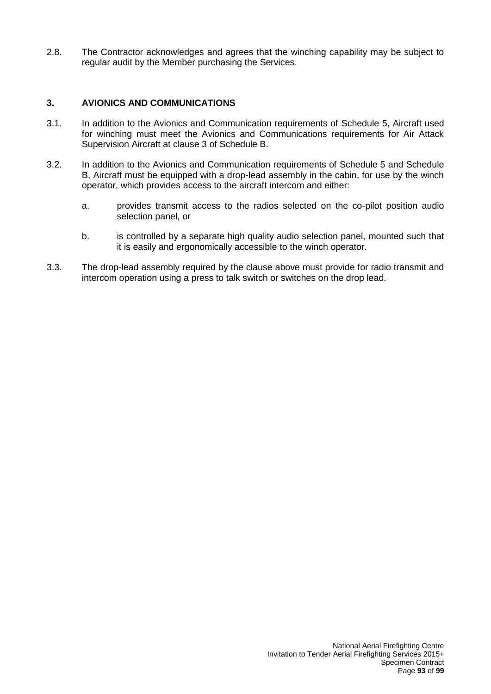2.8. The Contractor acknowledges and agrees that the winching capability may be subject to regular audit by the Member purchasing the Services.

## **3. AVIONICS AND COMMUNICATIONS**

- 3.1. In addition to the Avionics and Communication requirements of Schedule 5, Aircraft used for winching must meet the Avionics and Communications requirements for Air Attack Supervision Aircraft at clause 3 of Schedule B.
- 3.2. In addition to the Avionics and Communication requirements of Schedule 5 and Schedule B, Aircraft must be equipped with a drop-lead assembly in the cabin, for use by the winch operator, which provides access to the aircraft intercom and either:
	- a. provides transmit access to the radios selected on the co-pilot position audio selection panel, or
	- b. is controlled by a separate high quality audio selection panel, mounted such that it is easily and ergonomically accessible to the winch operator.
- 3.3. The drop-lead assembly required by the clause above must provide for radio transmit and intercom operation using a press to talk switch or switches on the drop lead.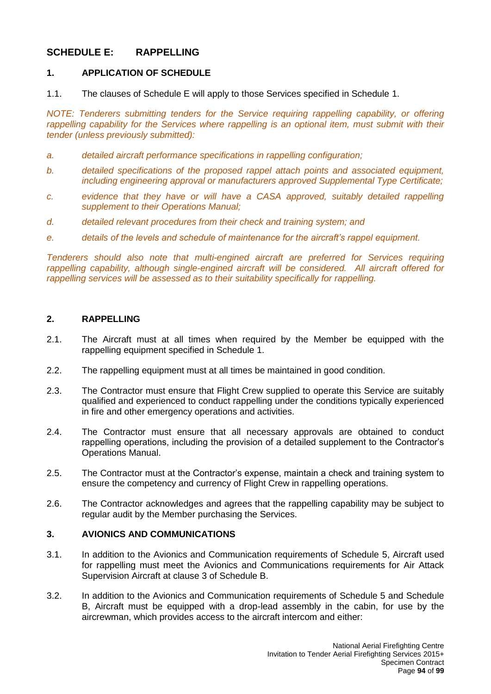# **SCHEDULE E: RAPPELLING**

## **1. APPLICATION OF SCHEDULE**

1.1. The clauses of Schedule E will apply to those Services specified in Schedule 1.

*NOTE: Tenderers submitting tenders for the Service requiring rappelling capability, or offering rappelling capability for the Services where rappelling is an optional item, must submit with their tender (unless previously submitted):*

- *a. detailed aircraft performance specifications in rappelling configuration;*
- *b. detailed specifications of the proposed rappel attach points and associated equipment, including engineering approval or manufacturers approved Supplemental Type Certificate;*
- *c. evidence that they have or will have a CASA approved, suitably detailed rappelling supplement to their Operations Manual;*
- *d. detailed relevant procedures from their check and training system; and*
- *e. details of the levels and schedule of maintenance for the aircraft's rappel equipment.*

*Tenderers should also note that multi-engined aircraft are preferred for Services requiring rappelling capability, although single-engined aircraft will be considered. All aircraft offered for rappelling services will be assessed as to their suitability specifically for rappelling.*

## **2. RAPPELLING**

- 2.1. The Aircraft must at all times when required by the Member be equipped with the rappelling equipment specified in Schedule 1.
- 2.2. The rappelling equipment must at all times be maintained in good condition.
- 2.3. The Contractor must ensure that Flight Crew supplied to operate this Service are suitably qualified and experienced to conduct rappelling under the conditions typically experienced in fire and other emergency operations and activities.
- 2.4. The Contractor must ensure that all necessary approvals are obtained to conduct rappelling operations, including the provision of a detailed supplement to the Contractor's Operations Manual.
- 2.5. The Contractor must at the Contractor's expense, maintain a check and training system to ensure the competency and currency of Flight Crew in rappelling operations.
- 2.6. The Contractor acknowledges and agrees that the rappelling capability may be subject to regular audit by the Member purchasing the Services.

## **3. AVIONICS AND COMMUNICATIONS**

- 3.1. In addition to the Avionics and Communication requirements of Schedule 5, Aircraft used for rappelling must meet the Avionics and Communications requirements for Air Attack Supervision Aircraft at clause 3 of Schedule B.
- 3.2. In addition to the Avionics and Communication requirements of Schedule 5 and Schedule B, Aircraft must be equipped with a drop-lead assembly in the cabin, for use by the aircrewman, which provides access to the aircraft intercom and either: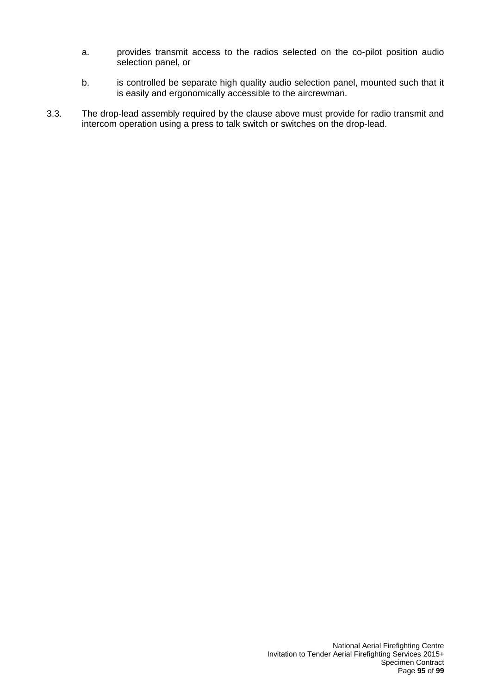- a. provides transmit access to the radios selected on the co-pilot position audio selection panel, or
- b. is controlled be separate high quality audio selection panel, mounted such that it is easily and ergonomically accessible to the aircrewman.
- 3.3. The drop-lead assembly required by the clause above must provide for radio transmit and intercom operation using a press to talk switch or switches on the drop-lead.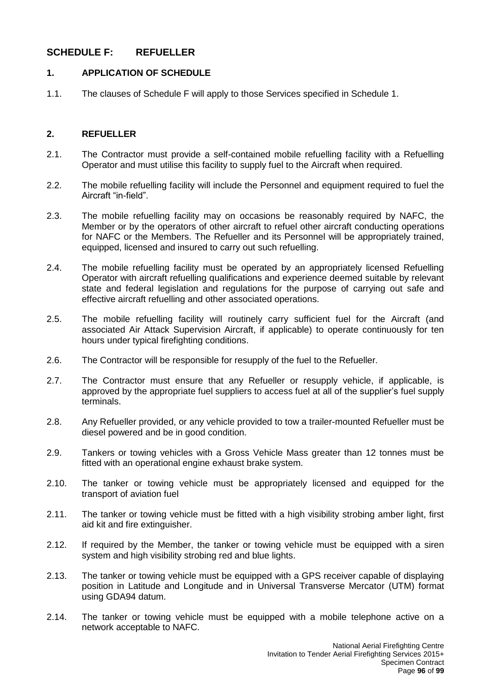# **SCHEDULE F: REFUELLER**

## **1. APPLICATION OF SCHEDULE**

1.1. The clauses of Schedule F will apply to those Services specified in Schedule 1.

### **2. REFUELLER**

- 2.1. The Contractor must provide a self-contained mobile refuelling facility with a Refuelling Operator and must utilise this facility to supply fuel to the Aircraft when required.
- 2.2. The mobile refuelling facility will include the Personnel and equipment required to fuel the Aircraft "in-field".
- 2.3. The mobile refuelling facility may on occasions be reasonably required by NAFC, the Member or by the operators of other aircraft to refuel other aircraft conducting operations for NAFC or the Members. The Refueller and its Personnel will be appropriately trained, equipped, licensed and insured to carry out such refuelling.
- 2.4. The mobile refuelling facility must be operated by an appropriately licensed Refuelling Operator with aircraft refuelling qualifications and experience deemed suitable by relevant state and federal legislation and regulations for the purpose of carrying out safe and effective aircraft refuelling and other associated operations.
- 2.5. The mobile refuelling facility will routinely carry sufficient fuel for the Aircraft (and associated Air Attack Supervision Aircraft, if applicable) to operate continuously for ten hours under typical firefighting conditions.
- 2.6. The Contractor will be responsible for resupply of the fuel to the Refueller.
- 2.7. The Contractor must ensure that any Refueller or resupply vehicle, if applicable, is approved by the appropriate fuel suppliers to access fuel at all of the supplier's fuel supply terminals.
- 2.8. Any Refueller provided, or any vehicle provided to tow a trailer-mounted Refueller must be diesel powered and be in good condition.
- 2.9. Tankers or towing vehicles with a Gross Vehicle Mass greater than 12 tonnes must be fitted with an operational engine exhaust brake system.
- 2.10. The tanker or towing vehicle must be appropriately licensed and equipped for the transport of aviation fuel
- 2.11. The tanker or towing vehicle must be fitted with a high visibility strobing amber light, first aid kit and fire extinguisher.
- 2.12. If required by the Member, the tanker or towing vehicle must be equipped with a siren system and high visibility strobing red and blue lights.
- 2.13. The tanker or towing vehicle must be equipped with a GPS receiver capable of displaying position in Latitude and Longitude and in Universal Transverse Mercator (UTM) format using GDA94 datum.
- 2.14. The tanker or towing vehicle must be equipped with a mobile telephone active on a network acceptable to NAFC.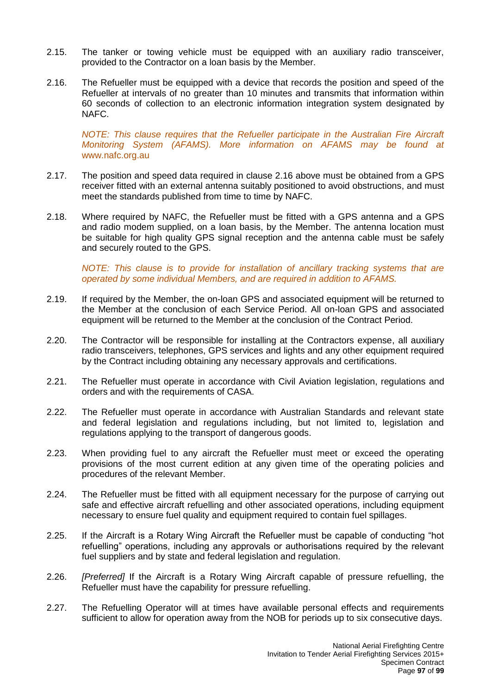- 2.15. The tanker or towing vehicle must be equipped with an auxiliary radio transceiver, provided to the Contractor on a loan basis by the Member.
- 2.16. The Refueller must be equipped with a device that records the position and speed of the Refueller at intervals of no greater than 10 minutes and transmits that information within 60 seconds of collection to an electronic information integration system designated by NAFC.

*NOTE: This clause requires that the Refueller participate in the Australian Fire Aircraft Monitoring System (AFAMS). More information on AFAMS may be found at*  [www.nafc.org.au](http://www.nafc.org.au/)

- 2.17. The position and speed data required in clause 2.16 above must be obtained from a GPS receiver fitted with an external antenna suitably positioned to avoid obstructions, and must meet the standards published from time to time by NAFC.
- 2.18. Where required by NAFC, the Refueller must be fitted with a GPS antenna and a GPS and radio modem supplied, on a loan basis, by the Member. The antenna location must be suitable for high quality GPS signal reception and the antenna cable must be safely and securely routed to the GPS.

*NOTE: This clause is to provide for installation of ancillary tracking systems that are operated by some individual Members, and are required in addition to AFAMS.*

- 2.19. If required by the Member, the on-loan GPS and associated equipment will be returned to the Member at the conclusion of each Service Period. All on-loan GPS and associated equipment will be returned to the Member at the conclusion of the Contract Period.
- 2.20. The Contractor will be responsible for installing at the Contractors expense, all auxiliary radio transceivers, telephones, GPS services and lights and any other equipment required by the Contract including obtaining any necessary approvals and certifications.
- 2.21. The Refueller must operate in accordance with Civil Aviation legislation, regulations and orders and with the requirements of CASA.
- 2.22. The Refueller must operate in accordance with Australian Standards and relevant state and federal legislation and regulations including, but not limited to, legislation and regulations applying to the transport of dangerous goods.
- 2.23. When providing fuel to any aircraft the Refueller must meet or exceed the operating provisions of the most current edition at any given time of the operating policies and procedures of the relevant Member.
- 2.24. The Refueller must be fitted with all equipment necessary for the purpose of carrying out safe and effective aircraft refuelling and other associated operations, including equipment necessary to ensure fuel quality and equipment required to contain fuel spillages.
- 2.25. If the Aircraft is a Rotary Wing Aircraft the Refueller must be capable of conducting "hot refuelling" operations, including any approvals or authorisations required by the relevant fuel suppliers and by state and federal legislation and regulation.
- 2.26. *[Preferred]* If the Aircraft is a Rotary Wing Aircraft capable of pressure refuelling, the Refueller must have the capability for pressure refuelling.
- 2.27. The Refuelling Operator will at times have available personal effects and requirements sufficient to allow for operation away from the NOB for periods up to six consecutive days.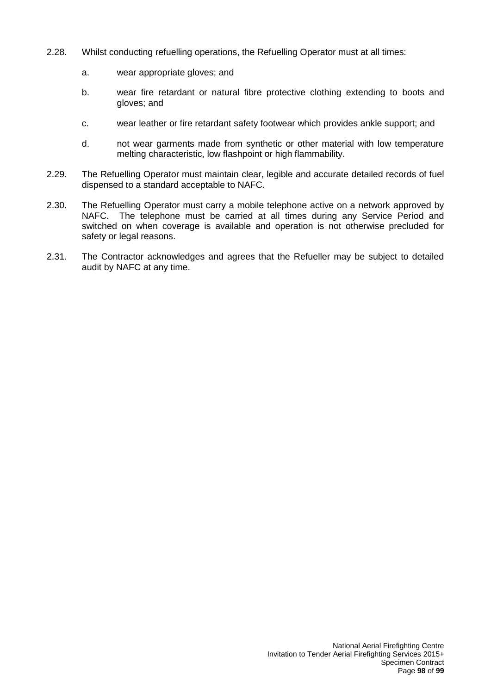- 2.28. Whilst conducting refuelling operations, the Refuelling Operator must at all times:
	- a. wear appropriate gloves; and
	- b. wear fire retardant or natural fibre protective clothing extending to boots and gloves; and
	- c. wear leather or fire retardant safety footwear which provides ankle support; and
	- d. not wear garments made from synthetic or other material with low temperature melting characteristic, low flashpoint or high flammability.
- 2.29. The Refuelling Operator must maintain clear, legible and accurate detailed records of fuel dispensed to a standard acceptable to NAFC.
- 2.30. The Refuelling Operator must carry a mobile telephone active on a network approved by NAFC. The telephone must be carried at all times during any Service Period and switched on when coverage is available and operation is not otherwise precluded for safety or legal reasons.
- 2.31. The Contractor acknowledges and agrees that the Refueller may be subject to detailed audit by NAFC at any time.